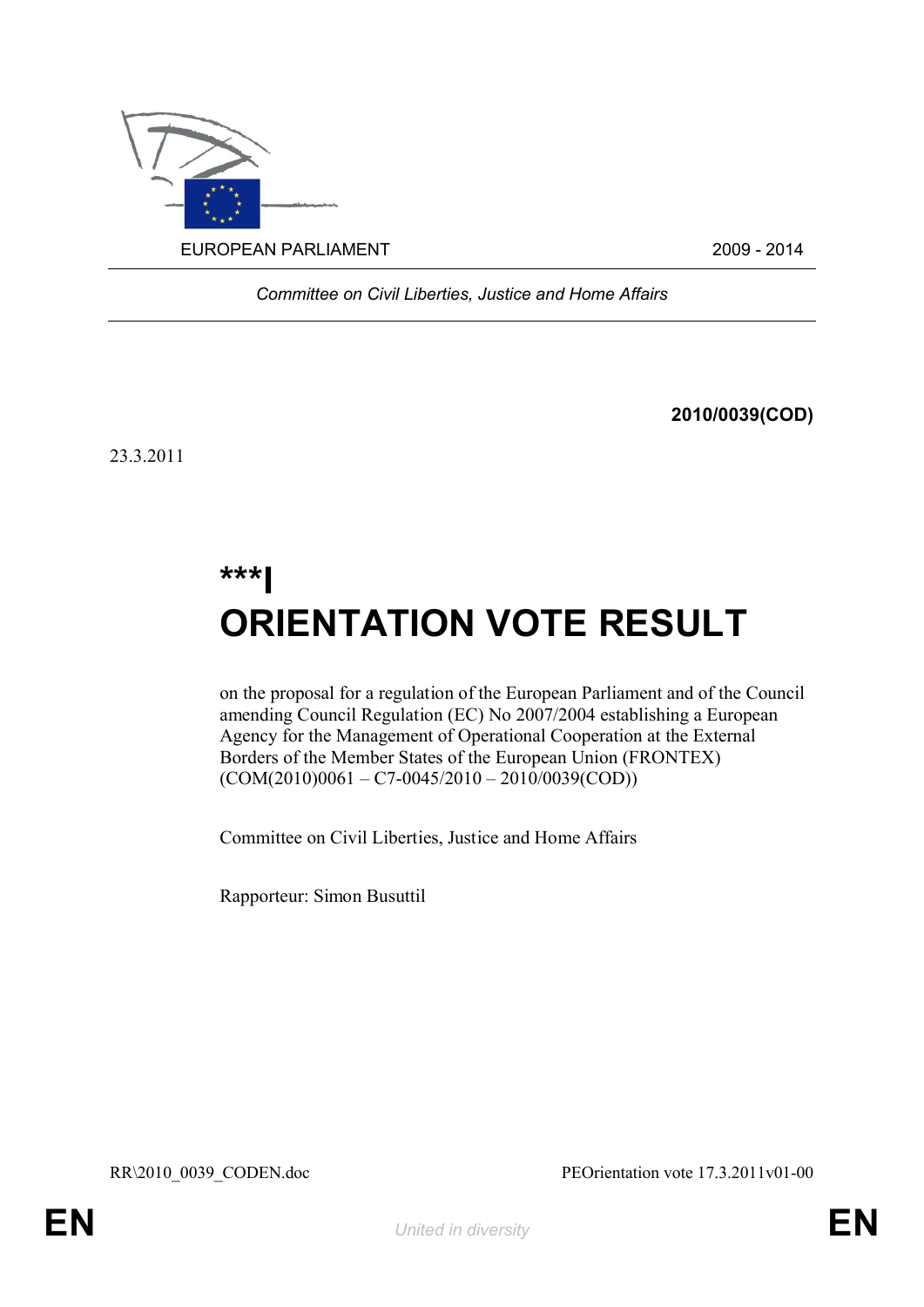

*Committee on Civil Liberties, Justice and Home Affairs*

**2010/0039(COD)**

23.3.2011

# **\*\*\*I ORIENTATION VOTE RESULT**

on the proposal for a regulation of the European Parliament and of the Council amending Council Regulation (EC) No 2007/2004 establishing a European Agency for the Management of Operational Cooperation at the External Borders of the Member States of the European Union (FRONTEX)  $(COM(2010)0061 - C7 - 0045/2010 - 2010/0039(COD))$ 

Committee on Civil Liberties, Justice and Home Affairs

Rapporteur: Simon Busuttil

RR\2010\_0039\_CODEN.doc PEOrientation vote 17.3.2011v01-00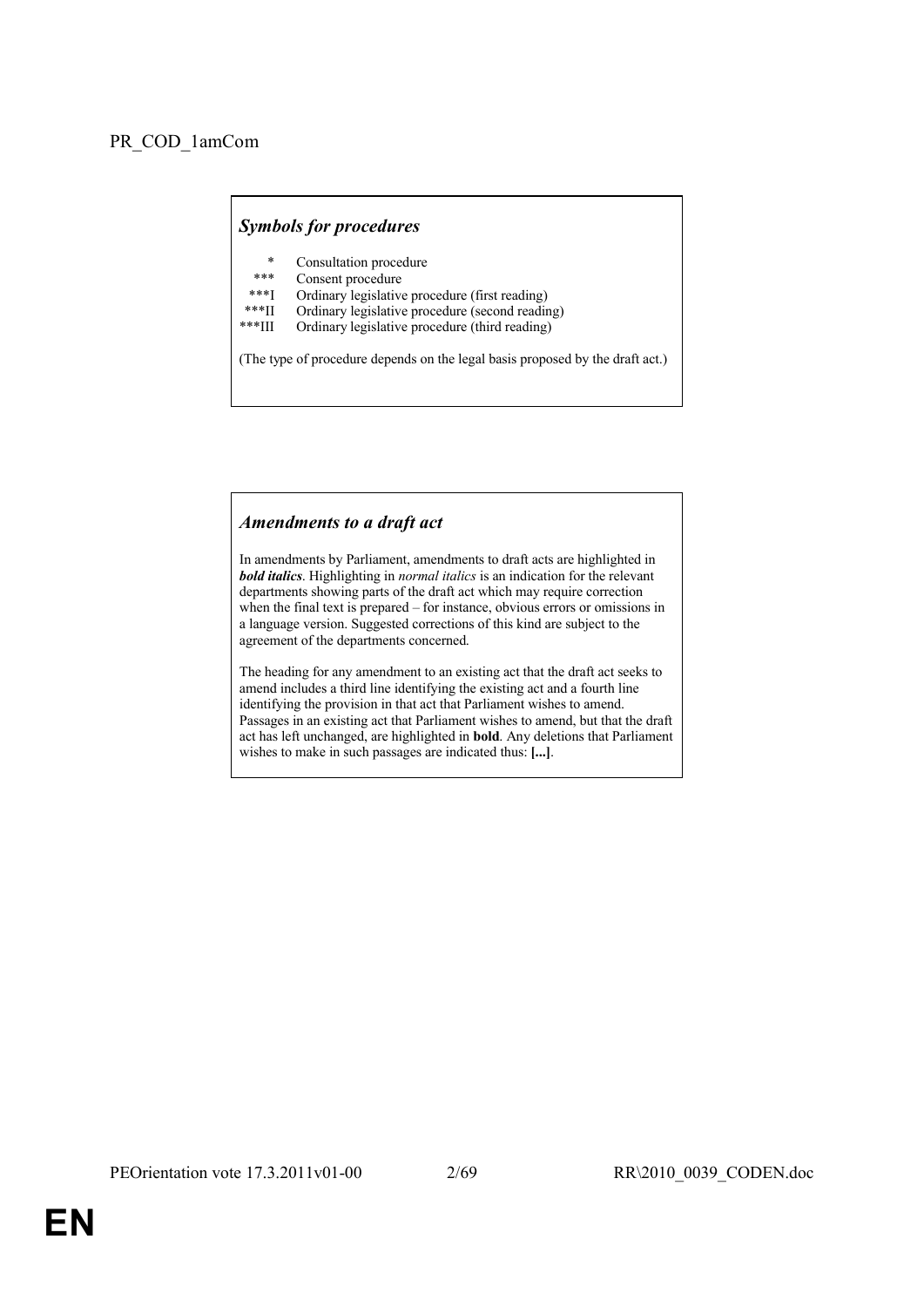## *Symbols for procedures*

- Consultation procedure
- Consent procedure
- \*\*\*I Ordinary legislative procedure (first reading)<br>\*\*\*II Ordinary legislative procedure (second reading)
- \*\*\*II Ordinary legislative procedure (second reading)<br>\*\*\*III Ordinary legislative procedure (third reading)
- Ordinary legislative procedure (third reading)

(The type of procedure depends on the legal basis proposed by the draft act.)

## *Amendments to a draft act*

In amendments by Parliament, amendments to draft acts are highlighted in *bold italics*. Highlighting in *normal italics* is an indication for the relevant departments showing parts of the draft act which may require correction when the final text is prepared – for instance, obvious errors or omissions in a language version. Suggested corrections of this kind are subject to the agreement of the departments concerned.

The heading for any amendment to an existing act that the draft act seeks to amend includes a third line identifying the existing act and a fourth line identifying the provision in that act that Parliament wishes to amend. Passages in an existing act that Parliament wishes to amend, but that the draft act has left unchanged, are highlighted in **bold**. Any deletions that Parliament wishes to make in such passages are indicated thus: **[...]**.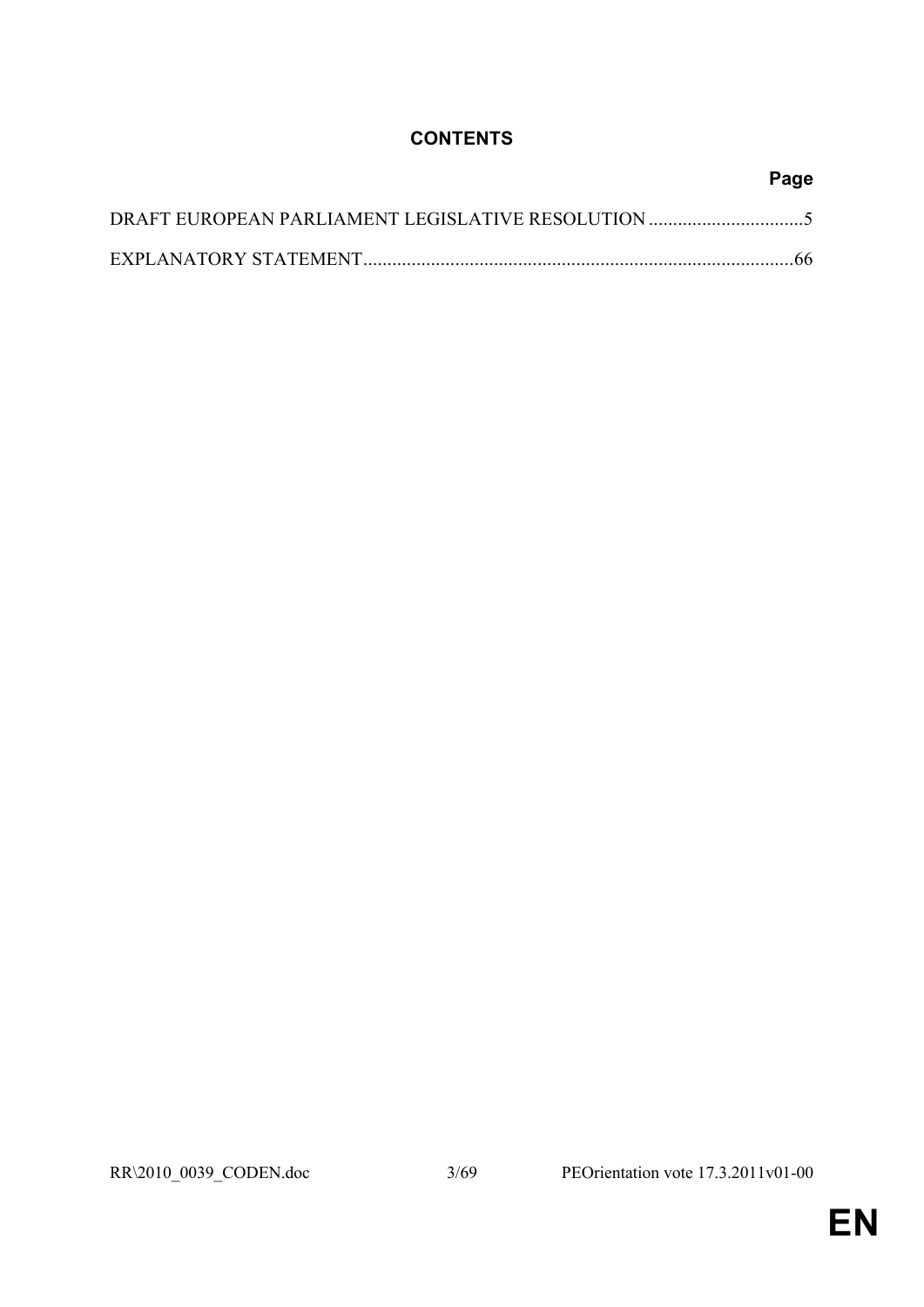## **CONTENTS**

| Page |
|------|
|      |
| -66  |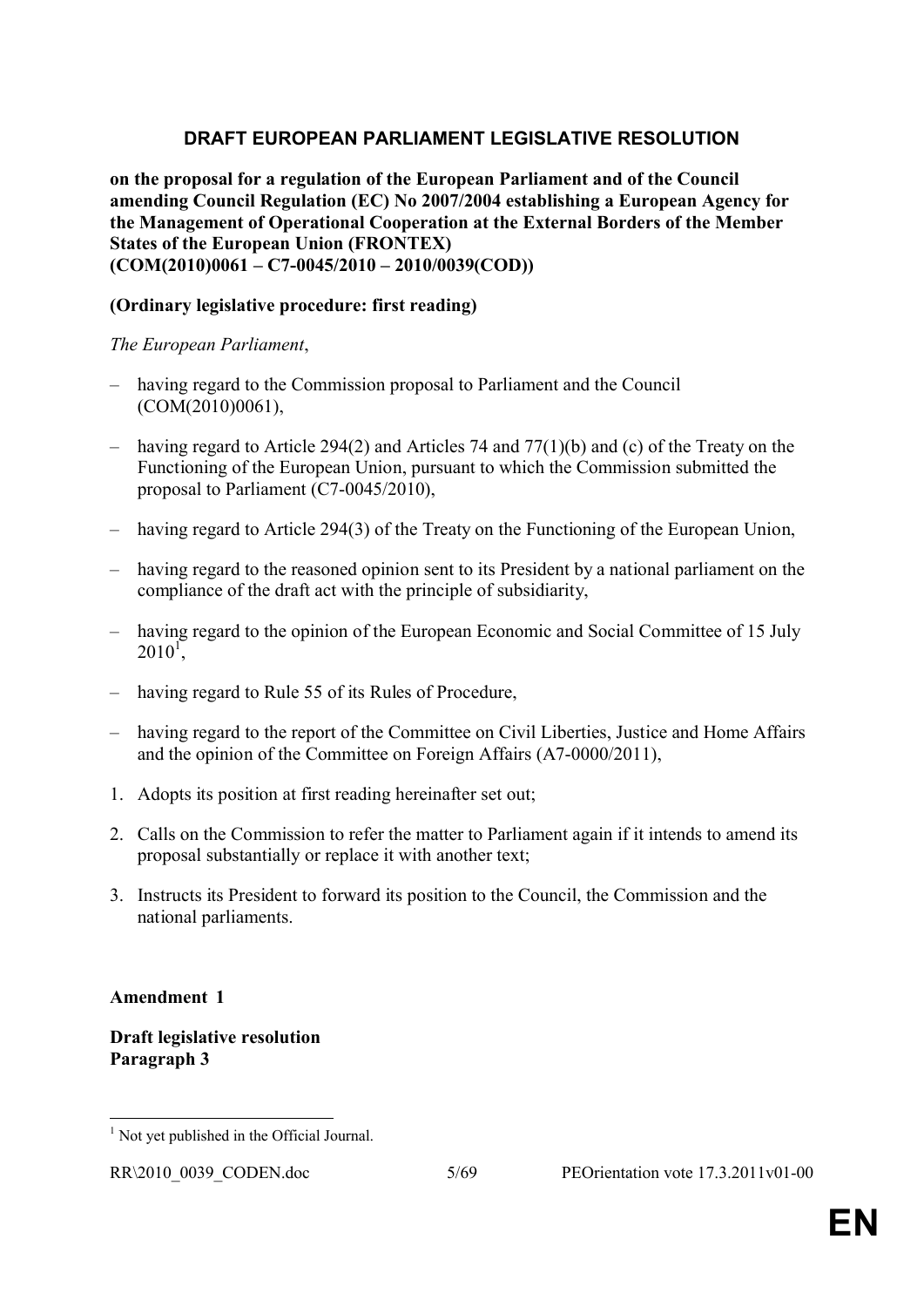## **DRAFT EUROPEAN PARLIAMENT LEGISLATIVE RESOLUTION**

**on the proposal for a regulation of the European Parliament and of the Council amending Council Regulation (EC) No 2007/2004 establishing a European Agency for the Management of Operational Cooperation at the External Borders of the Member States of the European Union (FRONTEX) (COM(2010)0061 – C7-0045/2010 – 2010/0039(COD))**

## **(Ordinary legislative procedure: first reading)**

## *The European Parliament*,

- having regard to the Commission proposal to Parliament and the Council (COM(2010)0061),
- having regard to Article 294(2) and Articles 74 and 77(1)(b) and (c) of the Treaty on the Functioning of the European Union, pursuant to which the Commission submitted the proposal to Parliament (C7-0045/2010),
- having regard to Article 294(3) of the Treaty on the Functioning of the European Union,
- having regard to the reasoned opinion sent to its President by a national parliament on the compliance of the draft act with the principle of subsidiarity,
- having regard to the opinion of the European Economic and Social Committee of 15 July  $2010^1$ ,
- having regard to Rule 55 of its Rules of Procedure,
- having regard to the report of the Committee on Civil Liberties, Justice and Home Affairs and the opinion of the Committee on Foreign Affairs (A7-0000/2011),
- 1. Adopts its position at first reading hereinafter set out;
- 2. Calls on the Commission to refer the matter to Parliament again if it intends to amend its proposal substantially or replace it with another text;
- 3. Instructs its President to forward its position to the Council, the Commission and the national parliaments.

## **Amendment 1**

## **Draft legislative resolution Paragraph 3**

 1 Not yet published in the Official Journal.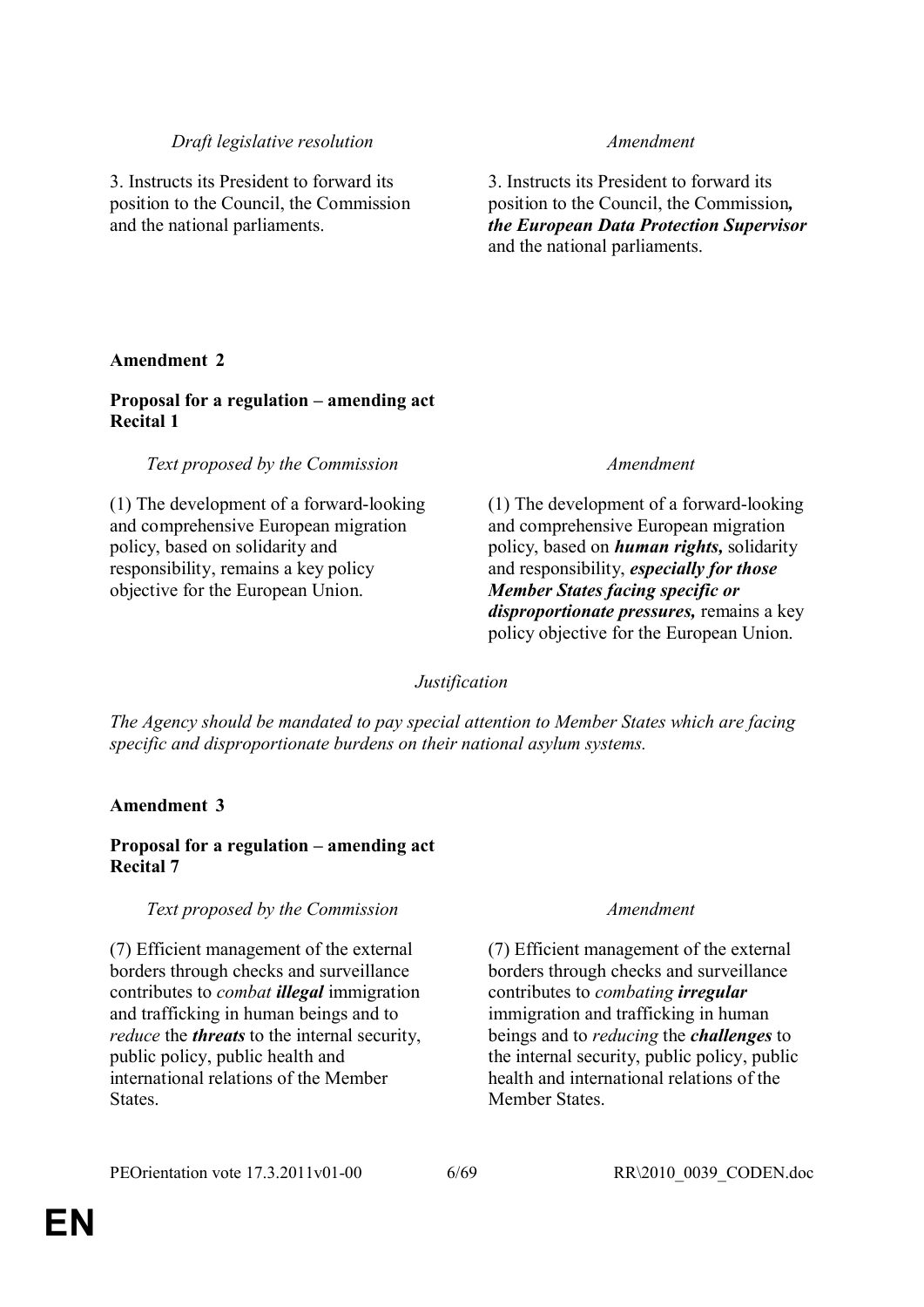## *Draft legislative resolution Amendment*

3. Instructs its President to forward its position to the Council, the Commission and the national parliaments.

3. Instructs its President to forward its position to the Council, the Commission*, the European Data Protection Supervisor* and the national parliaments.

## **Amendment 2**

## **Proposal for a regulation – amending act Recital 1**

## *Text proposed by the Commission Amendment*

(1) The development of a forward-looking and comprehensive European migration policy, based on solidarity and responsibility, remains a key policy objective for the European Union.

(1) The development of a forward-looking and comprehensive European migration policy, based on *human rights,* solidarity and responsibility, *especially for those Member States facing specific or disproportionate pressures,* remains a key policy objective for the European Union.

## *Justification*

*The Agency should be mandated to pay special attention to Member States which are facing specific and disproportionate burdens on their national asylum systems.*

## **Amendment 3**

## **Proposal for a regulation – amending act Recital 7**

## *Text proposed by the Commission Amendment*

(7) Efficient management of the external borders through checks and surveillance contributes to *combat illegal* immigration and trafficking in human beings and to *reduce* the *threats* to the internal security, public policy, public health and international relations of the Member **States**.

(7) Efficient management of the external borders through checks and surveillance contributes to *combating irregular* immigration and trafficking in human beings and to *reducing* the *challenges* to the internal security, public policy, public health and international relations of the Member States.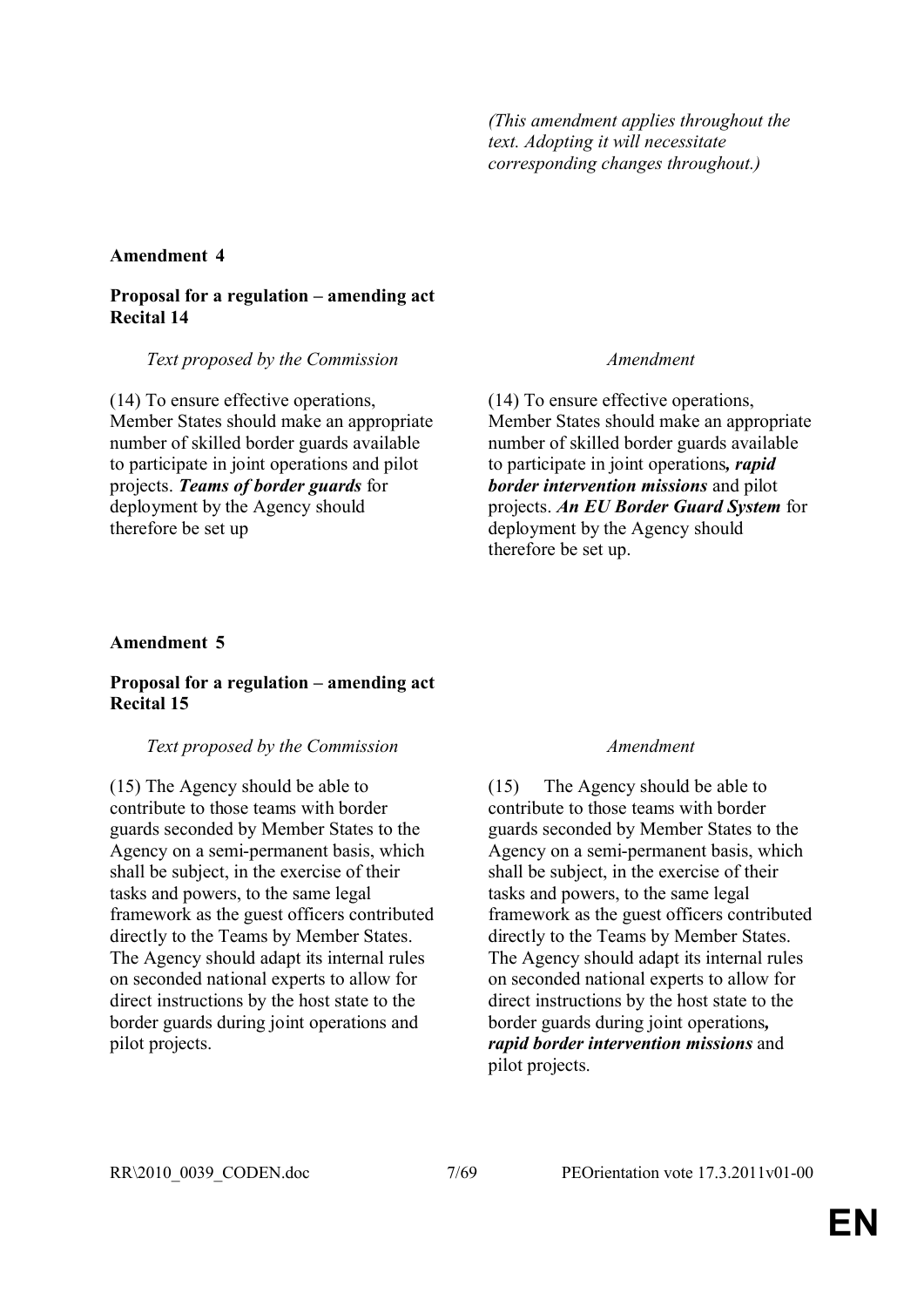*(This amendment applies throughout the text. Adopting it will necessitate corresponding changes throughout.)*

## **Amendment 4**

## **Proposal for a regulation – amending act Recital 14**

## *Text proposed by the Commission Amendment*

(14) To ensure effective operations, Member States should make an appropriate number of skilled border guards available to participate in joint operations and pilot projects. *Teams of border guards* for deployment by the Agency should therefore be set up

(14) To ensure effective operations, Member States should make an appropriate number of skilled border guards available to participate in joint operations*, rapid border intervention missions* and pilot projects. *An EU Border Guard System* for deployment by the Agency should therefore be set up.

## **Amendment 5**

## **Proposal for a regulation – amending act Recital 15**

## *Text proposed by the Commission Amendment*

(15) The Agency should be able to contribute to those teams with border guards seconded by Member States to the Agency on a semi-permanent basis, which shall be subject, in the exercise of their tasks and powers, to the same legal framework as the guest officers contributed directly to the Teams by Member States. The Agency should adapt its internal rules on seconded national experts to allow for direct instructions by the host state to the border guards during joint operations and pilot projects.

(15) The Agency should be able to contribute to those teams with border guards seconded by Member States to the Agency on a semi-permanent basis, which shall be subject, in the exercise of their tasks and powers, to the same legal framework as the guest officers contributed directly to the Teams by Member States. The Agency should adapt its internal rules on seconded national experts to allow for direct instructions by the host state to the border guards during joint operations*, rapid border intervention missions* and pilot projects.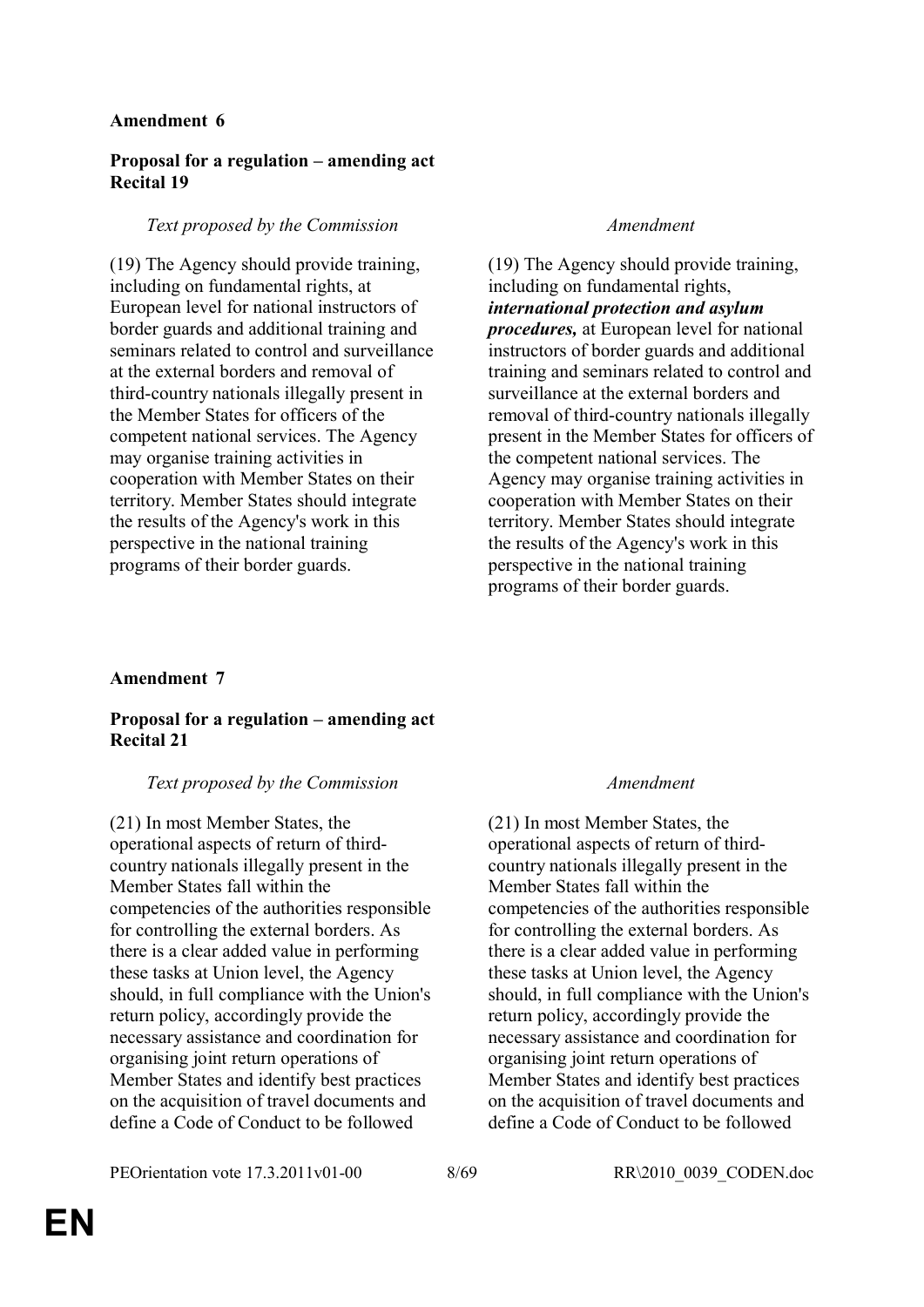## **Proposal for a regulation – amending act Recital 19**

## *Text proposed by the Commission Amendment*

(19) The Agency should provide training, including on fundamental rights, at European level for national instructors of border guards and additional training and seminars related to control and surveillance at the external borders and removal of third-country nationals illegally present in the Member States for officers of the competent national services. The Agency may organise training activities in cooperation with Member States on their territory. Member States should integrate the results of the Agency's work in this perspective in the national training programs of their border guards.

(19) The Agency should provide training, including on fundamental rights, *international protection and asylum procedures,* at European level for national instructors of border guards and additional training and seminars related to control and surveillance at the external borders and removal of third-country nationals illegally present in the Member States for officers of the competent national services. The Agency may organise training activities in cooperation with Member States on their territory. Member States should integrate the results of the Agency's work in this perspective in the national training programs of their border guards.

## **Amendment 7**

## **Proposal for a regulation – amending act Recital 21**

## *Text proposed by the Commission Amendment*

(21) In most Member States, the operational aspects of return of thirdcountry nationals illegally present in the Member States fall within the competencies of the authorities responsible for controlling the external borders. As there is a clear added value in performing these tasks at Union level, the Agency should, in full compliance with the Union's return policy, accordingly provide the necessary assistance and coordination for organising joint return operations of Member States and identify best practices on the acquisition of travel documents and define a Code of Conduct to be followed

(21) In most Member States, the operational aspects of return of thirdcountry nationals illegally present in the Member States fall within the competencies of the authorities responsible for controlling the external borders. As there is a clear added value in performing these tasks at Union level, the Agency should, in full compliance with the Union's return policy, accordingly provide the necessary assistance and coordination for organising joint return operations of Member States and identify best practices on the acquisition of travel documents and define a Code of Conduct to be followed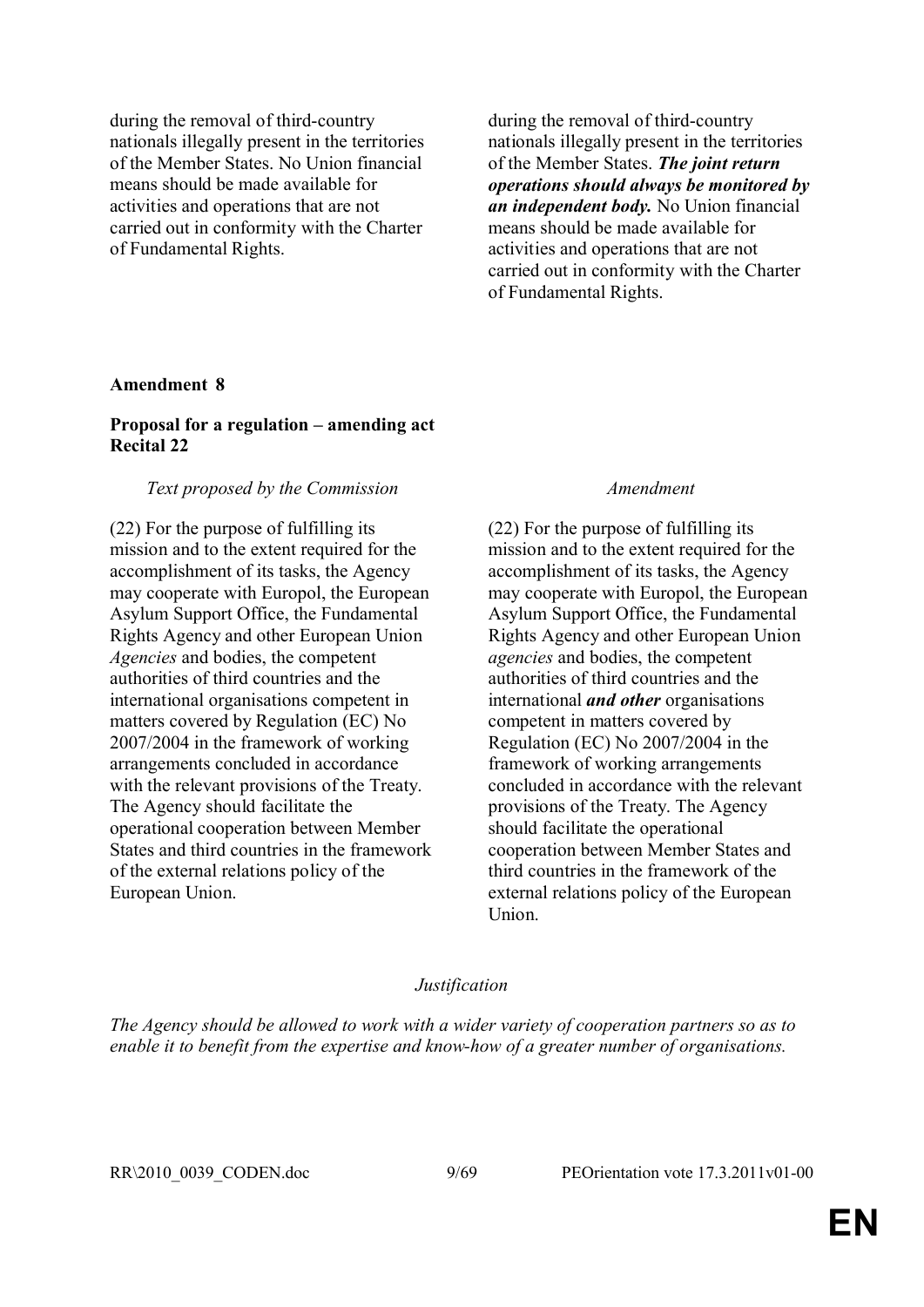during the removal of third-country nationals illegally present in the territories of the Member States. No Union financial means should be made available for activities and operations that are not carried out in conformity with the Charter of Fundamental Rights.

during the removal of third-country nationals illegally present in the territories of the Member States. *The joint return operations should always be monitored by an independent body.* No Union financial means should be made available for activities and operations that are not carried out in conformity with the Charter of Fundamental Rights.

## **Amendment 8**

## **Proposal for a regulation – amending act Recital 22**

## *Text proposed by the Commission Amendment*

(22) For the purpose of fulfilling its mission and to the extent required for the accomplishment of its tasks, the Agency may cooperate with Europol, the European Asylum Support Office, the Fundamental Rights Agency and other European Union *Agencies* and bodies, the competent authorities of third countries and the international organisations competent in matters covered by Regulation (EC) No 2007/2004 in the framework of working arrangements concluded in accordance with the relevant provisions of the Treaty. The Agency should facilitate the operational cooperation between Member States and third countries in the framework of the external relations policy of the European Union.

(22) For the purpose of fulfilling its mission and to the extent required for the accomplishment of its tasks, the Agency may cooperate with Europol, the European Asylum Support Office, the Fundamental Rights Agency and other European Union *agencies* and bodies, the competent authorities of third countries and the international *and other* organisations competent in matters covered by Regulation (EC) No 2007/2004 in the framework of working arrangements concluded in accordance with the relevant provisions of the Treaty. The Agency should facilitate the operational cooperation between Member States and third countries in the framework of the external relations policy of the European Union.

## *Justification*

*The Agency should be allowed to work with a wider variety of cooperation partners so as to enable it to benefit from the expertise and know-how of a greater number of organisations.*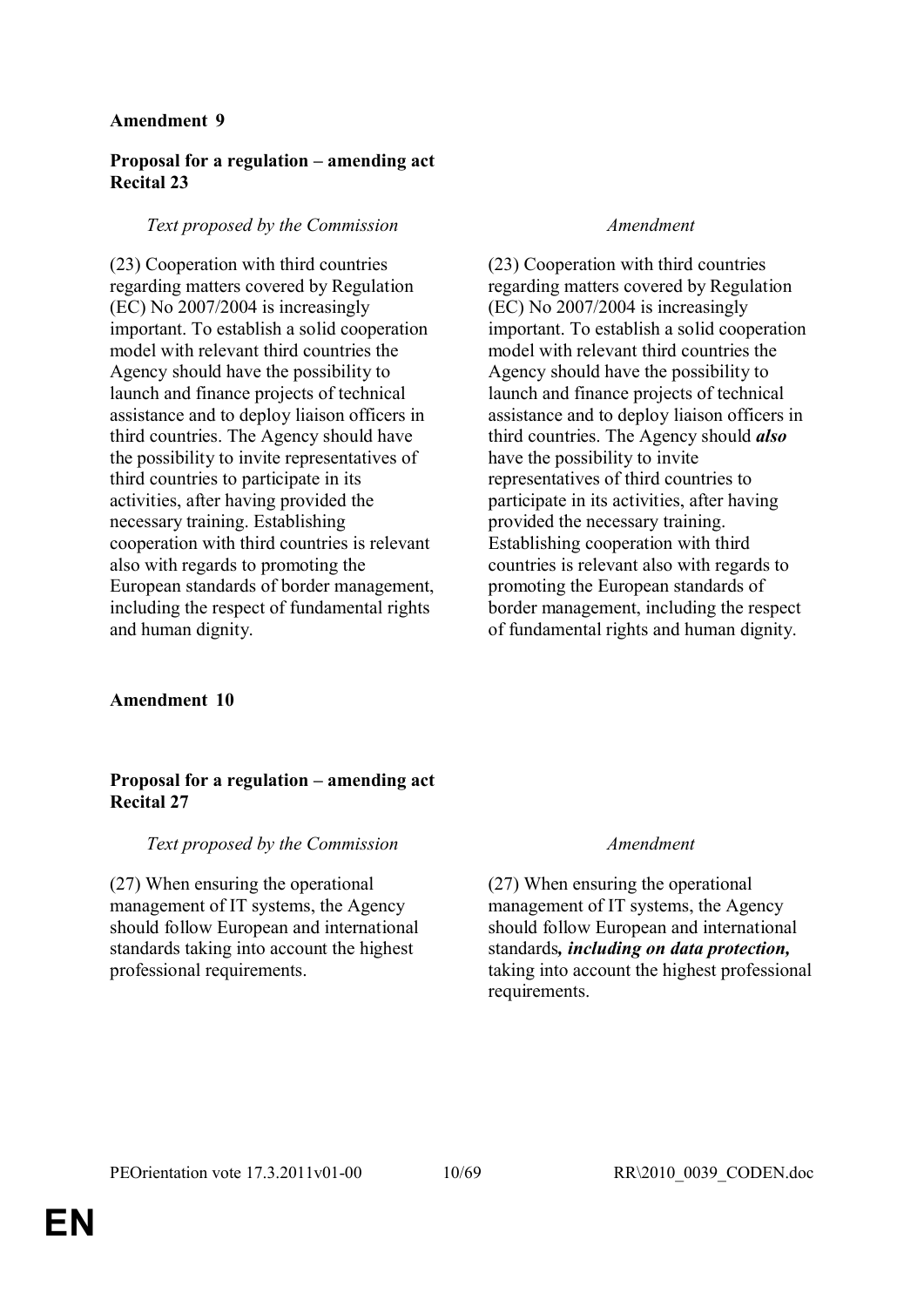## **Proposal for a regulation – amending act Recital 23**

## *Text proposed by the Commission Amendment*

(23) Cooperation with third countries regarding matters covered by Regulation (EC) No 2007/2004 is increasingly important. To establish a solid cooperation model with relevant third countries the Agency should have the possibility to launch and finance projects of technical assistance and to deploy liaison officers in third countries. The Agency should have the possibility to invite representatives of third countries to participate in its activities, after having provided the necessary training. Establishing cooperation with third countries is relevant also with regards to promoting the European standards of border management, including the respect of fundamental rights and human dignity.

(23) Cooperation with third countries regarding matters covered by Regulation (EC) No 2007/2004 is increasingly important. To establish a solid cooperation model with relevant third countries the Agency should have the possibility to launch and finance projects of technical assistance and to deploy liaison officers in third countries. The Agency should *also*  have the possibility to invite representatives of third countries to participate in its activities, after having provided the necessary training. Establishing cooperation with third countries is relevant also with regards to promoting the European standards of border management, including the respect of fundamental rights and human dignity.

## **Amendment 10**

## **Proposal for a regulation – amending act Recital 27**

## *Text proposed by the Commission Amendment*

(27) When ensuring the operational management of IT systems, the Agency should follow European and international standards taking into account the highest professional requirements.

(27) When ensuring the operational management of IT systems, the Agency should follow European and international standards*, including on data protection,* taking into account the highest professional requirements.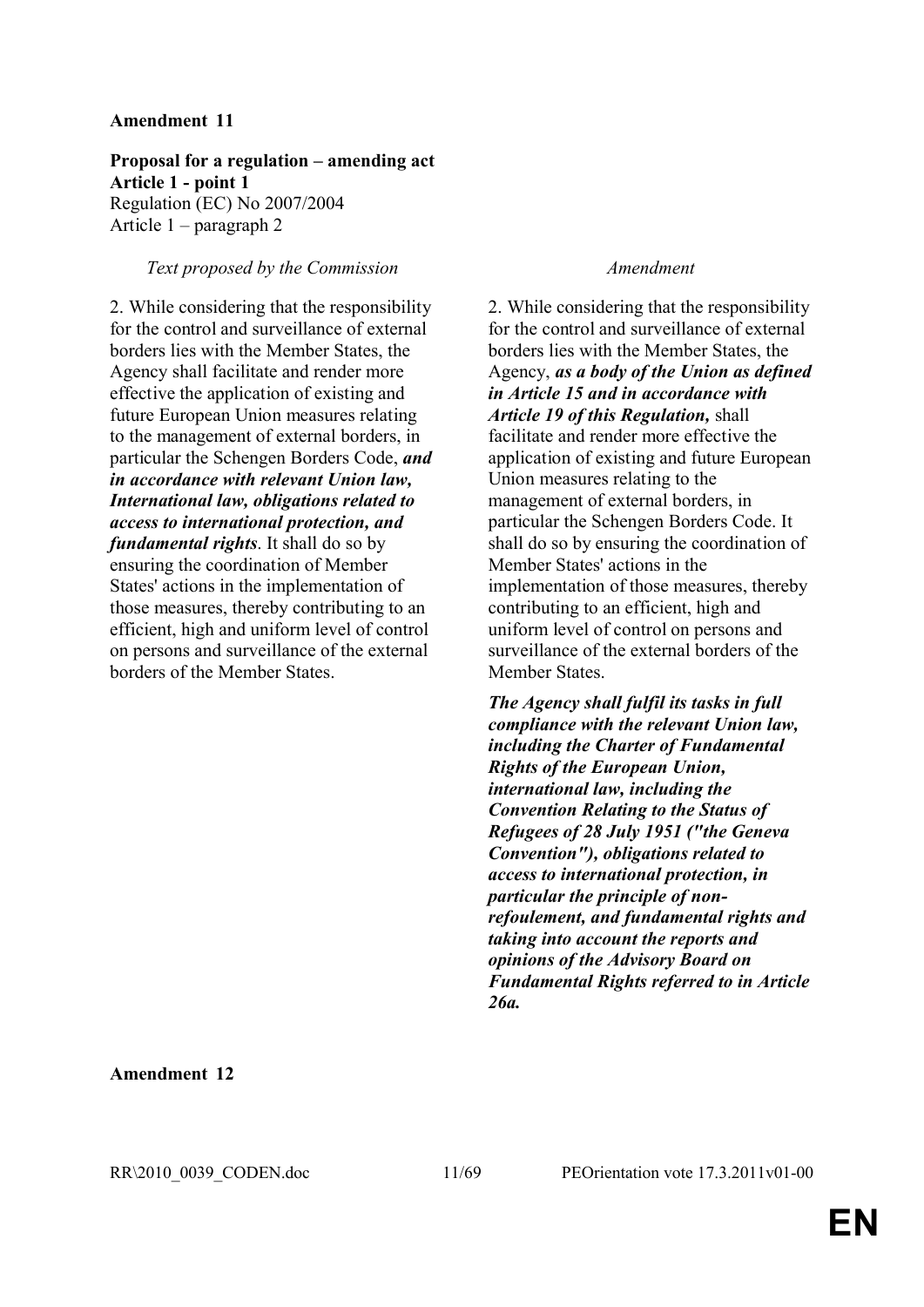**Proposal for a regulation – amending act Article 1 - point 1** Regulation (EC) No 2007/2004 Article 1 – paragraph 2

## *Text proposed by the Commission Amendment*

2. While considering that the responsibility for the control and surveillance of external borders lies with the Member States, the Agency shall facilitate and render more effective the application of existing and future European Union measures relating to the management of external borders, in particular the Schengen Borders Code, *and in accordance with relevant Union law, International law, obligations related to access to international protection, and fundamental rights*. It shall do so by ensuring the coordination of Member States' actions in the implementation of those measures, thereby contributing to an efficient, high and uniform level of control on persons and surveillance of the external borders of the Member States.

2. While considering that the responsibility for the control and surveillance of external borders lies with the Member States, the Agency, *as a body of the Union as defined in Article 15 and in accordance with Article 19 of this Regulation,* shall facilitate and render more effective the application of existing and future European Union measures relating to the management of external borders, in particular the Schengen Borders Code. It shall do so by ensuring the coordination of Member States' actions in the implementation of those measures, thereby contributing to an efficient, high and uniform level of control on persons and surveillance of the external borders of the Member States.

*The Agency shall fulfil its tasks in full compliance with the relevant Union law, including the Charter of Fundamental Rights of the European Union, international law, including the Convention Relating to the Status of Refugees of 28 July 1951 ("the Geneva Convention"), obligations related to access to international protection, in particular the principle of nonrefoulement, and fundamental rights and taking into account the reports and opinions of the Advisory Board on Fundamental Rights referred to in Article 26a.*

**Amendment 12**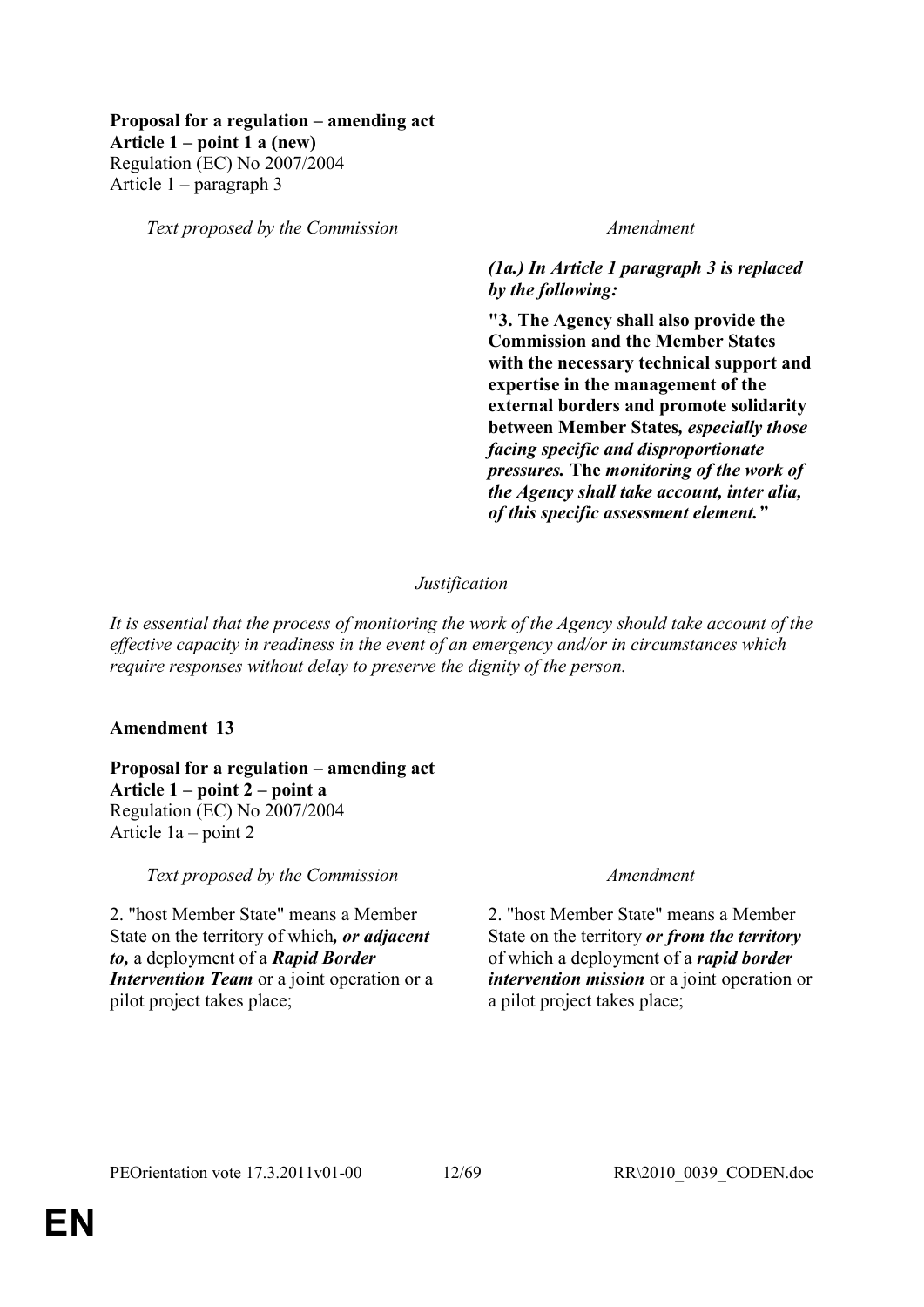## **Proposal for a regulation – amending act Article 1 – point 1 a (new)** Regulation (EC) No 2007/2004 Article 1 – paragraph 3

*Text proposed by the Commission Amendment*

## *(1a.) In Article 1 paragraph 3 is replaced by the following:*

**"3. The Agency shall also provide the Commission and the Member States with the necessary technical support and expertise in the management of the external borders and promote solidarity between Member States***, especially those facing specific and disproportionate pressures.* **The** *monitoring of the work of the Agency shall take account, inter alia, of this specific assessment element."*

## *Justification*

*It is essential that the process of monitoring the work of the Agency should take account of the effective capacity in readiness in the event of an emergency and/or in circumstances which require responses without delay to preserve the dignity of the person.*

## **Amendment 13**

**Proposal for a regulation – amending act Article 1 – point 2 – point a** Regulation (EC) No 2007/2004 Article 1a – point 2

*Text proposed by the Commission Amendment*

2. "host Member State" means a Member State on the territory of which*, or adjacent to,* a deployment of a *Rapid Border Intervention Team* or a joint operation or a pilot project takes place;

2. "host Member State" means a Member State on the territory *or from the territory* of which a deployment of a *rapid border intervention mission* or a joint operation or a pilot project takes place;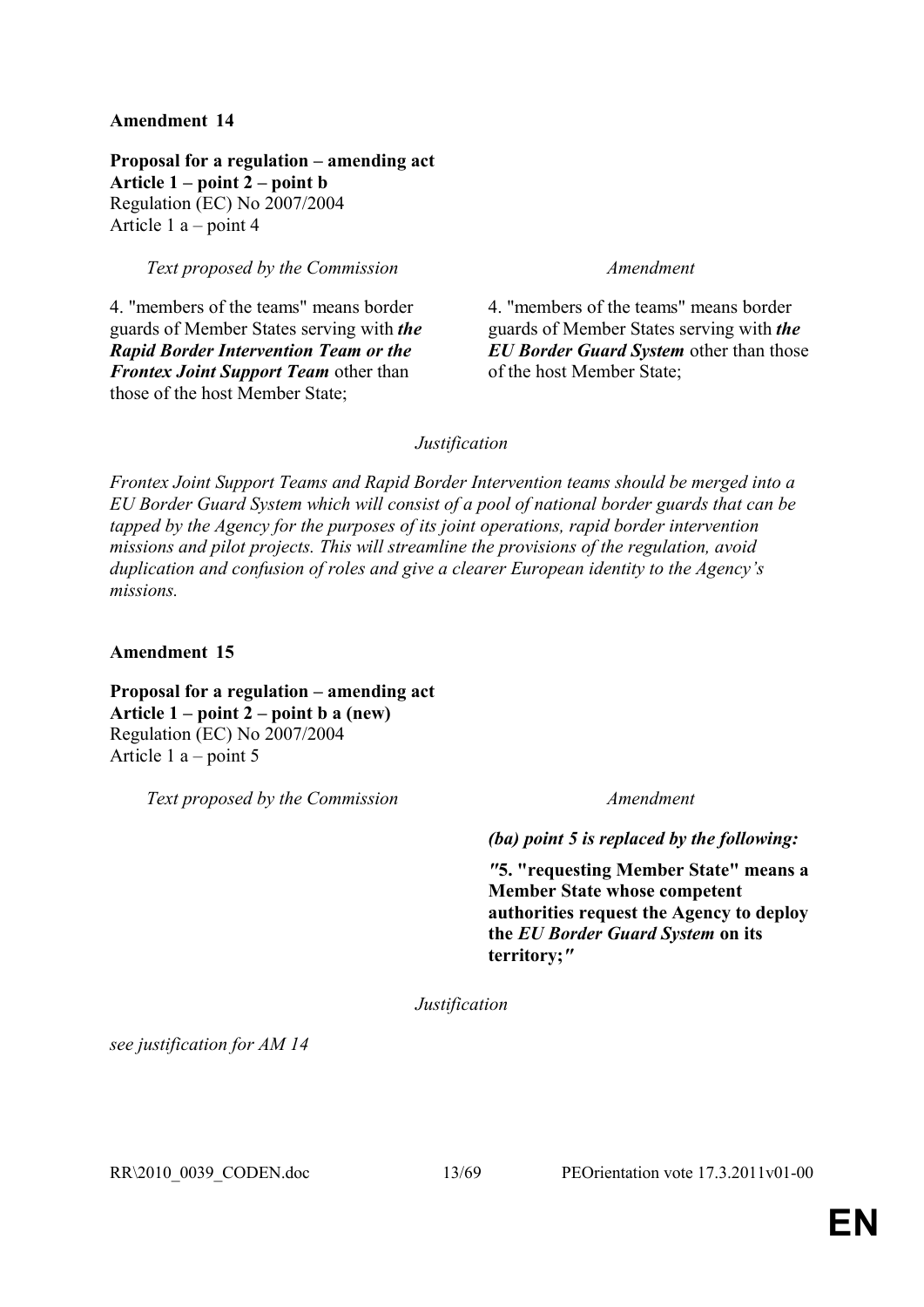**Proposal for a regulation – amending act Article 1 – point 2 – point b** Regulation (EC) No 2007/2004 Article 1 a – point 4

*Text proposed by the Commission Amendment*

4. "members of the teams" means border guards of Member States serving with *the Rapid Border Intervention Team or the Frontex Joint Support Team* other than those of the host Member State;

4. "members of the teams" means border guards of Member States serving with *the EU Border Guard System* other than those of the host Member State;

## *Justification*

*Frontex Joint Support Teams and Rapid Border Intervention teams should be merged into a EU Border Guard System which will consist of a pool of national border guards that can be tapped by the Agency for the purposes of its joint operations, rapid border intervention missions and pilot projects. This will streamline the provisions of the regulation, avoid duplication and confusion of roles and give a clearer European identity to the Agency's missions.*

**Amendment 15**

**Proposal for a regulation – amending act Article 1 – point 2 – point b a (new)** Regulation (EC) No 2007/2004 Article 1 a – point 5

*Text proposed by the Commission Amendment*

*(ba) point 5 is replaced by the following:*

*"***5. "requesting Member State" means a Member State whose competent authorities request the Agency to deploy the** *EU Border Guard System* **on its territory;***"*

*Justification*

*see justification for AM 14*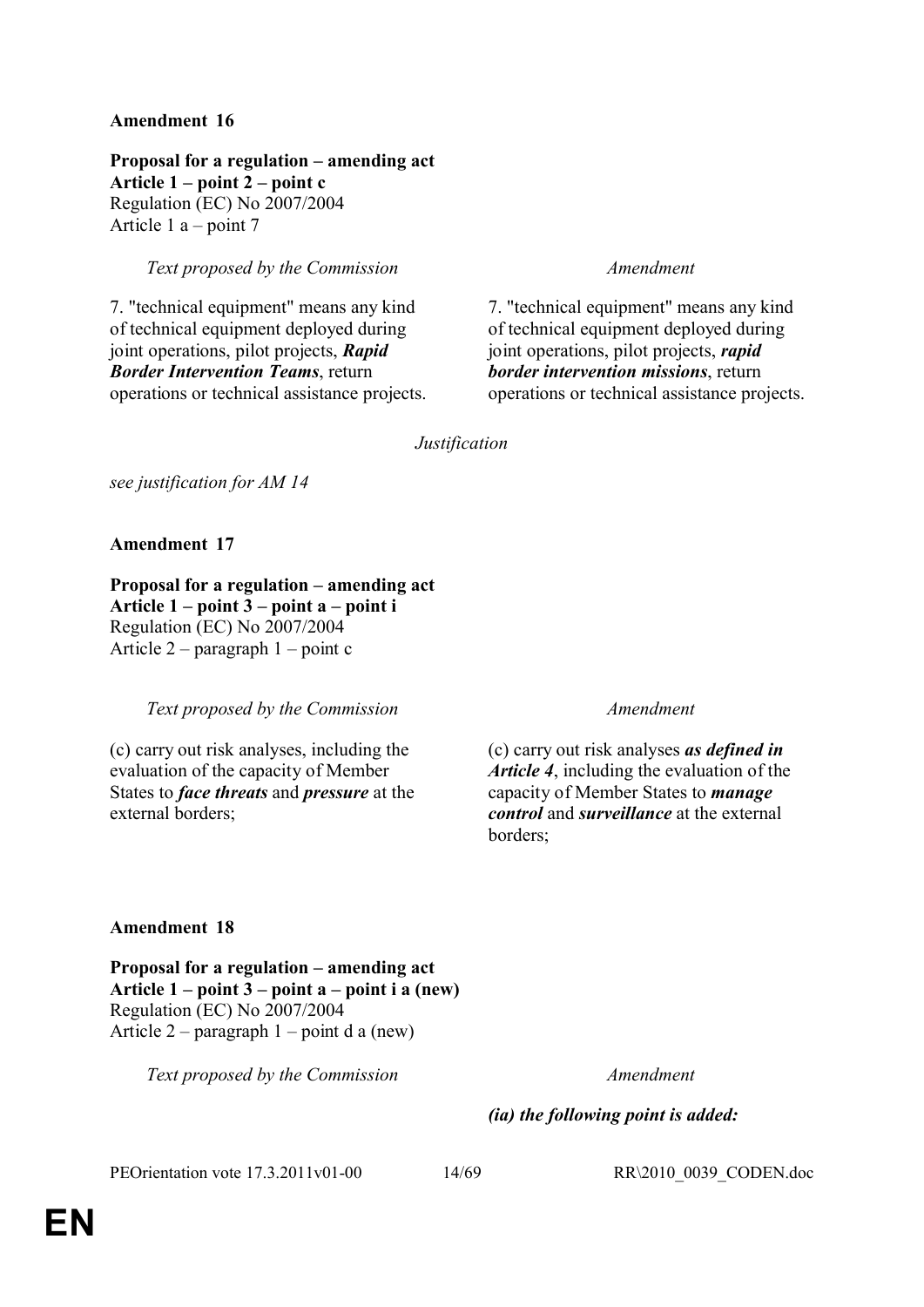**Proposal for a regulation – amending act Article 1 – point 2 – point c** Regulation (EC) No 2007/2004 Article 1 a – point 7

*Text proposed by the Commission Amendment*

7. "technical equipment" means any kind of technical equipment deployed during joint operations, pilot projects, *Rapid Border Intervention Teams*, return operations or technical assistance projects.

7. "technical equipment" means any kind of technical equipment deployed during joint operations, pilot projects, *rapid border intervention missions*, return operations or technical assistance projects.

*Justification*

*see justification for AM 14*

**Amendment 17**

**Proposal for a regulation – amending act Article 1 – point 3 – point a – point i**  Regulation (EC) No 2007/2004 Article 2 – paragraph 1 – point c

*Text proposed by the Commission Amendment*

(c) carry out risk analyses, including the evaluation of the capacity of Member States to *face threats* and *pressure* at the external borders;

(c) carry out risk analyses *as defined in Article 4*, including the evaluation of the capacity of Member States to *manage control* and *surveillance* at the external borders;

## **Amendment 18**

**Proposal for a regulation – amending act Article 1 – point 3 – point a – point i a (new)**  Regulation (EC) No 2007/2004 Article  $2$  – paragraph  $1$  – point d a (new)

*Text proposed by the Commission Amendment*

## *(ia) the following point is added:*

PEOrientation vote 17.3.2011v01-00 14/69 RR\2010\_0039\_CODEN.doc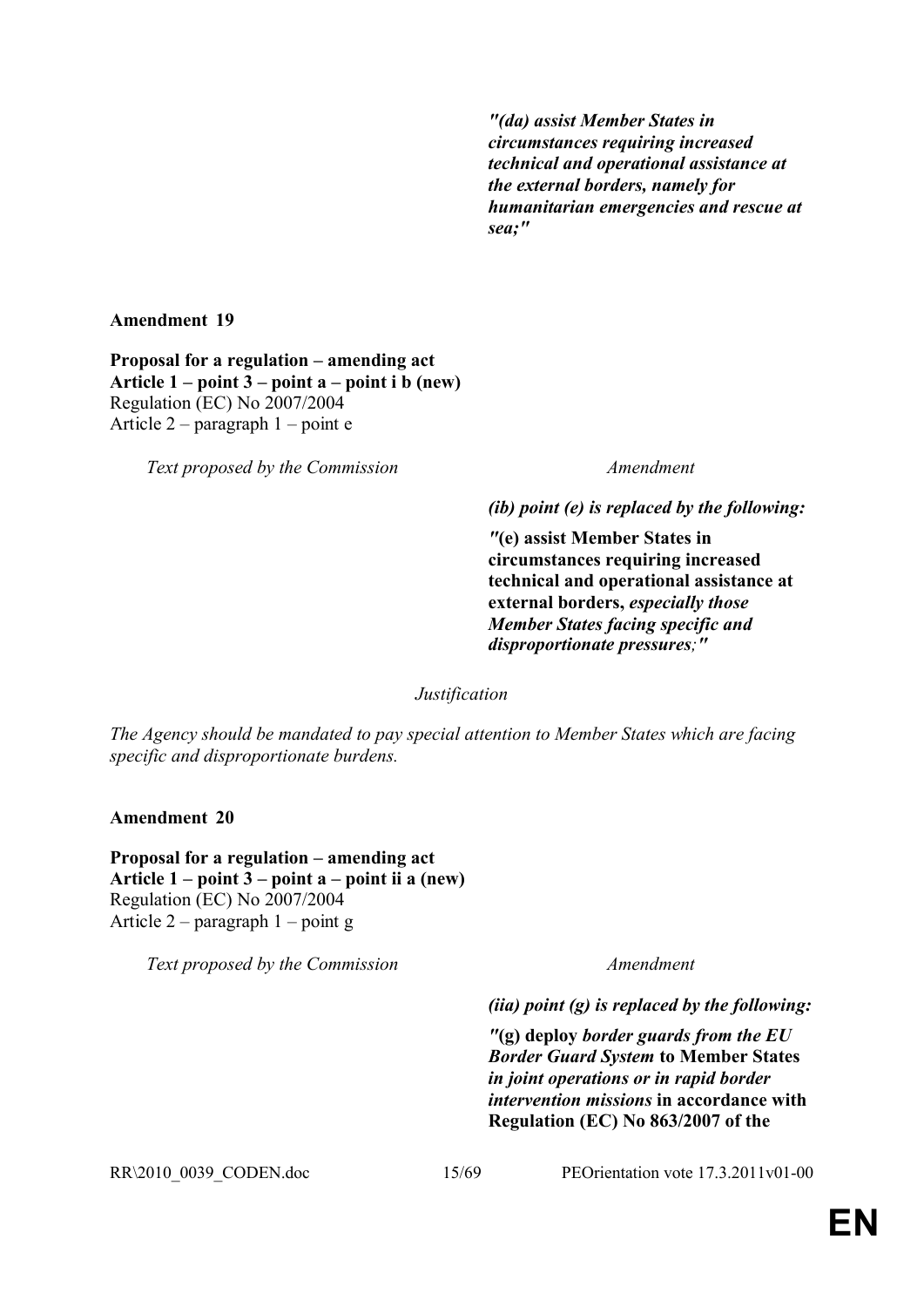*"(da) assist Member States in circumstances requiring increased technical and operational assistance at the external borders, namely for humanitarian emergencies and rescue at sea;"*

**Amendment 19**

**Proposal for a regulation – amending act Article 1 – point 3 – point a – point i b (new)** Regulation (EC) No 2007/2004 Article 2 – paragraph 1 – point e

*Text proposed by the Commission Amendment*

*(ib) point (e) is replaced by the following:*

*"***(e) assist Member States in circumstances requiring increased technical and operational assistance at external borders,** *especially those Member States facing specific and disproportionate pressures;"*

*Justification*

*The Agency should be mandated to pay special attention to Member States which are facing specific and disproportionate burdens.*

**Amendment 20**

**Proposal for a regulation – amending act Article 1 – point 3 – point a – point ii a (new)** Regulation (EC) No 2007/2004 Article 2 – paragraph 1 – point g

*Text proposed by the Commission Amendment*

*(iia) point (g) is replaced by the following:*

*"***(g) deploy** *border guards from the EU Border Guard System* **to Member States** *in joint operations or in rapid border intervention missions* **in accordance with Regulation (EC) No 863/2007 of the** 

RR\2010\_0039\_CODEN.doc 15/69 PEOrientation vote 17.3.2011v01-00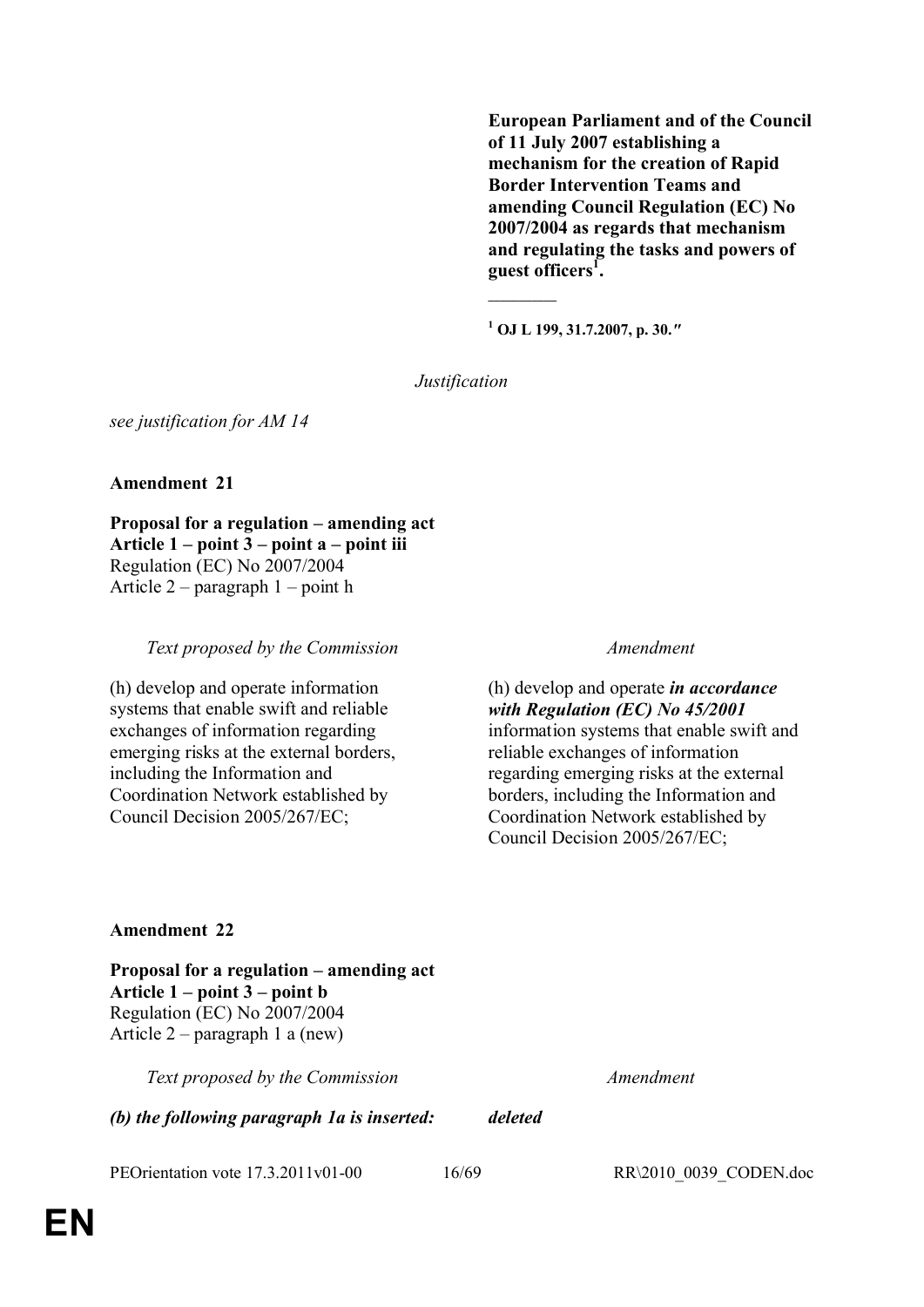**European Parliament and of the Council of 11 July 2007 establishing a mechanism for the creation of Rapid Border Intervention Teams and amending Council Regulation (EC) No 2007/2004 as regards that mechanism and regulating the tasks and powers of guest officers<sup>1</sup> .**

**1 OJ L 199, 31.7.2007, p. 30.***"*

**\_\_\_\_\_\_\_\_\_\_\_**

*Justification*

*see justification for AM 14*

## **Amendment 21**

**Proposal for a regulation – amending act Article 1 – point 3 – point a – point iii**  Regulation (EC) No 2007/2004 Article 2 – paragraph 1 – point h

*Text proposed by the Commission Amendment*

(h) develop and operate information systems that enable swift and reliable exchanges of information regarding emerging risks at the external borders, including the Information and Coordination Network established by Council Decision 2005/267/EC;

(h) develop and operate *in accordance with Regulation (EC) No 45/2001*  information systems that enable swift and reliable exchanges of information regarding emerging risks at the external borders, including the Information and Coordination Network established by Council Decision 2005/267/EC;

## **Amendment 22**

**Proposal for a regulation – amending act Article 1 – point 3 – point b** Regulation (EC) No 2007/2004 Article 2 – paragraph 1 a (new)

*Text proposed by the Commission Amendment*

*(b) the following paragraph 1a is inserted: deleted*

PEOrientation vote 17.3.2011v01-00 16/69 RR\2010\_0039\_CODEN.doc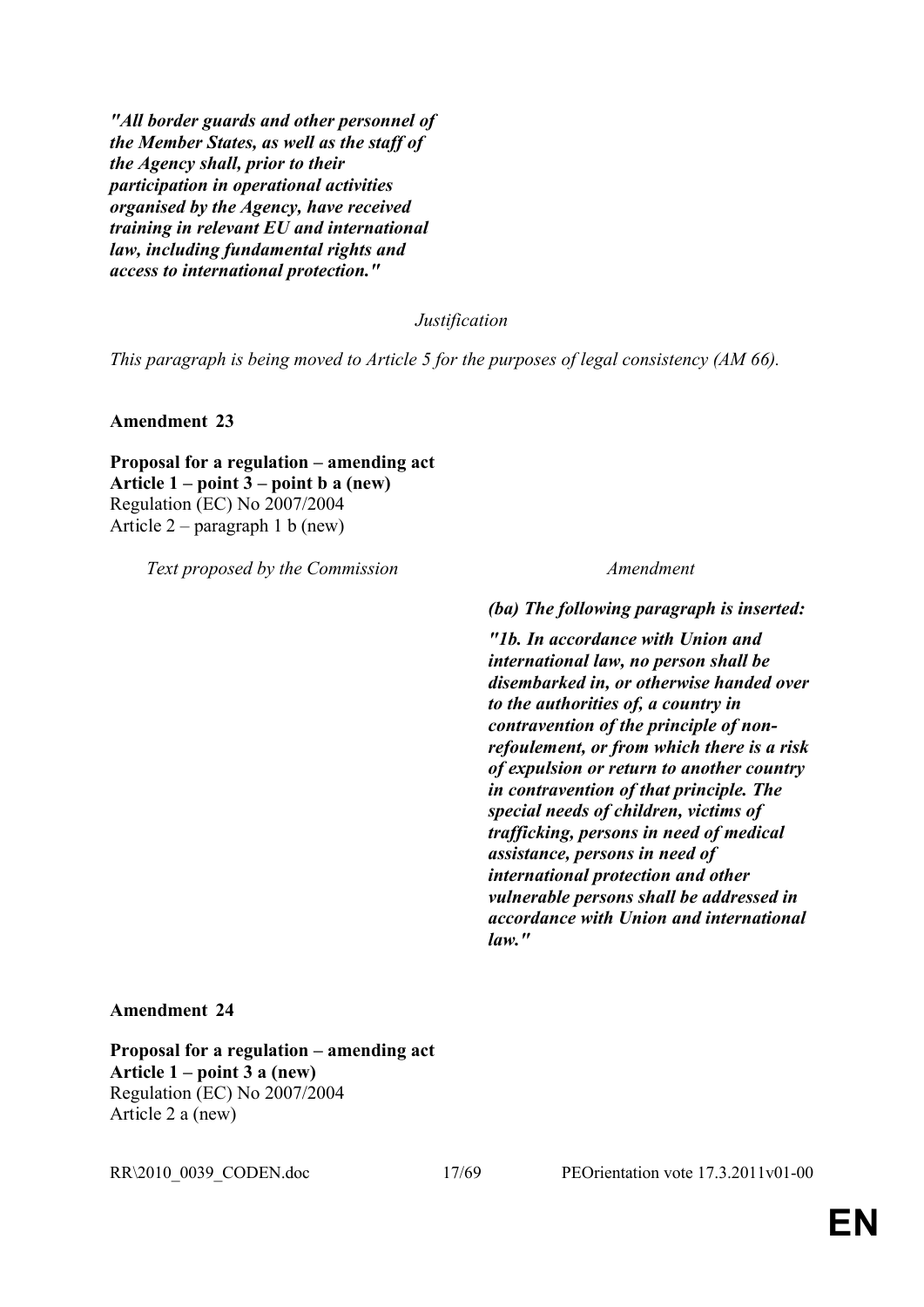*"All border guards and other personnel of the Member States, as well as the staff of the Agency shall, prior to their participation in operational activities organised by the Agency, have received training in relevant EU and international law, including fundamental rights and access to international protection."*

*Justification*

*This paragraph is being moved to Article 5 for the purposes of legal consistency (AM 66).*

**Amendment 23**

## **Proposal for a regulation – amending act Article 1 – point 3 – point b a (new)** Regulation (EC) No 2007/2004 Article 2 – paragraph 1 b (new)

*Text proposed by the Commission Amendment*

*(ba) The following paragraph is inserted:*

*"1b. In accordance with Union and international law, no person shall be disembarked in, or otherwise handed over to the authorities of, a country in contravention of the principle of nonrefoulement, or from which there is a risk of expulsion or return to another country in contravention of that principle. The special needs of children, victims of trafficking, persons in need of medical assistance, persons in need of international protection and other vulnerable persons shall be addressed in accordance with Union and international law."*

## **Amendment 24**

**Proposal for a regulation – amending act Article 1 – point 3 a (new)** Regulation (EC) No 2007/2004 Article 2 a (new)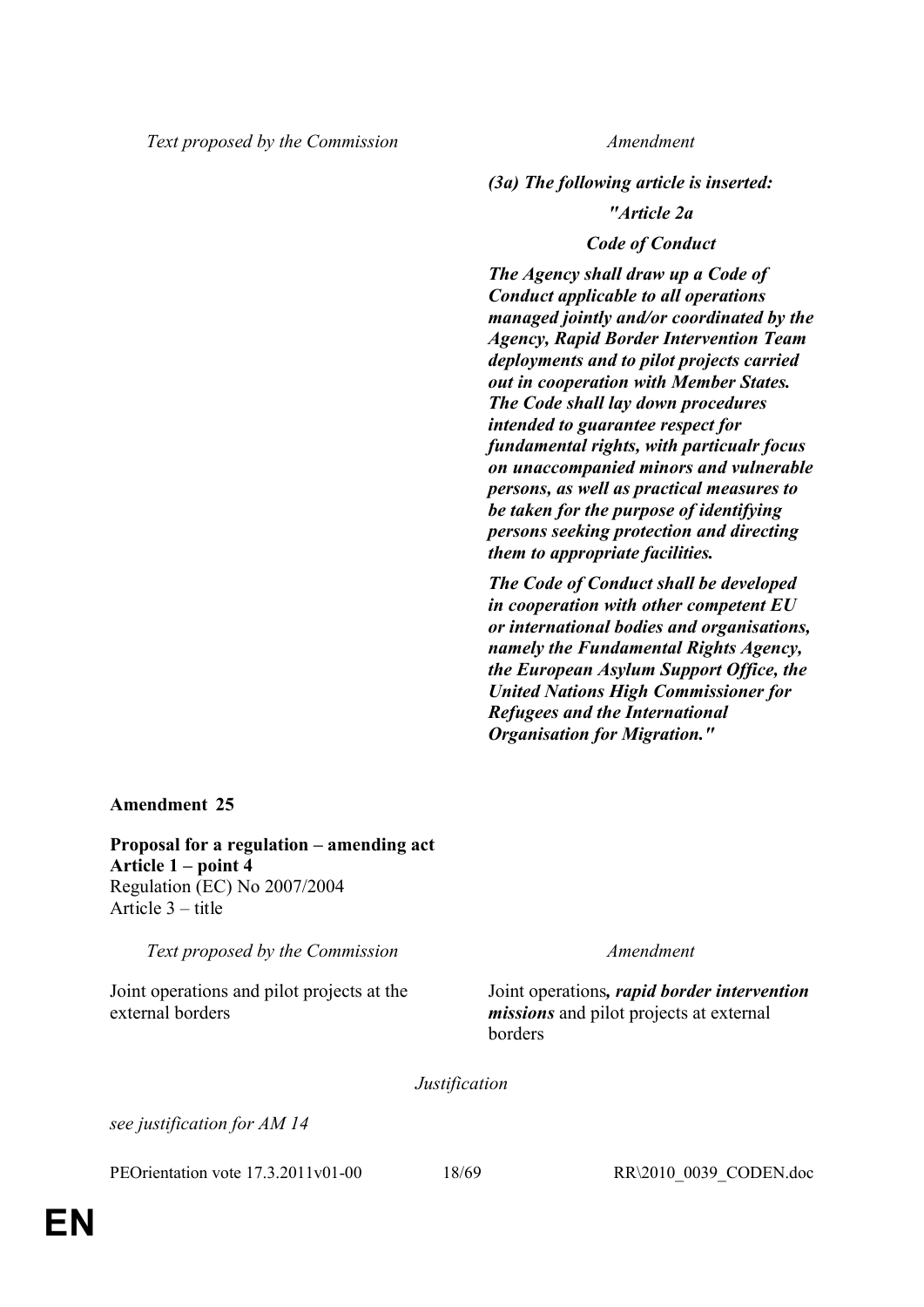*(3a) The following article is inserted:*

## *"Article 2a*

## *Code of Conduct*

*The Agency shall draw up a Code of Conduct applicable to all operations managed jointly and/or coordinated by the Agency, Rapid Border Intervention Team deployments and to pilot projects carried out in cooperation with Member States. The Code shall lay down procedures intended to guarantee respect for fundamental rights, with particualr focus on unaccompanied minors and vulnerable persons, as well as practical measures to be taken for the purpose of identifying persons seeking protection and directing them to appropriate facilities.*

*The Code of Conduct shall be developed in cooperation with other competent EU or international bodies and organisations, namely the Fundamental Rights Agency, the European Asylum Support Office, the United Nations High Commissioner for Refugees and the International Organisation for Migration."*

## **Amendment 25**

**Proposal for a regulation – amending act Article 1 – point 4** Regulation (EC) No 2007/2004 Article 3 – title

*Text proposed by the Commission Amendment*

Joint operations and pilot projects at the external borders

Joint operations*, rapid border intervention missions* and pilot projects at external borders

*Justification*

*see justification for AM 14*

PEOrientation vote 17.3.2011v01-00 18/69 RR\2010\_0039\_CODEN.doc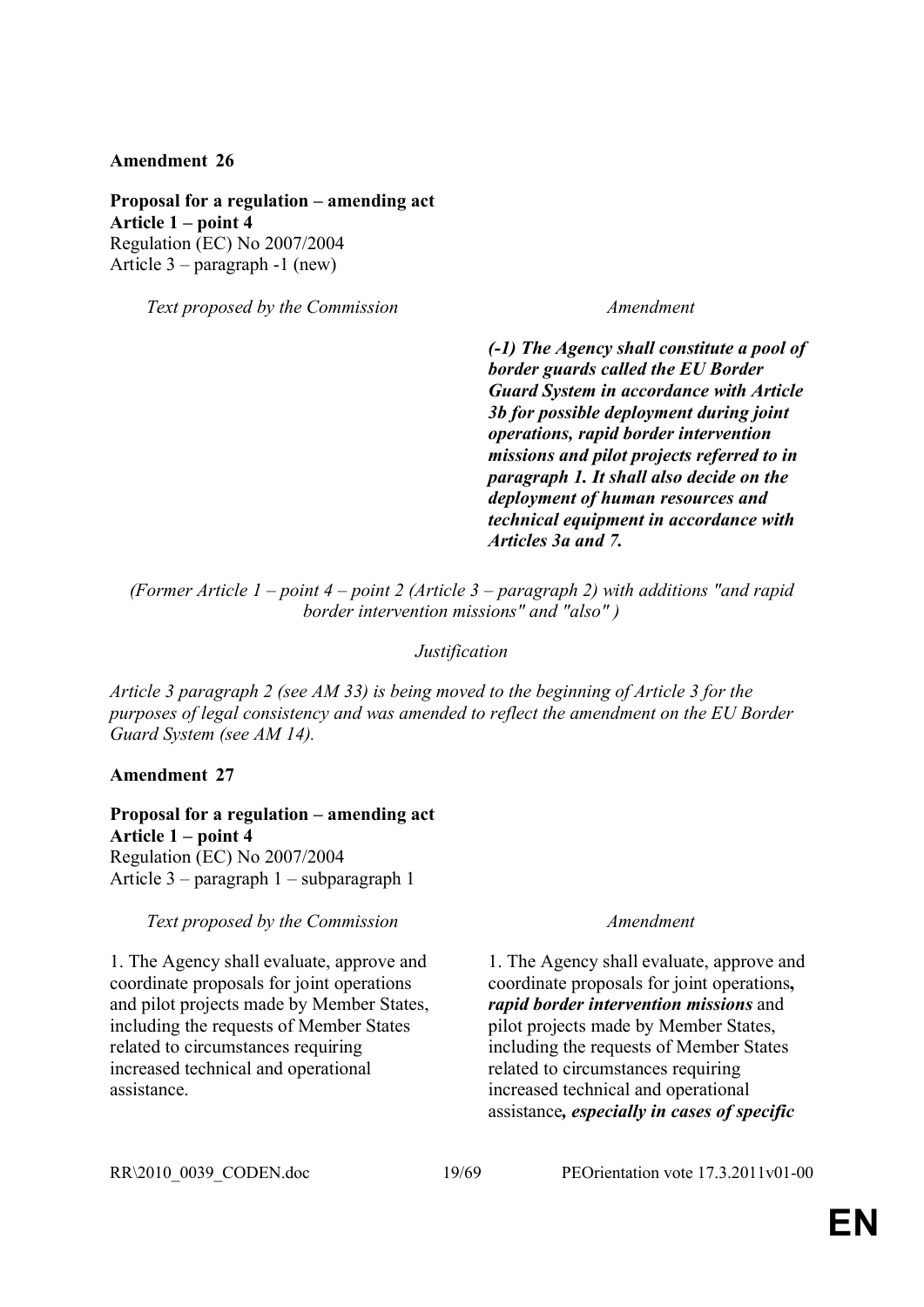**Proposal for a regulation – amending act Article 1 – point 4** Regulation (EC) No 2007/2004 Article 3 – paragraph -1 (new)

*Text proposed by the Commission Amendment*

*(-1) The Agency shall constitute a pool of border guards called the EU Border Guard System in accordance with Article 3b for possible deployment during joint operations, rapid border intervention missions and pilot projects referred to in paragraph 1. It shall also decide on the deployment of human resources and technical equipment in accordance with Articles 3a and 7.*

*(Former Article 1 – point 4 – point 2 (Article 3 – paragraph 2) with additions "and rapid border intervention missions" and "also" )*

## *Justification*

*Article 3 paragraph 2 (see AM 33) is being moved to the beginning of Article 3 for the purposes of legal consistency and was amended to reflect the amendment on the EU Border Guard System (see AM 14).*

## **Amendment 27**

**Proposal for a regulation – amending act Article 1 – point 4** Regulation (EC) No 2007/2004 Article 3 – paragraph 1 – subparagraph 1

*Text proposed by the Commission Amendment*

1. The Agency shall evaluate, approve and coordinate proposals for joint operations and pilot projects made by Member States, including the requests of Member States related to circumstances requiring increased technical and operational assistance.

1. The Agency shall evaluate, approve and coordinate proposals for joint operations**,** *rapid border intervention missions* and pilot projects made by Member States, including the requests of Member States related to circumstances requiring increased technical and operational assistance*, especially in cases of specific*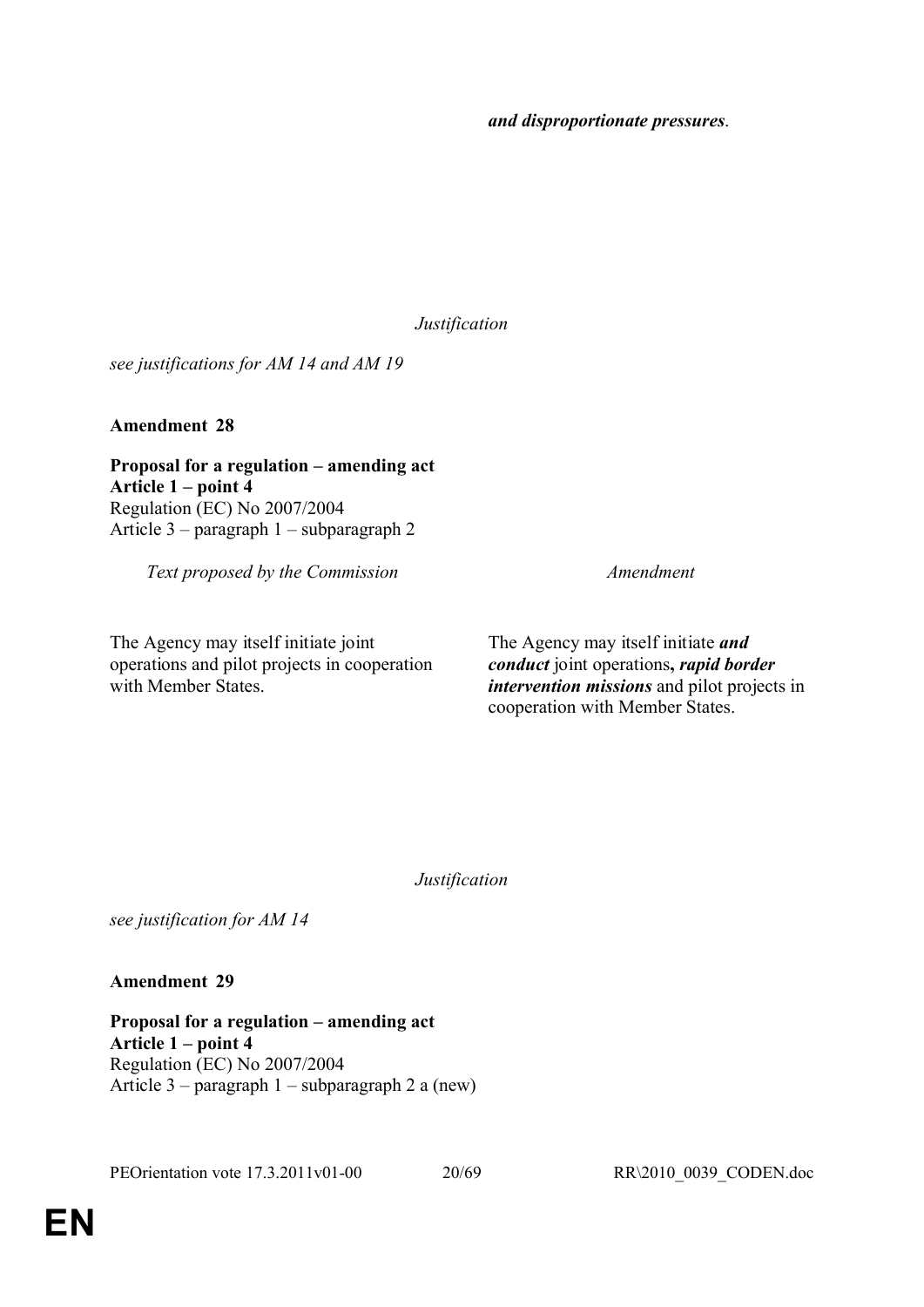*Justification*

*see justifications for AM 14 and AM 19*

**Amendment 28**

**Proposal for a regulation – amending act Article 1 – point 4** Regulation (EC) No 2007/2004 Article 3 – paragraph 1 – subparagraph 2

*Text proposed by the Commission Amendment*

The Agency may itself initiate joint operations and pilot projects in cooperation with Member States.

The Agency may itself initiate *and* 

*conduct* joint operations**,** *rapid border intervention missions* and pilot projects in cooperation with Member States.

*Justification*

*see justification for AM 14*

**Amendment 29**

**Proposal for a regulation – amending act Article 1 – point 4** Regulation (EC) No 2007/2004 Article 3 – paragraph 1 – subparagraph 2 a (new)

PEOrientation vote 17.3.2011v01-00 20/69 RR\2010\_0039\_CODEN.doc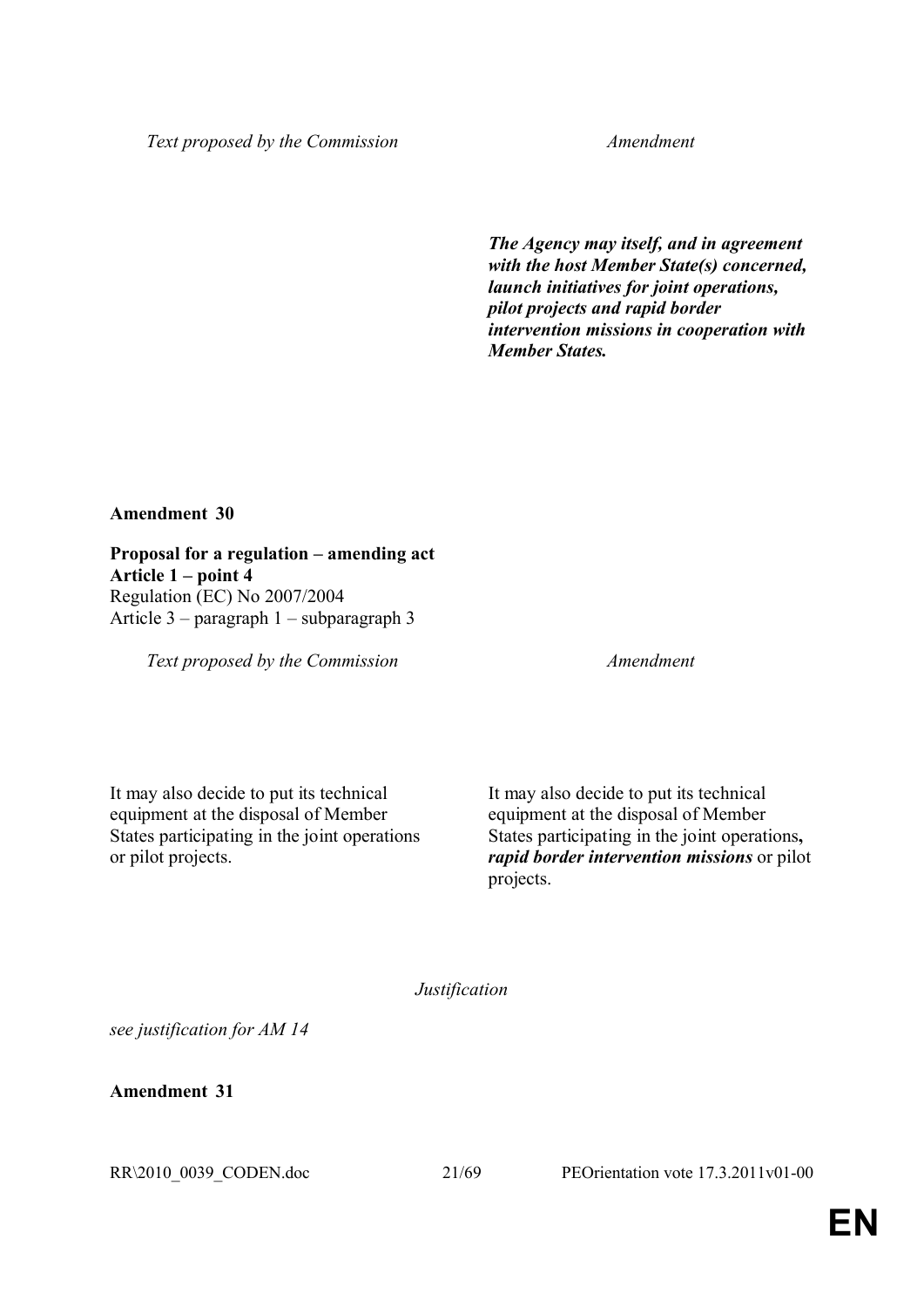*The Agency may itself, and in agreement with the host Member State(s) concerned, launch initiatives for joint operations, pilot projects and rapid border intervention missions in cooperation with Member States.*

## **Amendment 30**

**Proposal for a regulation – amending act Article 1 – point 4** Regulation (EC) No 2007/2004 Article 3 – paragraph 1 – subparagraph 3

*Text proposed by the Commission Amendment*

It may also decide to put its technical equipment at the disposal of Member States participating in the joint operations or pilot projects.

It may also decide to put its technical equipment at the disposal of Member States participating in the joint operations**,** *rapid border intervention missions* or pilot projects.

*Justification*

*see justification for AM 14*

**Amendment 31**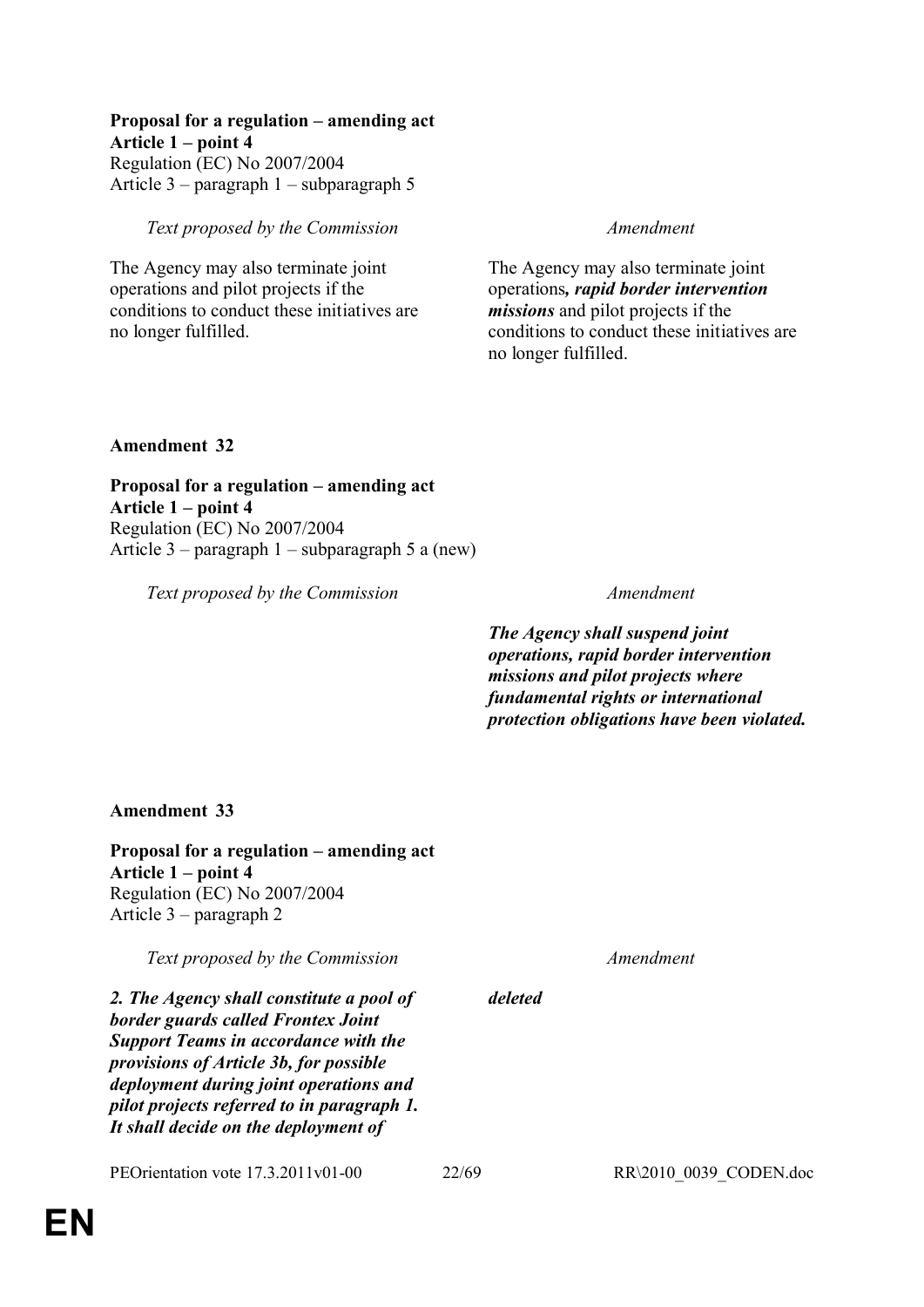## **Proposal for a regulation – amending act**

**Article 1 – point 4**  Regulation (EC) No 2007/2004 Article 3 – paragraph 1 – subparagraph 5

## *Text proposed by the Commission Amendment*

The Agency may also terminate joint operations and pilot projects if the conditions to conduct these initiatives are no longer fulfilled.

The Agency may also terminate joint operations*, rapid border intervention missions* and pilot projects if the conditions to conduct these initiatives are no longer fulfilled.

## **Amendment 32**

**Proposal for a regulation – amending act Article 1 – point 4**  Regulation (EC) No 2007/2004 Article 3 – paragraph 1 – subparagraph 5 a (new)

*Text proposed by the Commission Amendment*

*The Agency shall suspend joint operations, rapid border intervention missions and pilot projects where fundamental rights or international protection obligations have been violated.* 

## **Amendment 33**

**Proposal for a regulation – amending act Article 1 – point 4** Regulation (EC) No 2007/2004 Article 3 – paragraph 2

*Text proposed by the Commission Amendment*

*2. The Agency shall constitute a pool of border guards called Frontex Joint Support Teams in accordance with the provisions of Article 3b, for possible deployment during joint operations and pilot projects referred to in paragraph 1. It shall decide on the deployment of* 

PEOrientation vote 17.3.2011v01-00 22/69 RR\2010\_0039\_CODEN.doc

*deleted*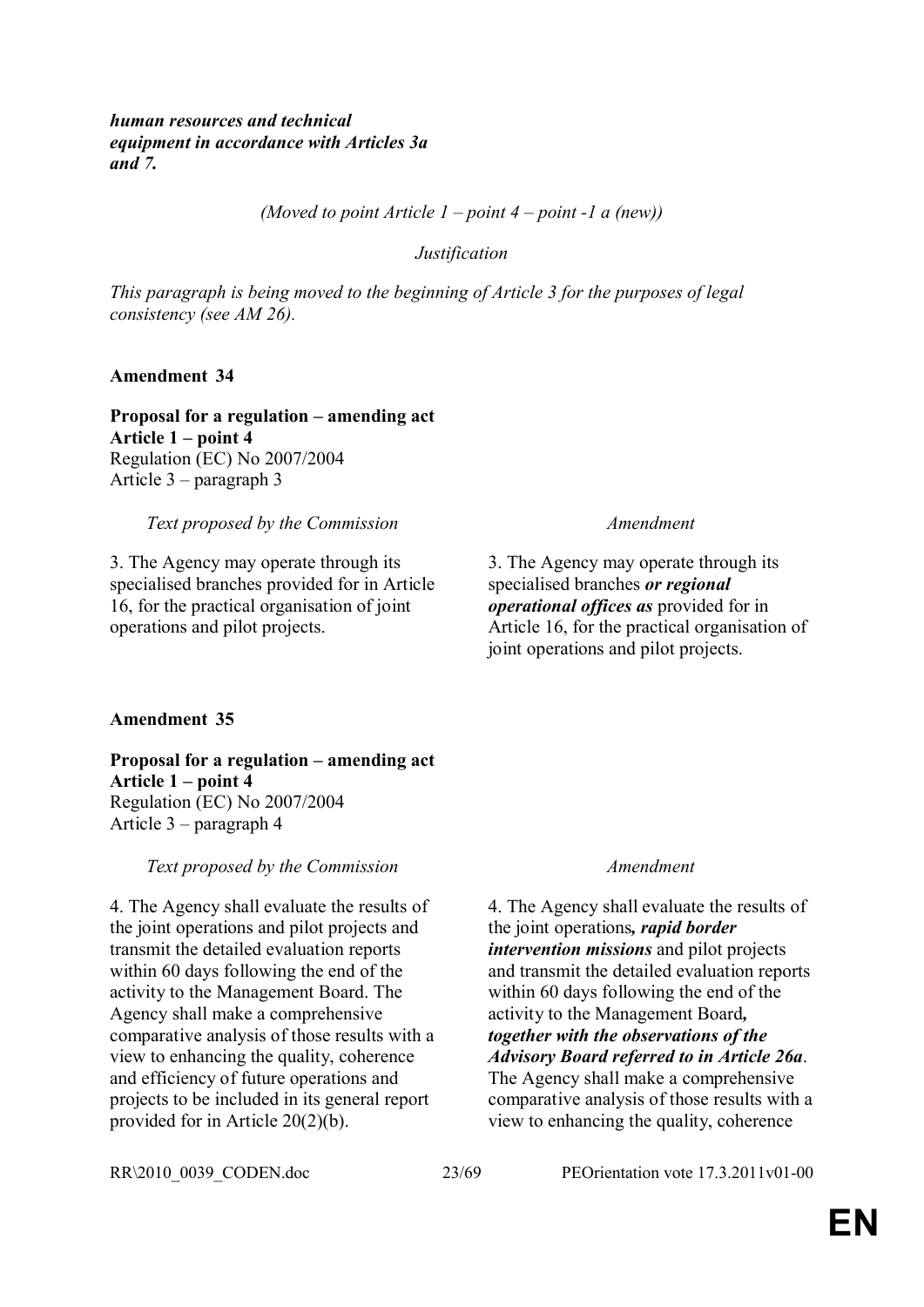*human resources and technical equipment in accordance with Articles 3a and 7.*

*(Moved to point Article 1 – point 4 – point -1 a (new))*

*Justification*

*This paragraph is being moved to the beginning of Article 3 for the purposes of legal consistency (see AM 26).*

**Amendment 34**

**Proposal for a regulation – amending act Article 1 – point 4** Regulation (EC) No 2007/2004 Article 3 – paragraph 3

## *Text proposed by the Commission Amendment*

3. The Agency may operate through its specialised branches provided for in Article 16, for the practical organisation of joint operations and pilot projects.

3. The Agency may operate through its specialised branches *or regional operational offices as* provided for in Article 16, for the practical organisation of joint operations and pilot projects.

## **Amendment 35**

**Proposal for a regulation – amending act Article 1 – point 4** Regulation (EC) No 2007/2004 Article 3 – paragraph 4

*Text proposed by the Commission Amendment*

4. The Agency shall evaluate the results of the joint operations and pilot projects and transmit the detailed evaluation reports within 60 days following the end of the activity to the Management Board. The Agency shall make a comprehensive comparative analysis of those results with a view to enhancing the quality, coherence and efficiency of future operations and projects to be included in its general report provided for in Article 20(2)(b).

4. The Agency shall evaluate the results of the joint operations*, rapid border intervention missions* and pilot projects and transmit the detailed evaluation reports within 60 days following the end of the activity to the Management Board*, together with the observations of the Advisory Board referred to in Article 26a*. The Agency shall make a comprehensive comparative analysis of those results with a view to enhancing the quality, coherence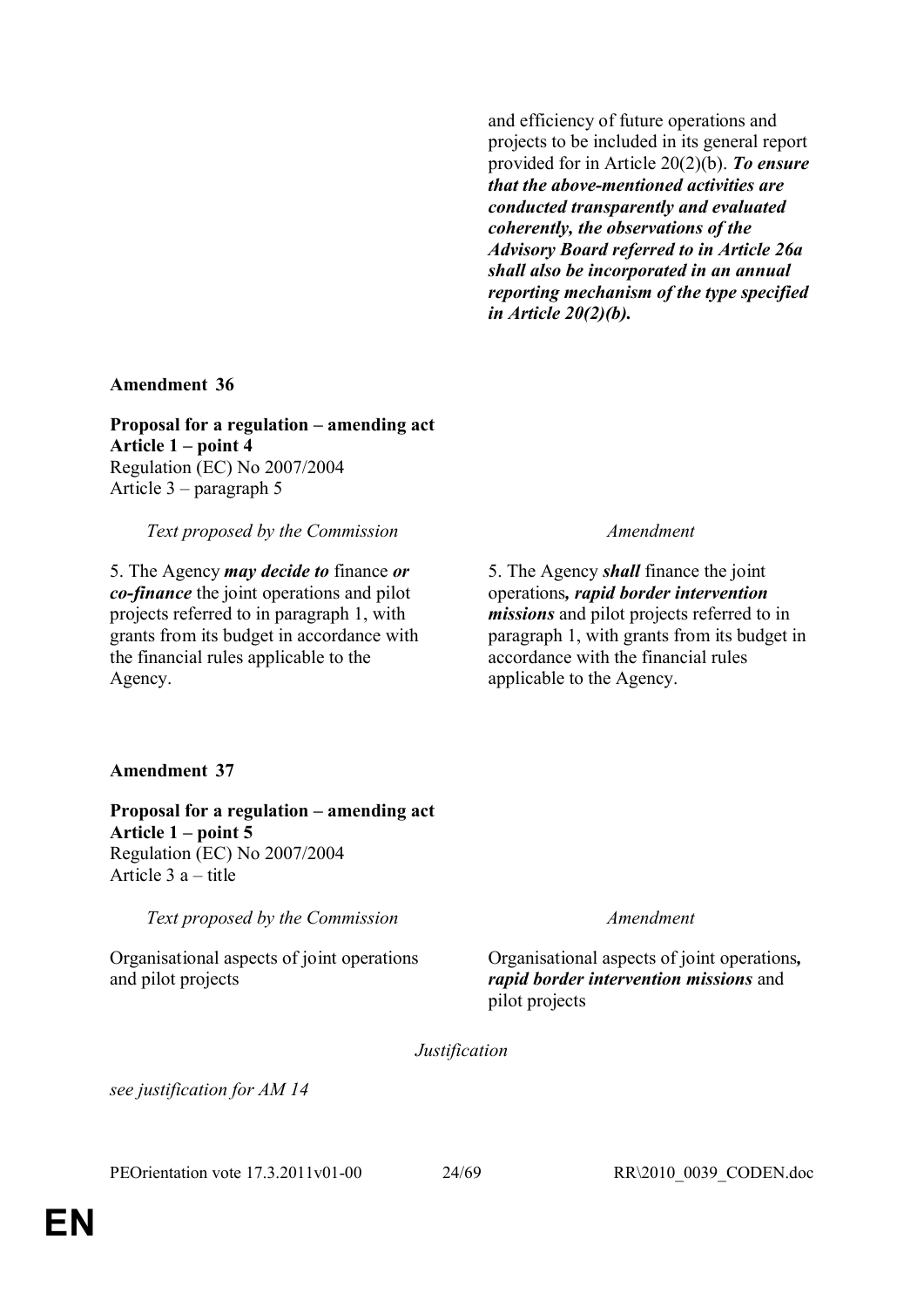and efficiency of future operations and projects to be included in its general report provided for in Article 20(2)(b). *To ensure that the above-mentioned activities are conducted transparently and evaluated coherently, the observations of the Advisory Board referred to in Article 26a shall also be incorporated in an annual reporting mechanism of the type specified in Article 20(2)(b).*

**Amendment 36**

**Proposal for a regulation – amending act Article 1 – point 4**  Regulation (EC) No 2007/2004 Article 3 – paragraph 5

*Text proposed by the Commission Amendment*

5. The Agency *may decide to* finance *or co-finance* the joint operations and pilot projects referred to in paragraph 1, with grants from its budget in accordance with the financial rules applicable to the Agency.

5. The Agency *shall* finance the joint operations*, rapid border intervention missions* and pilot projects referred to in paragraph 1, with grants from its budget in accordance with the financial rules applicable to the Agency.

## **Amendment 37**

**Proposal for a regulation – amending act Article 1 – point 5** Regulation (EC) No 2007/2004 Article 3 a – title

*Text proposed by the Commission Amendment*

Organisational aspects of joint operations and pilot projects

Organisational aspects of joint operations*, rapid border intervention missions* and pilot projects

*Justification*

*see justification for AM 14*

PEOrientation vote 17.3.2011v01-00 24/69 RR\2010\_0039\_CODEN.doc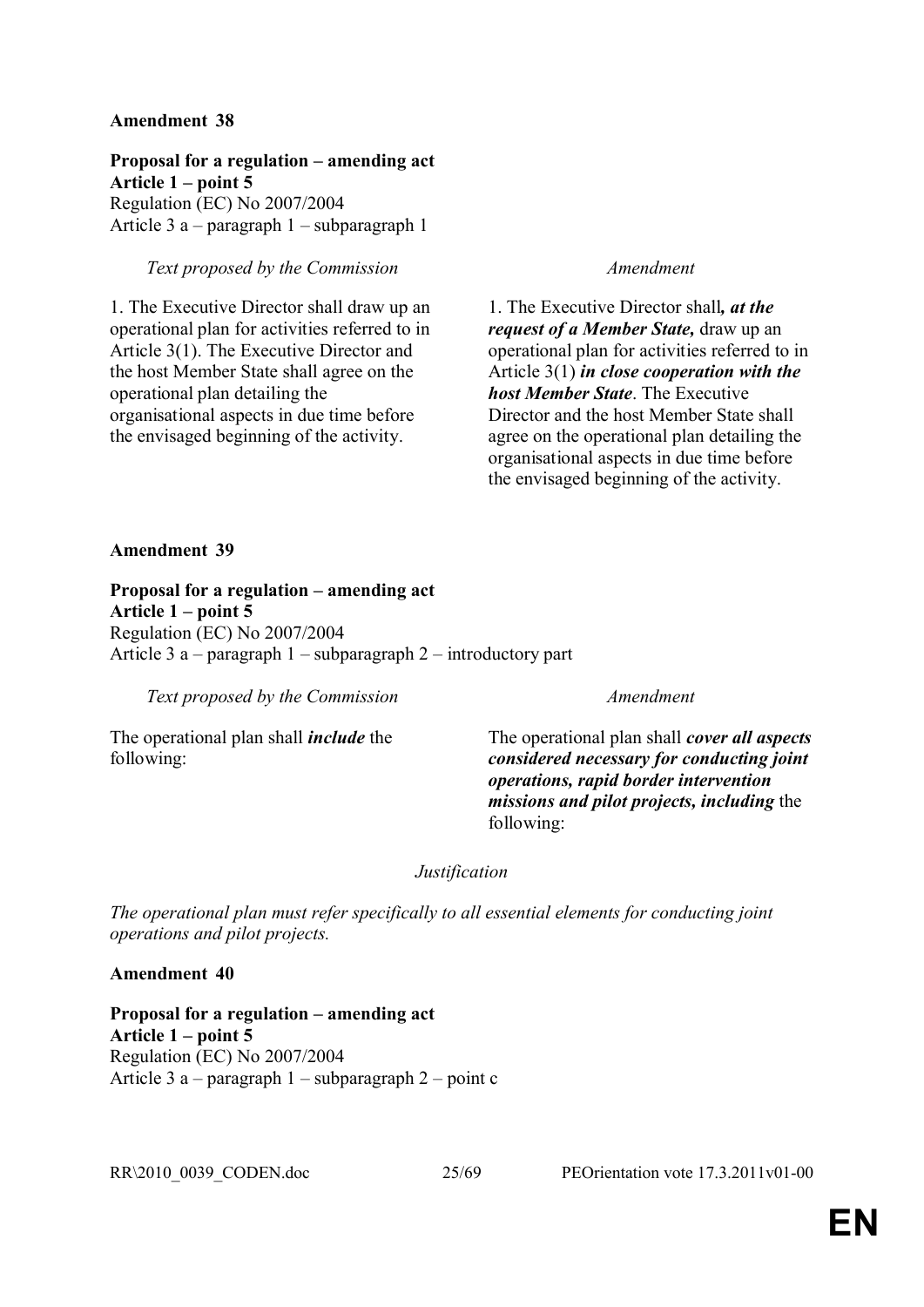**Proposal for a regulation – amending act Article 1 – point 5** Regulation (EC) No 2007/2004 Article 3 a – paragraph 1 – subparagraph 1

## *Text proposed by the Commission Amendment*

1. The Executive Director shall draw up an operational plan for activities referred to in Article 3(1). The Executive Director and the host Member State shall agree on the operational plan detailing the organisational aspects in due time before the envisaged beginning of the activity.

1. The Executive Director shall*, at the request of a Member State,* draw up an operational plan for activities referred to in Article 3(1) *in close cooperation with the host Member State*. The Executive Director and the host Member State shall agree on the operational plan detailing the organisational aspects in due time before the envisaged beginning of the activity.

## **Amendment 39**

**Proposal for a regulation – amending act Article 1 – point 5** Regulation (EC) No 2007/2004 Article 3 a – paragraph 1 – subparagraph 2 – introductory part

*Text proposed by the Commission Amendment*

The operational plan shall *include* the following:

The operational plan shall *cover all aspects considered necessary for conducting joint operations, rapid border intervention missions and pilot projects, including* the following:

## *Justification*

*The operational plan must refer specifically to all essential elements for conducting joint operations and pilot projects.*

## **Amendment 40**

**Proposal for a regulation – amending act Article 1 – point 5** Regulation (EC) No 2007/2004 Article 3 a – paragraph  $1$  – subparagraph  $2$  – point c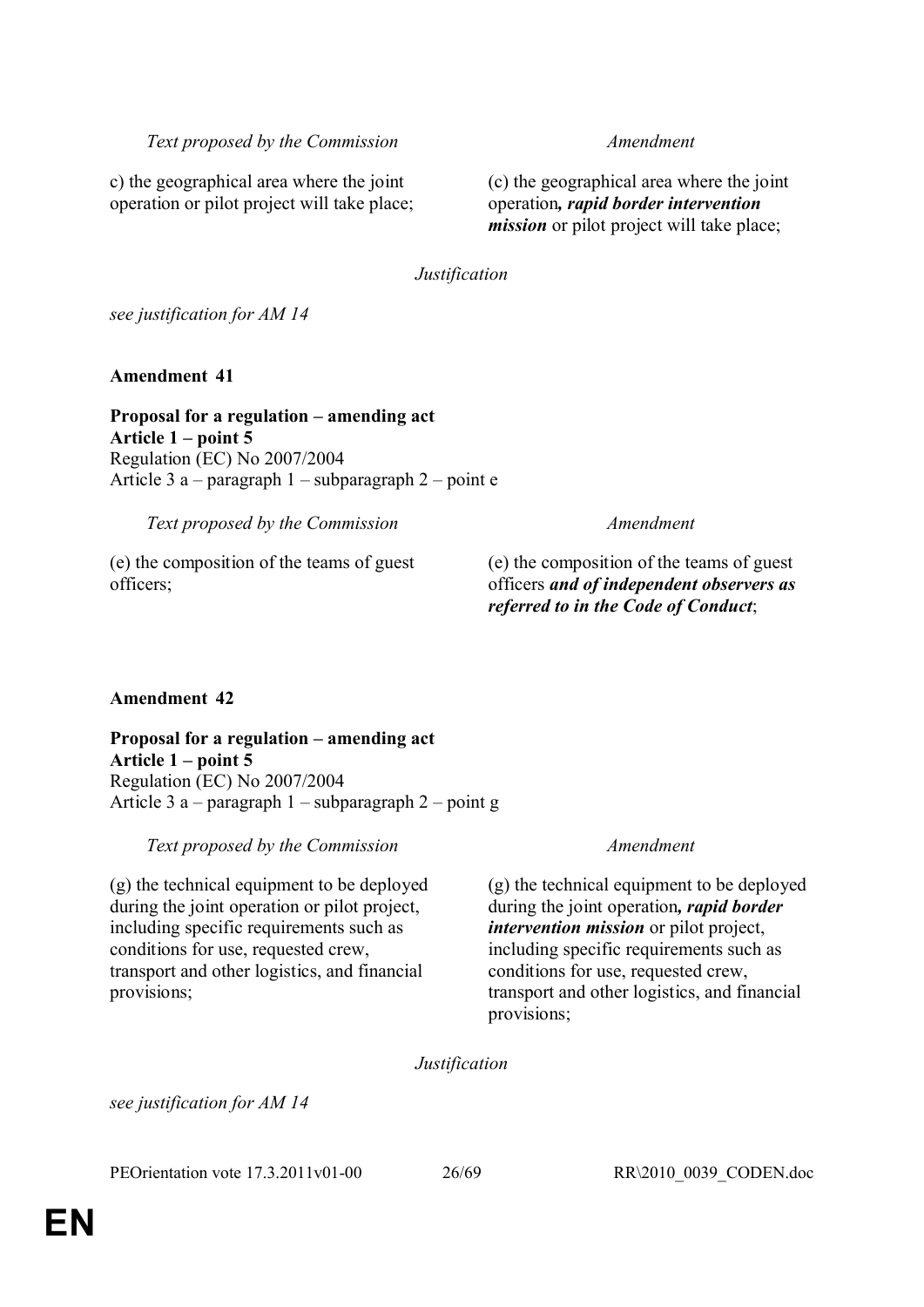c) the geographical area where the joint operation or pilot project will take place; (c) the geographical area where the joint operation*, rapid border intervention mission* or pilot project will take place;

*Justification*

*see justification for AM 14*

**Amendment 41**

**Proposal for a regulation – amending act Article 1 – point 5**  Regulation (EC) No 2007/2004 Article 3 a – paragraph 1 – subparagraph 2 – point e

*Text proposed by the Commission Amendment*

(e) the composition of the teams of guest officers;

## (e) the composition of the teams of guest officers *and of independent observers as referred to in the Code of Conduct*;

## **Amendment 42**

**Proposal for a regulation – amending act Article 1 – point 5** Regulation (EC) No 2007/2004 Article 3 a – paragraph 1 – subparagraph 2 – point g

*Text proposed by the Commission Amendment*

(g) the technical equipment to be deployed during the joint operation or pilot project, including specific requirements such as conditions for use, requested crew, transport and other logistics, and financial provisions;

(g) the technical equipment to be deployed during the joint operation*, rapid border intervention mission* or pilot project, including specific requirements such as conditions for use, requested crew, transport and other logistics, and financial provisions;

*Justification*

*see justification for AM 14*

PEOrientation vote 17.3.2011v01-00 26/69 RR\2010\_0039\_CODEN.doc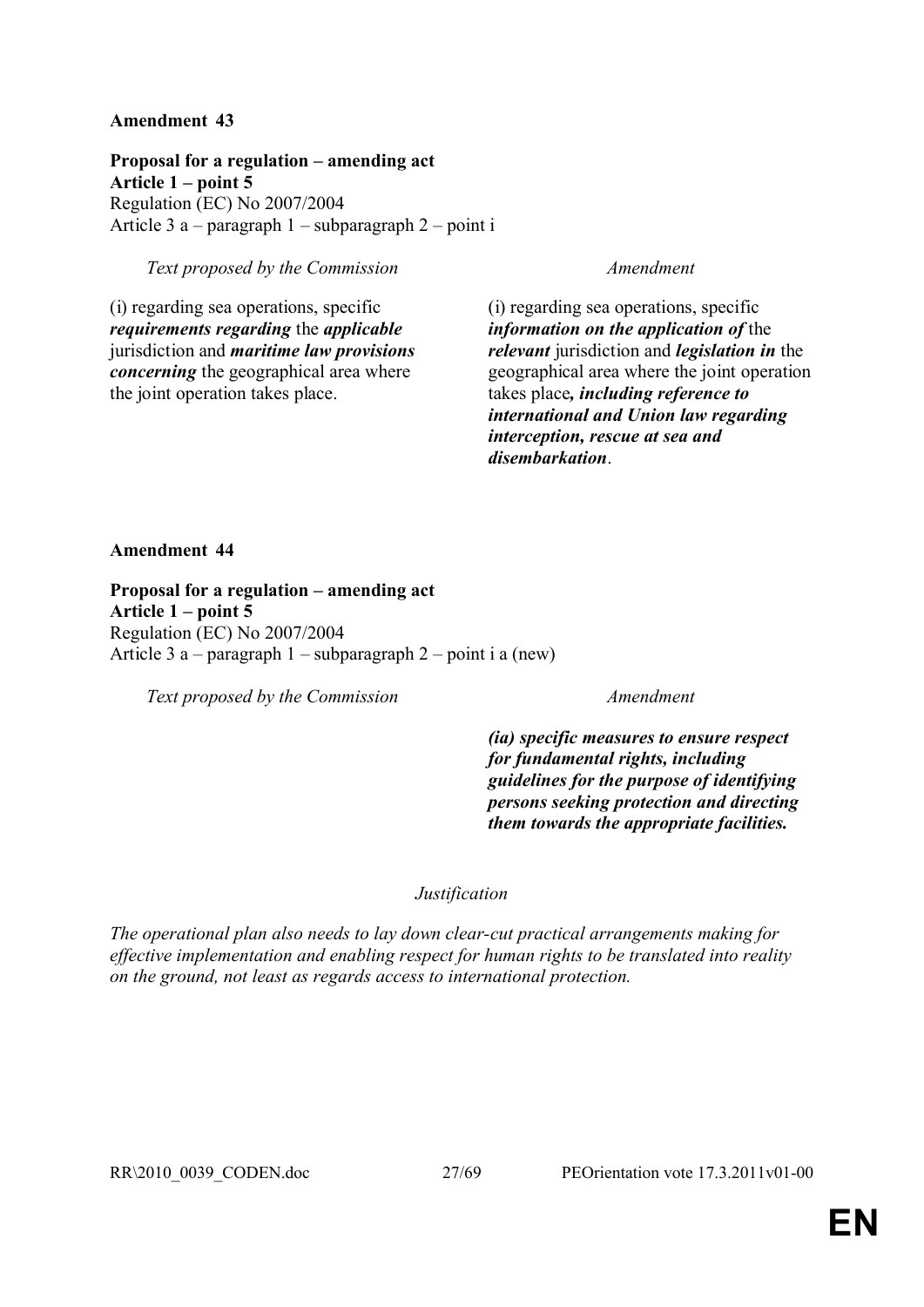**Proposal for a regulation – amending act Article 1 – point 5**  Regulation (EC) No 2007/2004 Article 3 a – paragraph 1 – subparagraph 2 – point i

## *Text proposed by the Commission Amendment*

(i) regarding sea operations, specific *requirements regarding* the *applicable*  jurisdiction and *maritime law provisions concerning* the geographical area where the joint operation takes place.

(i) regarding sea operations, specific *information on the application of* the *relevant* jurisdiction and *legislation in* the geographical area where the joint operation takes place*, including reference to international and Union law regarding interception, rescue at sea and disembarkation*.

## **Amendment 44**

**Proposal for a regulation – amending act Article 1 – point 5** Regulation (EC) No 2007/2004 Article 3 a – paragraph 1 – subparagraph 2 – point i a (new)

*Text proposed by the Commission Amendment*

*(ia) specific measures to ensure respect for fundamental rights, including guidelines for the purpose of identifying persons seeking protection and directing them towards the appropriate facilities.*

## *Justification*

*The operational plan also needs to lay down clear-cut practical arrangements making for effective implementation and enabling respect for human rights to be translated into reality on the ground, not least as regards access to international protection.*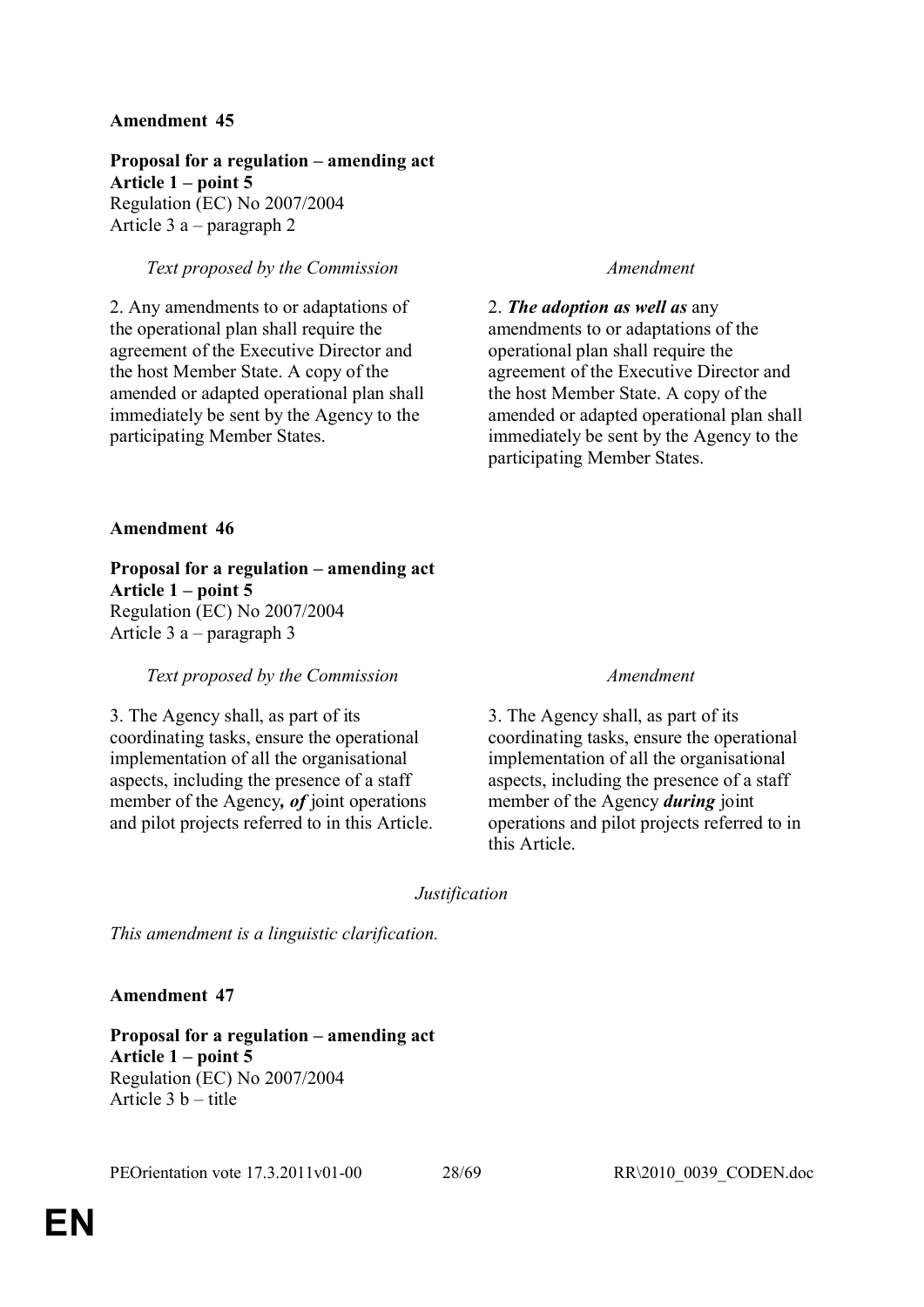**Proposal for a regulation – amending act Article 1 – point 5**  Regulation (EC) No 2007/2004 Article 3 a – paragraph 2

## *Text proposed by the Commission Amendment*

2. Any amendments to or adaptations of the operational plan shall require the agreement of the Executive Director and the host Member State. A copy of the amended or adapted operational plan shall immediately be sent by the Agency to the participating Member States.

2. *The adoption as well as* any amendments to or adaptations of the operational plan shall require the agreement of the Executive Director and the host Member State. A copy of the amended or adapted operational plan shall immediately be sent by the Agency to the participating Member States.

## **Amendment 46**

**Proposal for a regulation – amending act Article 1 – point 5** Regulation (EC) No 2007/2004 Article 3 a – paragraph 3

## *Text proposed by the Commission Amendment*

3. The Agency shall, as part of its coordinating tasks, ensure the operational implementation of all the organisational aspects, including the presence of a staff member of the Agency*, of* joint operations and pilot projects referred to in this Article.

3. The Agency shall, as part of its coordinating tasks, ensure the operational implementation of all the organisational aspects, including the presence of a staff member of the Agency *during* joint operations and pilot projects referred to in this Article.

## *Justification*

*This amendment is a linguistic clarification.*

## **Amendment 47**

**Proposal for a regulation – amending act Article 1 – point 5** Regulation (EC) No 2007/2004 Article 3 b – title

PEOrientation vote 17.3.2011v01-00 28/69 RR\2010\_0039\_CODEN.doc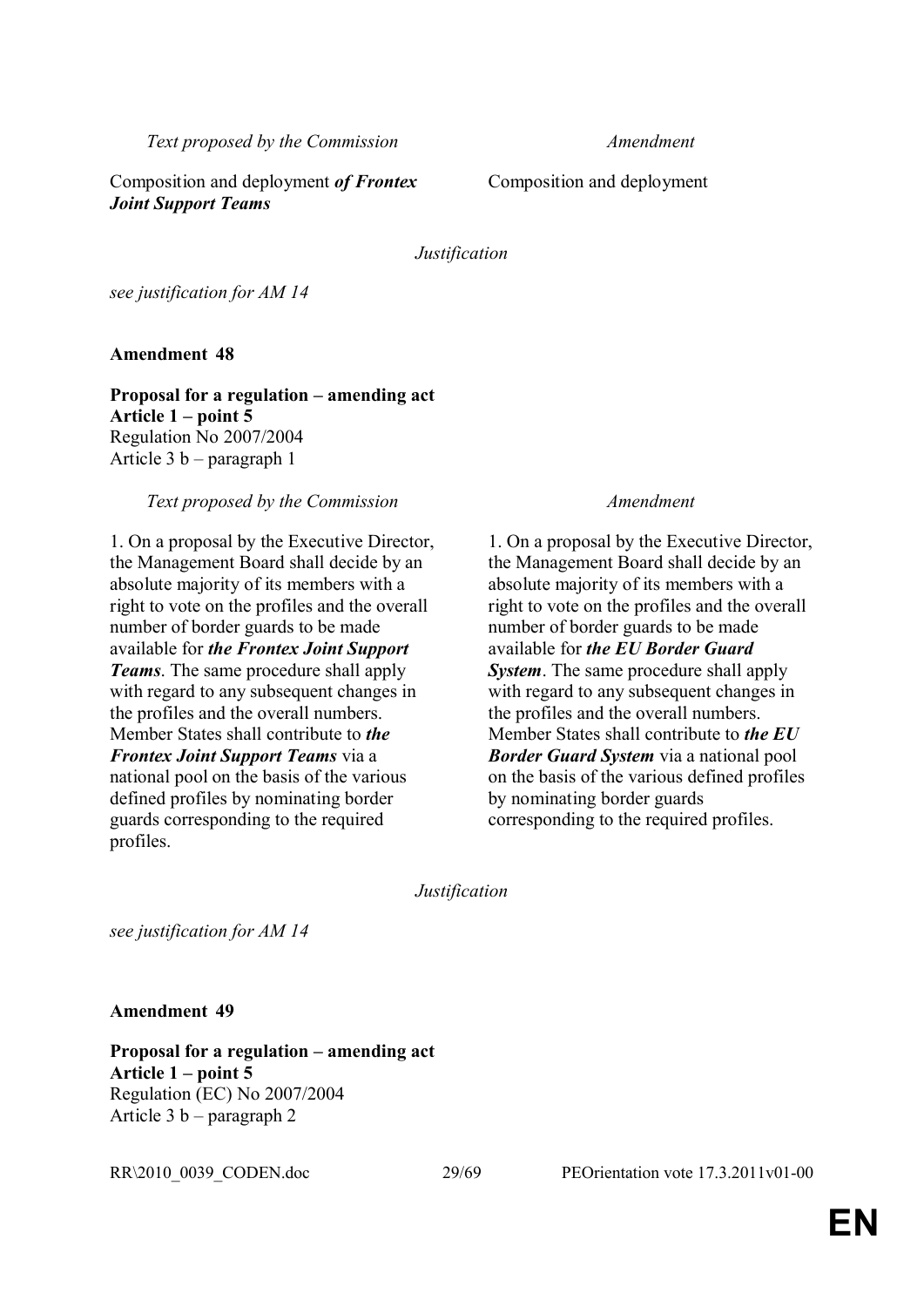Composition and deployment *of Frontex Joint Support Teams*

Composition and deployment

*Justification*

*see justification for AM 14*

**Amendment 48**

**Proposal for a regulation – amending act Article 1 – point 5** Regulation No 2007/2004 Article 3 b – paragraph 1

## *Text proposed by the Commission Amendment*

1. On a proposal by the Executive Director, the Management Board shall decide by an absolute majority of its members with a right to vote on the profiles and the overall number of border guards to be made available for *the Frontex Joint Support Teams*. The same procedure shall apply with regard to any subsequent changes in the profiles and the overall numbers. Member States shall contribute to *the Frontex Joint Support Teams* via a national pool on the basis of the various defined profiles by nominating border guards corresponding to the required profiles.

1. On a proposal by the Executive Director, the Management Board shall decide by an absolute majority of its members with a right to vote on the profiles and the overall number of border guards to be made available for *the EU Border Guard System*. The same procedure shall apply with regard to any subsequent changes in the profiles and the overall numbers. Member States shall contribute to *the EU Border Guard System* via a national pool on the basis of the various defined profiles by nominating border guards corresponding to the required profiles.

*Justification*

*see justification for AM 14*

**Amendment 49**

**Proposal for a regulation – amending act Article 1 – point 5** Regulation (EC) No 2007/2004 Article 3 b – paragraph 2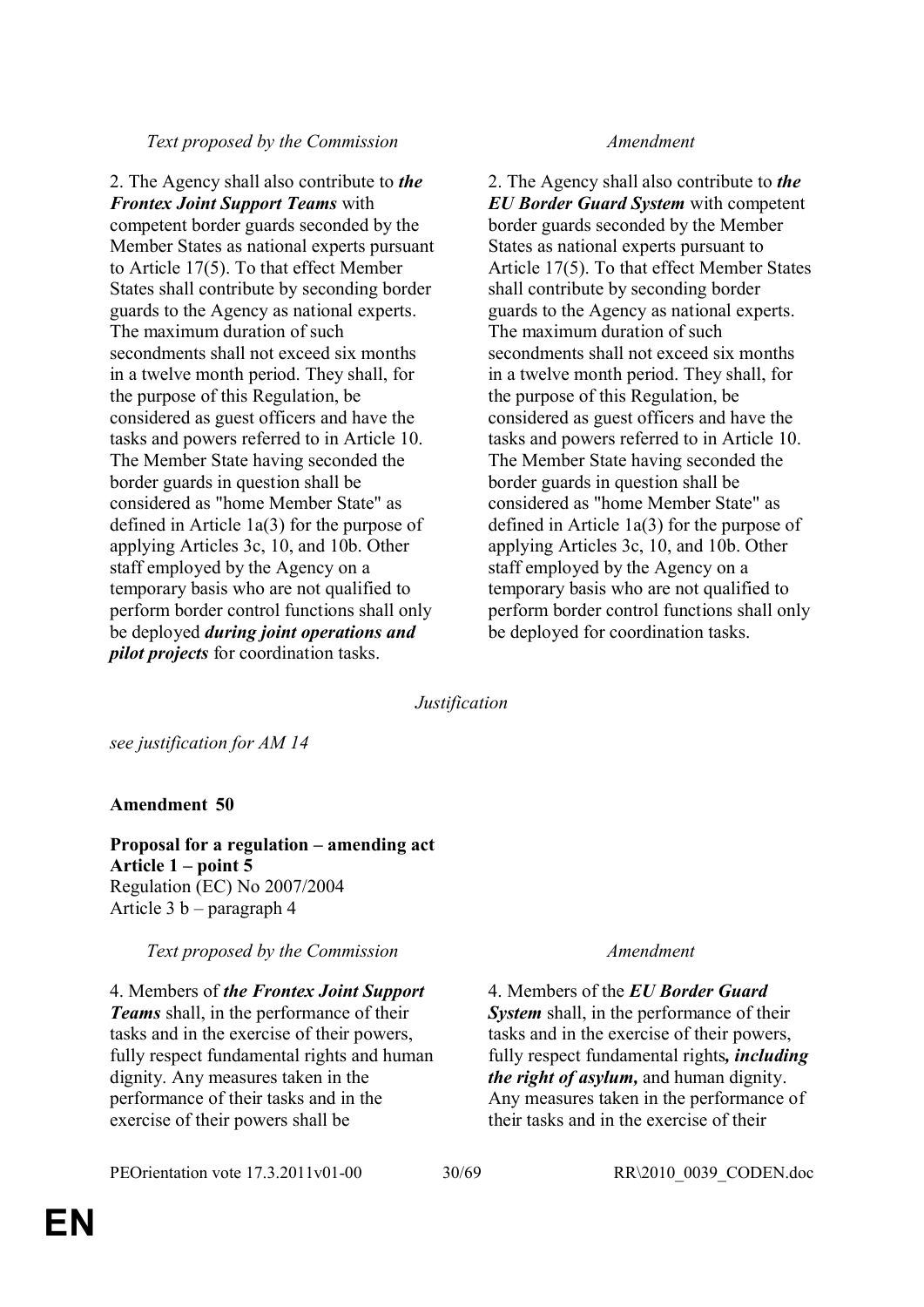2. The Agency shall also contribute to *the Frontex Joint Support Teams* with competent border guards seconded by the Member States as national experts pursuant to Article 17(5). To that effect Member States shall contribute by seconding border guards to the Agency as national experts. The maximum duration of such secondments shall not exceed six months in a twelve month period. They shall, for the purpose of this Regulation, be considered as guest officers and have the tasks and powers referred to in Article 10. The Member State having seconded the border guards in question shall be considered as "home Member State" as defined in Article 1a(3) for the purpose of applying Articles 3c, 10, and 10b. Other staff employed by the Agency on a temporary basis who are not qualified to perform border control functions shall only be deployed *during joint operations and pilot projects* for coordination tasks.

2. The Agency shall also contribute to *the EU Border Guard System* with competent border guards seconded by the Member States as national experts pursuant to Article 17(5). To that effect Member States shall contribute by seconding border guards to the Agency as national experts. The maximum duration of such secondments shall not exceed six months in a twelve month period. They shall, for the purpose of this Regulation, be considered as guest officers and have the tasks and powers referred to in Article 10. The Member State having seconded the border guards in question shall be considered as "home Member State" as defined in Article 1a(3) for the purpose of applying Articles 3c, 10, and 10b. Other staff employed by the Agency on a temporary basis who are not qualified to perform border control functions shall only be deployed for coordination tasks.

*Justification*

*see justification for AM 14*

## **Amendment 50**

**Proposal for a regulation – amending act Article 1 – point 5** Regulation (EC) No 2007/2004 Article 3 b – paragraph 4

*Text proposed by the Commission Amendment*

4. Members of *the Frontex Joint Support Teams* shall, in the performance of their tasks and in the exercise of their powers, fully respect fundamental rights and human dignity. Any measures taken in the performance of their tasks and in the exercise of their powers shall be

## PEOrientation vote 17.3.2011v01-00 30/69 RR\2010\_0039\_CODEN.doc

4. Members of the *EU Border Guard System* shall, in the performance of their tasks and in the exercise of their powers, fully respect fundamental rights*, including the right of asylum,* and human dignity. Any measures taken in the performance of their tasks and in the exercise of their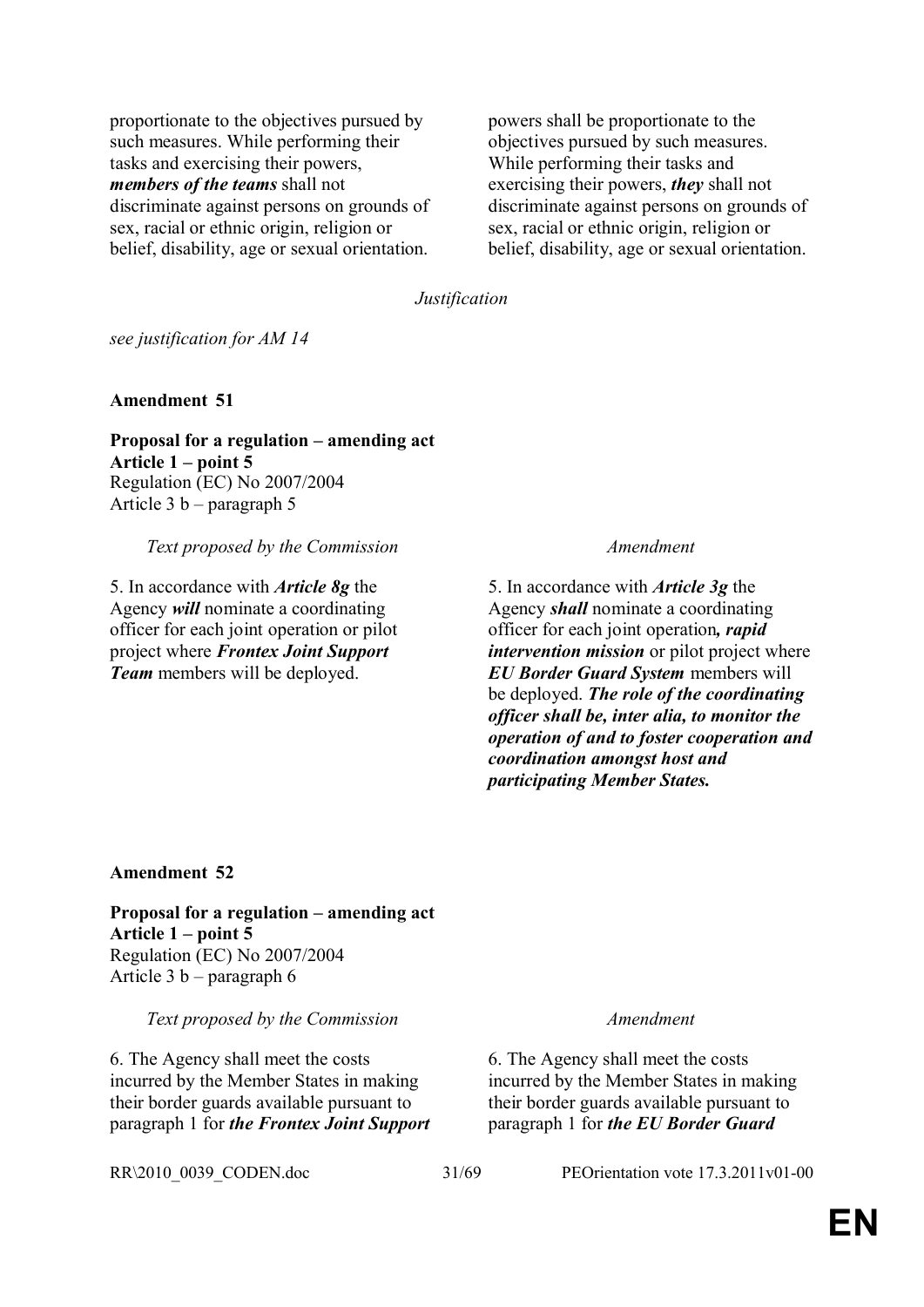proportionate to the objectives pursued by such measures. While performing their tasks and exercising their powers, *members of the teams* shall not discriminate against persons on grounds of sex, racial or ethnic origin, religion or belief, disability, age or sexual orientation.

powers shall be proportionate to the objectives pursued by such measures. While performing their tasks and exercising their powers, *they* shall not discriminate against persons on grounds of sex, racial or ethnic origin, religion or belief, disability, age or sexual orientation.

*Justification*

*see justification for AM 14*

**Amendment 51**

**Proposal for a regulation – amending act Article 1 – point 5**  Regulation (EC) No 2007/2004 Article 3 b – paragraph 5

*Text proposed by the Commission Amendment*

5. In accordance with *Article 8g* the Agency *will* nominate a coordinating officer for each joint operation or pilot project where *Frontex Joint Support Team* members will be deployed.

5. In accordance with *Article 3g* the Agency *shall* nominate a coordinating officer for each joint operation*, rapid intervention mission* or pilot project where *EU Border Guard System* members will be deployed. *The role of the coordinating officer shall be, inter alia, to monitor the operation of and to foster cooperation and coordination amongst host and participating Member States.*

**Amendment 52**

**Proposal for a regulation – amending act Article 1 – point 5** Regulation (EC) No 2007/2004 Article 3 b – paragraph 6

*Text proposed by the Commission Amendment*

6. The Agency shall meet the costs incurred by the Member States in making their border guards available pursuant to paragraph 1 for *the Frontex Joint Support* 

6. The Agency shall meet the costs incurred by the Member States in making their border guards available pursuant to paragraph 1 for *the EU Border Guard* 

RR\2010\_0039\_CODEN.doc 31/69 PEOrientation vote 17.3.2011v01-00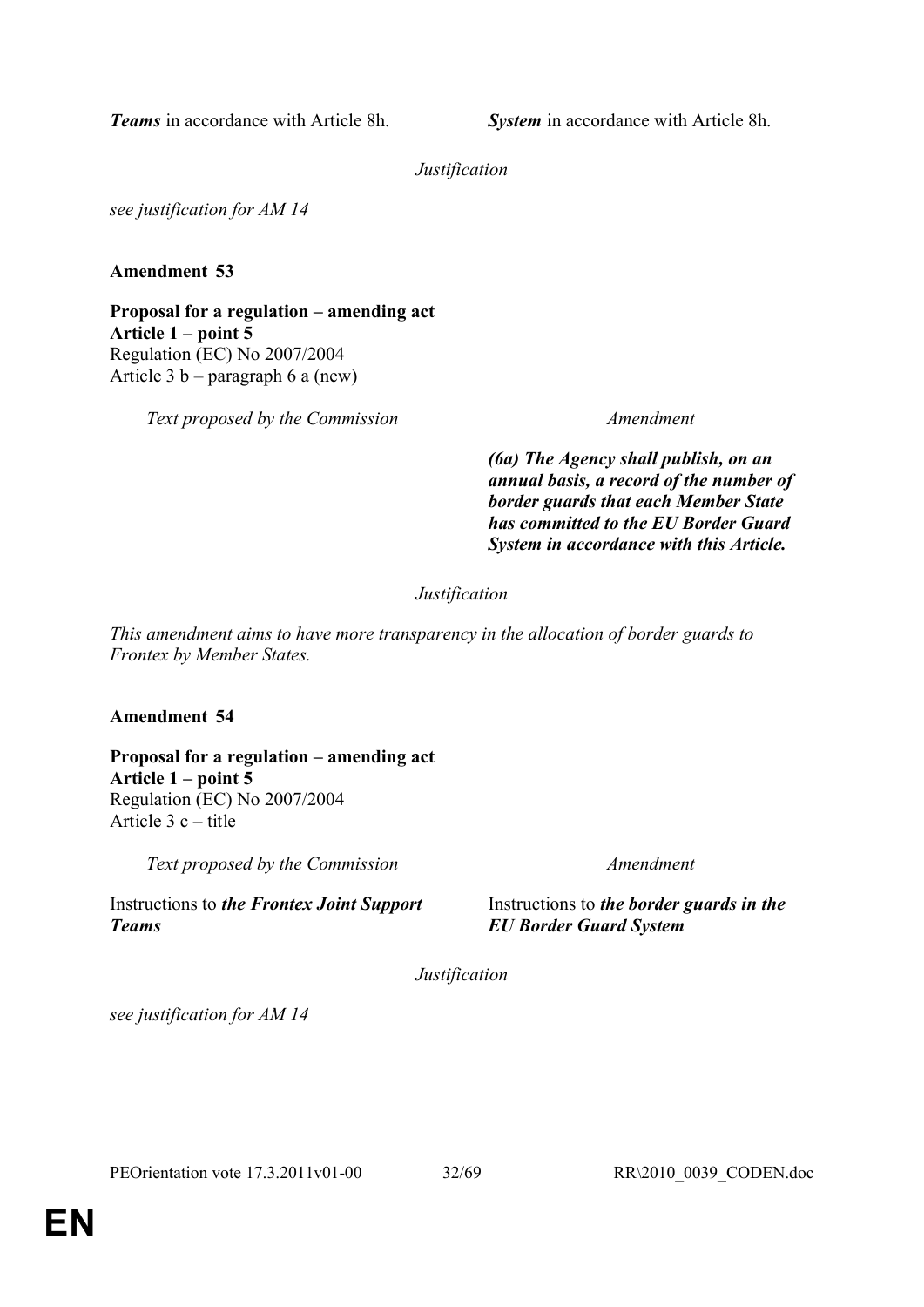*Teams* in accordance with Article 8h. **System** in accordance with Article 8h.

*Justification*

*see justification for AM 14*

**Amendment 53**

**Proposal for a regulation – amending act Article 1 – point 5** Regulation (EC) No 2007/2004 Article 3 b – paragraph 6 a (new)

*Text proposed by the Commission Amendment*

*(6a) The Agency shall publish, on an annual basis, a record of the number of border guards that each Member State has committed to the EU Border Guard System in accordance with this Article.*

## *Justification*

*This amendment aims to have more transparency in the allocation of border guards to Frontex by Member States.*

## **Amendment 54**

**Proposal for a regulation – amending act Article 1 – point 5** Regulation (EC) No 2007/2004 Article 3 c – title

*Text proposed by the Commission Amendment*

Instructions to *the Frontex Joint Support Teams*

Instructions to *the border guards in the EU Border Guard System*

*Justification*

*see justification for AM 14*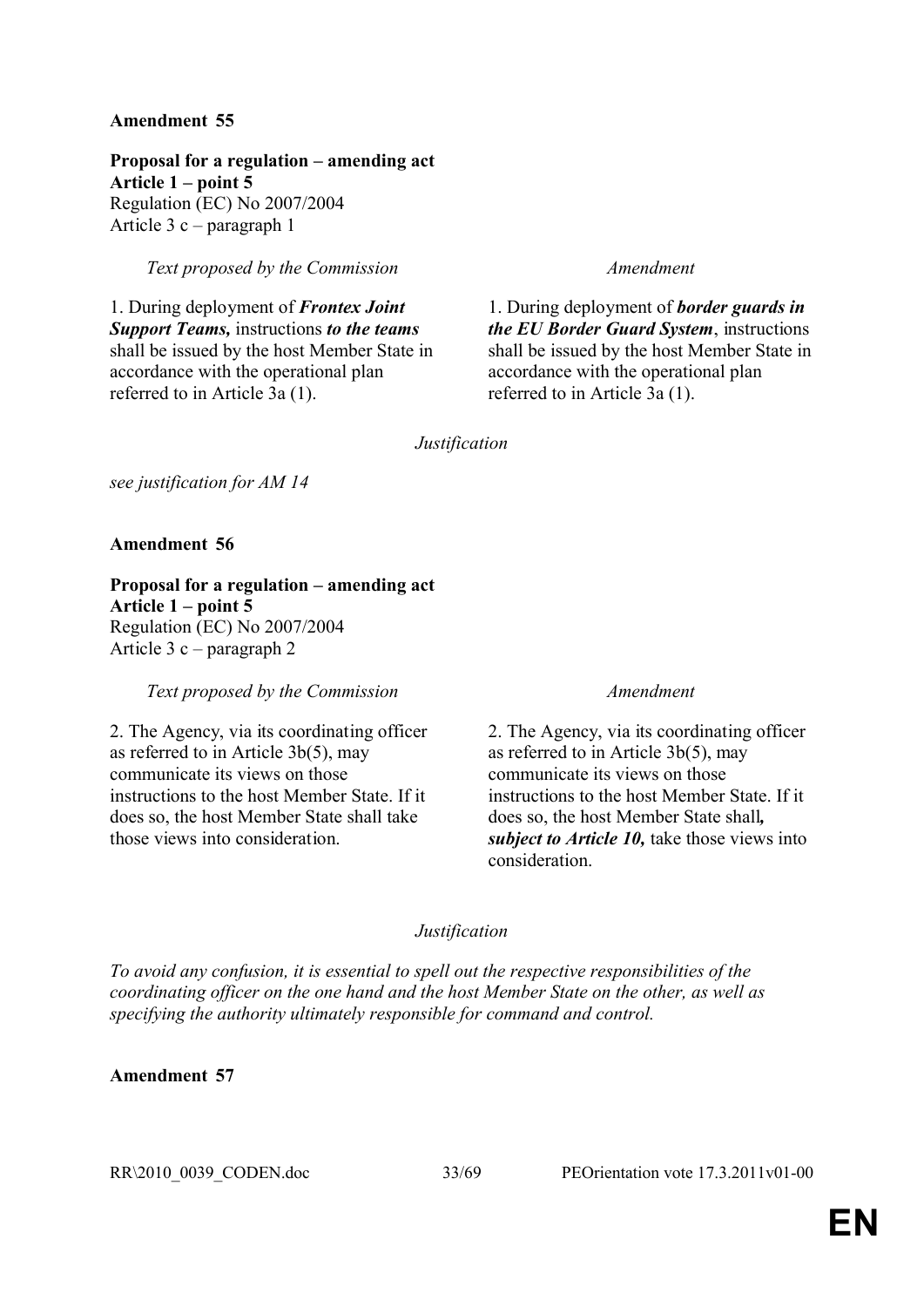**Proposal for a regulation – amending act Article 1 – point 5** Regulation (EC) No 2007/2004 Article 3 c – paragraph 1

*Text proposed by the Commission Amendment*

1. During deployment of *Frontex Joint Support Teams,* instructions *to the teams*  shall be issued by the host Member State in accordance with the operational plan referred to in Article 3a (1).

1. During deployment of *border guards in the EU Border Guard System*, instructions shall be issued by the host Member State in accordance with the operational plan referred to in Article 3a (1).

*Justification*

*see justification for AM 14*

**Amendment 56**

**Proposal for a regulation – amending act Article 1 – point 5**  Regulation (EC) No 2007/2004 Article 3 c – paragraph 2

*Text proposed by the Commission Amendment*

2. The Agency, via its coordinating officer as referred to in Article 3b(5), may communicate its views on those instructions to the host Member State. If it does so, the host Member State shall take those views into consideration.

2. The Agency, via its coordinating officer as referred to in Article 3b(5), may communicate its views on those instructions to the host Member State. If it does so, the host Member State shall*, subject to Article 10,* take those views into consideration.

## *Justification*

*To avoid any confusion, it is essential to spell out the respective responsibilities of the coordinating officer on the one hand and the host Member State on the other, as well as specifying the authority ultimately responsible for command and control.*

**Amendment 57**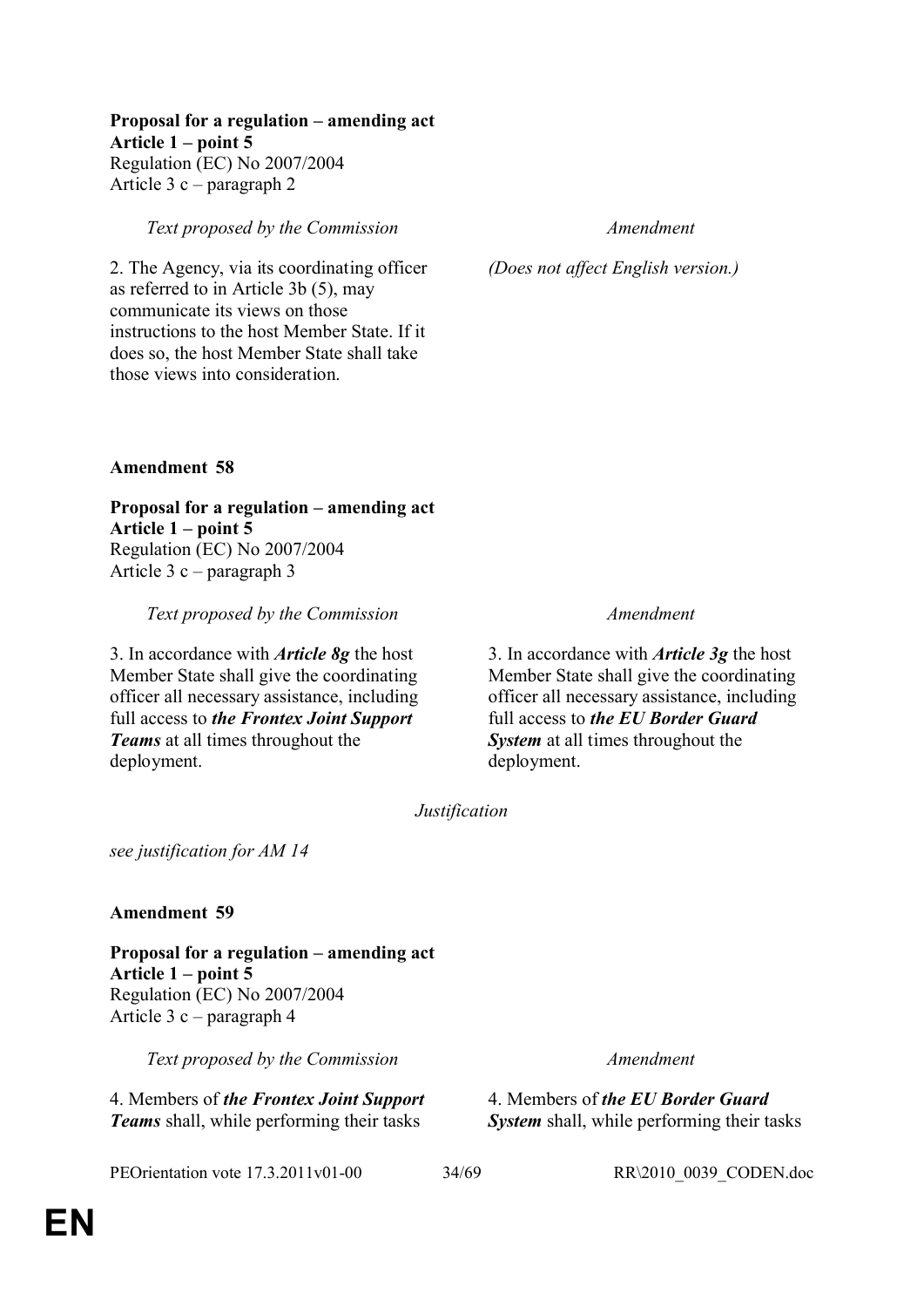## **Proposal for a regulation – amending act**

**Article 1 – point 5** 

Regulation (EC) No 2007/2004 Article 3 c – paragraph 2

*Text proposed by the Commission Amendment*

2. The Agency, via its coordinating officer as referred to in Article 3b (5), may communicate its views on those instructions to the host Member State. If it does so, the host Member State shall take those views into consideration.

*(Does not affect English version.)*

**Amendment 58**

**Proposal for a regulation – amending act Article 1 – point 5** Regulation (EC) No 2007/2004 Article 3 c – paragraph 3

*Text proposed by the Commission Amendment*

3. In accordance with *Article 8g* the host Member State shall give the coordinating officer all necessary assistance, including full access to *the Frontex Joint Support Teams* at all times throughout the deployment.

3. In accordance with *Article 3g* the host Member State shall give the coordinating officer all necessary assistance, including full access to *the EU Border Guard System* at all times throughout the deployment.

*Justification*

*see justification for AM 14*

**Amendment 59**

**Proposal for a regulation – amending act Article 1 – point 5** Regulation (EC) No 2007/2004 Article 3 c – paragraph 4

*Text proposed by the Commission Amendment*

4. Members of *the Frontex Joint Support Teams* shall, while performing their tasks

PEOrientation vote 17.3.2011v01-00 34/69 RR\2010\_0039\_CODEN.doc

4. Members of *the EU Border Guard System* shall, while performing their tasks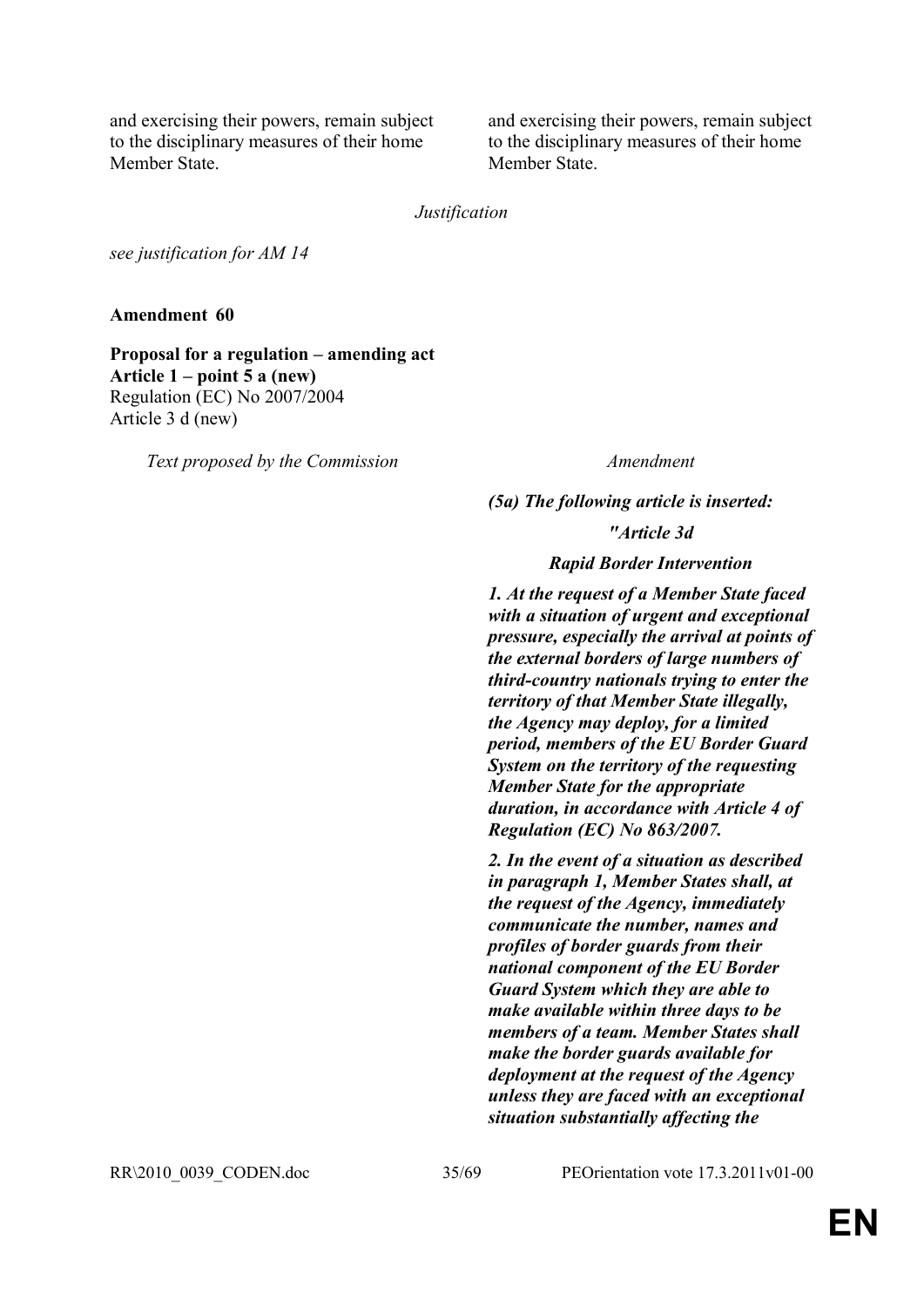and exercising their powers, remain subject to the disciplinary measures of their home Member State.

and exercising their powers, remain subject to the disciplinary measures of their home Member State.

*Justification*

*see justification for AM 14*

**Amendment 60**

**Proposal for a regulation – amending act Article 1 – point 5 a (new)** Regulation (EC) No 2007/2004 Article 3 d (new)

*Text proposed by the Commission Amendment*

## *(5a) The following article is inserted:*

*"Article 3d*

*Rapid Border Intervention*

*1. At the request of a Member State faced with a situation of urgent and exceptional pressure, especially the arrival at points of the external borders of large numbers of third-country nationals trying to enter the territory of that Member State illegally, the Agency may deploy, for a limited period, members of the EU Border Guard System on the territory of the requesting Member State for the appropriate duration, in accordance with Article 4 of Regulation (EC) No 863/2007.*

*2. In the event of a situation as described in paragraph 1, Member States shall, at the request of the Agency, immediately communicate the number, names and profiles of border guards from their national component of the EU Border Guard System which they are able to make available within three days to be members of a team. Member States shall make the border guards available for deployment at the request of the Agency unless they are faced with an exceptional situation substantially affecting the* 

RR\2010\_0039\_CODEN.doc 35/69 PEOrientation vote 17.3.2011v01-00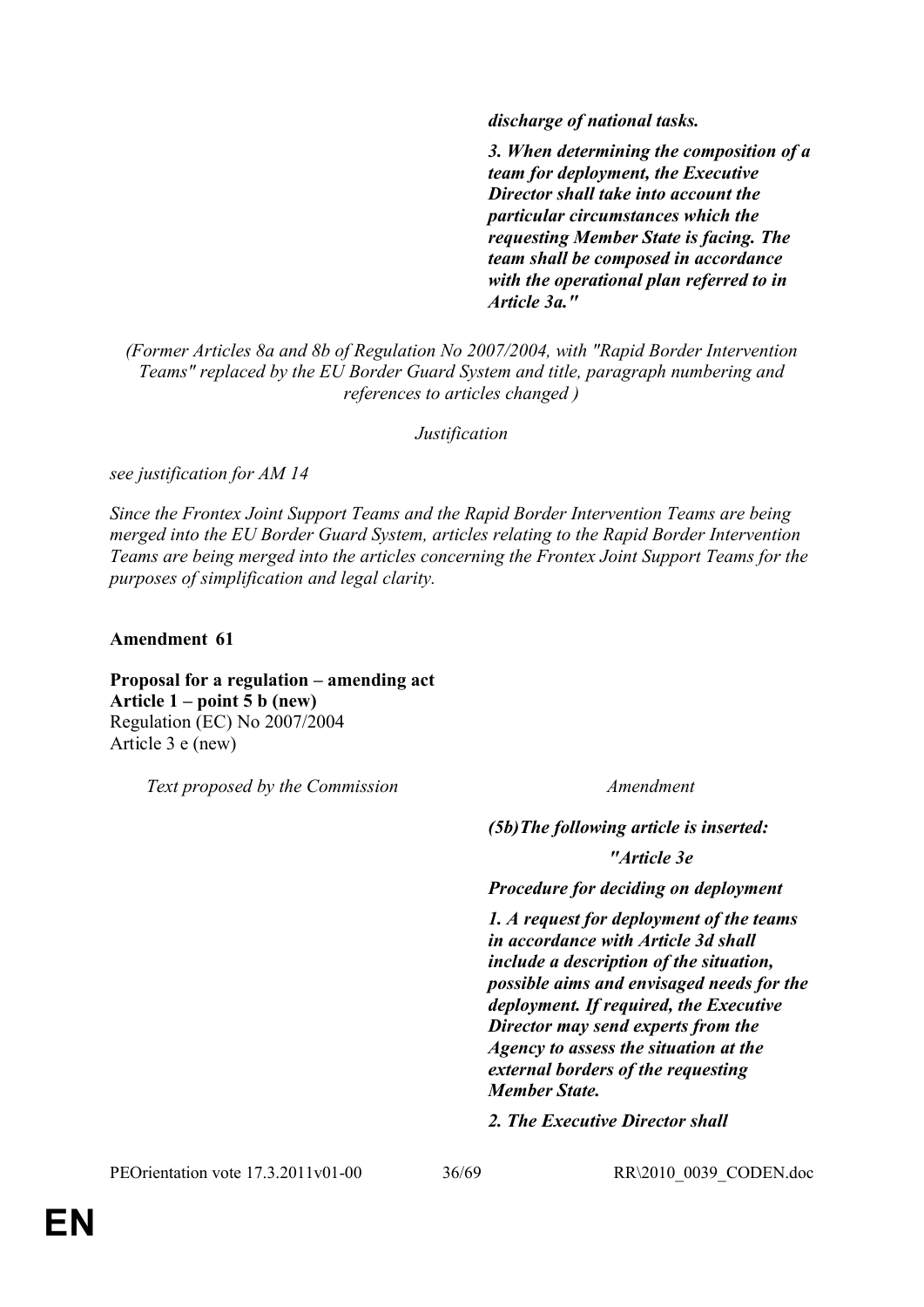*discharge of national tasks.*

*3. When determining the composition of a team for deployment, the Executive Director shall take into account the particular circumstances which the requesting Member State is facing. The team shall be composed in accordance with the operational plan referred to in Article 3a."*

*(Former Articles 8a and 8b of Regulation No 2007/2004, with "Rapid Border Intervention Teams" replaced by the EU Border Guard System and title, paragraph numbering and references to articles changed )*

*Justification*

*see justification for AM 14*

*Since the Frontex Joint Support Teams and the Rapid Border Intervention Teams are being merged into the EU Border Guard System, articles relating to the Rapid Border Intervention Teams are being merged into the articles concerning the Frontex Joint Support Teams for the purposes of simplification and legal clarity.*

**Amendment 61**

**Proposal for a regulation – amending act Article 1 – point 5 b (new)** Regulation (EC) No 2007/2004 Article 3 e (new)

*Text proposed by the Commission Amendment*

*(5b)The following article is inserted:*

*"Article 3e*

*Procedure for deciding on deployment*

*1. A request for deployment of the teams in accordance with Article 3d shall include a description of the situation, possible aims and envisaged needs for the deployment. If required, the Executive Director may send experts from the Agency to assess the situation at the external borders of the requesting Member State.*

*2. The Executive Director shall* 

PEOrientation vote 17.3.2011v01-00 36/69 RR\2010\_0039\_CODEN.doc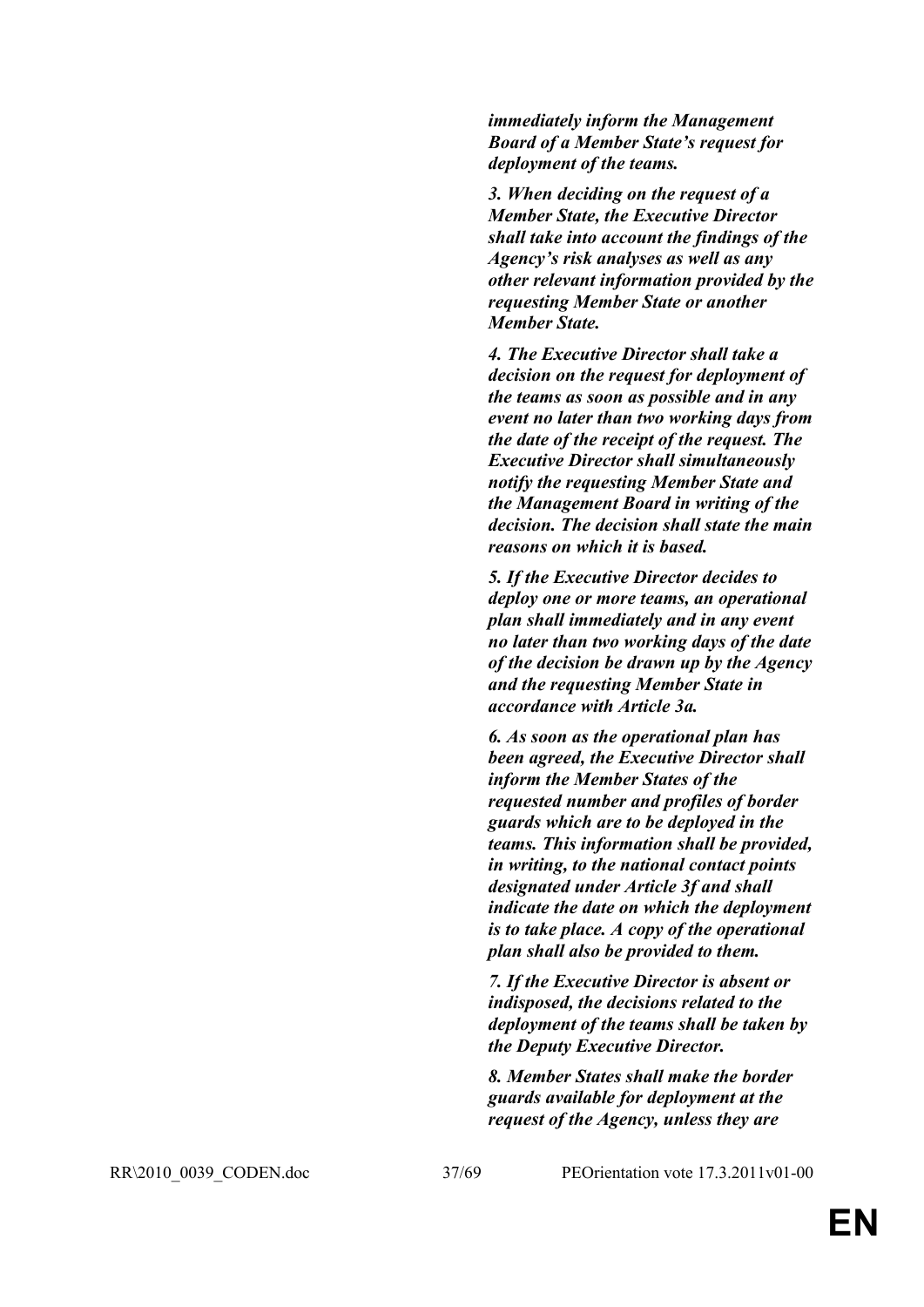*immediately inform the Management Board of a Member State's request for deployment of the teams.*

*3. When deciding on the request of a Member State, the Executive Director shall take into account the findings of the Agency's risk analyses as well as any other relevant information provided by the requesting Member State or another Member State.*

*4. The Executive Director shall take a decision on the request for deployment of the teams as soon as possible and in any event no later than two working days from the date of the receipt of the request. The Executive Director shall simultaneously notify the requesting Member State and the Management Board in writing of the decision. The decision shall state the main reasons on which it is based.*

*5. If the Executive Director decides to deploy one or more teams, an operational plan shall immediately and in any event no later than two working days of the date of the decision be drawn up by the Agency and the requesting Member State in accordance with Article 3a.*

*6. As soon as the operational plan has been agreed, the Executive Director shall inform the Member States of the requested number and profiles of border guards which are to be deployed in the teams. This information shall be provided, in writing, to the national contact points designated under Article 3f and shall indicate the date on which the deployment is to take place. A copy of the operational plan shall also be provided to them.*

*7. If the Executive Director is absent or indisposed, the decisions related to the deployment of the teams shall be taken by the Deputy Executive Director.*

*8. Member States shall make the border guards available for deployment at the request of the Agency, unless they are* 

RR\2010\_0039\_CODEN.doc 37/69 PEOrientation vote 17.3.2011v01-00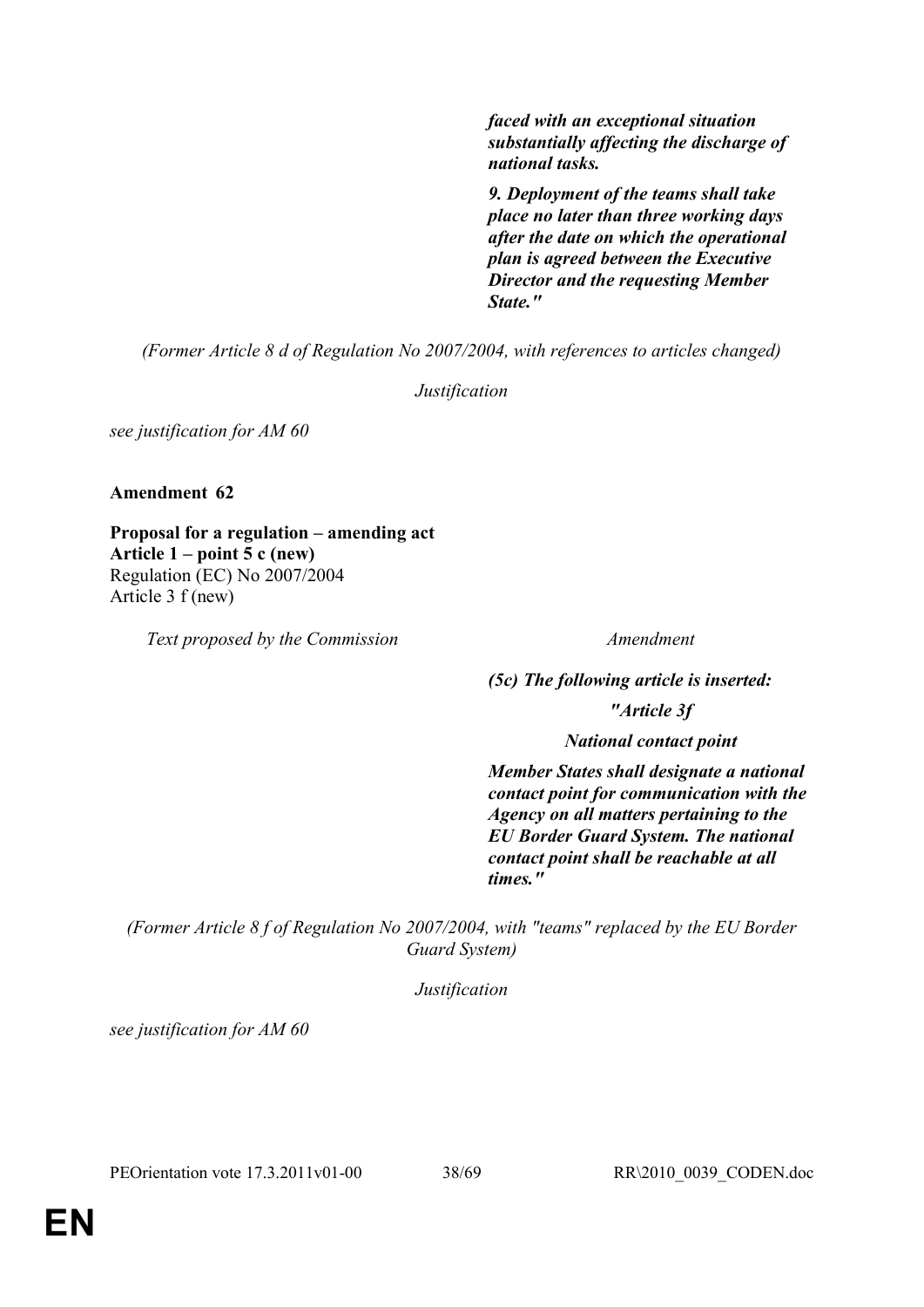*faced with an exceptional situation substantially affecting the discharge of national tasks.*

*9. Deployment of the teams shall take place no later than three working days after the date on which the operational plan is agreed between the Executive Director and the requesting Member State."*

*(Former Article 8 d of Regulation No 2007/2004, with references to articles changed)*

*Justification*

*see justification for AM 60*

**Amendment 62**

**Proposal for a regulation – amending act Article 1 – point 5 c (new)** Regulation (EC) No 2007/2004 Article 3 f (new)

*Text proposed by the Commission Amendment*

*(5c) The following article is inserted:*

*"Article 3f*

*National contact point*

*Member States shall designate a national contact point for communication with the Agency on all matters pertaining to the EU Border Guard System. The national contact point shall be reachable at all times."*

*(Former Article 8 f of Regulation No 2007/2004, with "teams" replaced by the EU Border Guard System)*

*Justification*

*see justification for AM 60*

PEOrientation vote 17.3.2011v01-00 38/69 RR\2010\_0039\_CODEN.doc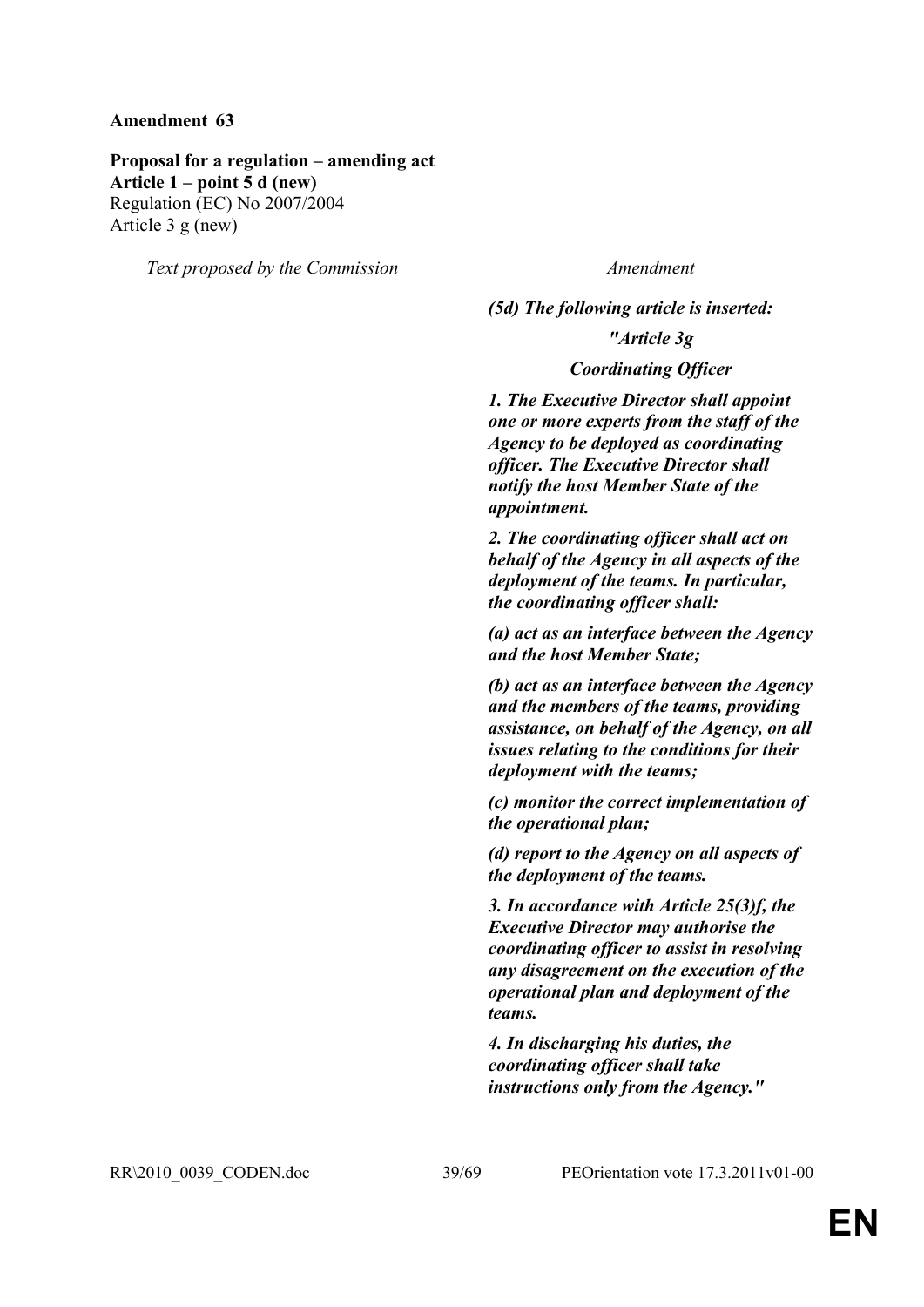**Proposal for a regulation – amending act Article 1 – point 5 d (new)** Regulation (EC) No 2007/2004 Article 3 g (new)

*Text proposed by the Commission Amendment*

*(5d) The following article is inserted: "Article 3g*

*Coordinating Officer*

*1. The Executive Director shall appoint one or more experts from the staff of the Agency to be deployed as coordinating officer. The Executive Director shall notify the host Member State of the appointment.*

*2. The coordinating officer shall act on behalf of the Agency in all aspects of the deployment of the teams. In particular, the coordinating officer shall:*

*(a) act as an interface between the Agency and the host Member State;*

*(b) act as an interface between the Agency and the members of the teams, providing assistance, on behalf of the Agency, on all issues relating to the conditions for their deployment with the teams;*

*(c) monitor the correct implementation of the operational plan;*

*(d) report to the Agency on all aspects of the deployment of the teams.*

*3. In accordance with Article 25(3)f, the Executive Director may authorise the coordinating officer to assist in resolving any disagreement on the execution of the operational plan and deployment of the teams.*

*4. In discharging his duties, the coordinating officer shall take instructions only from the Agency."*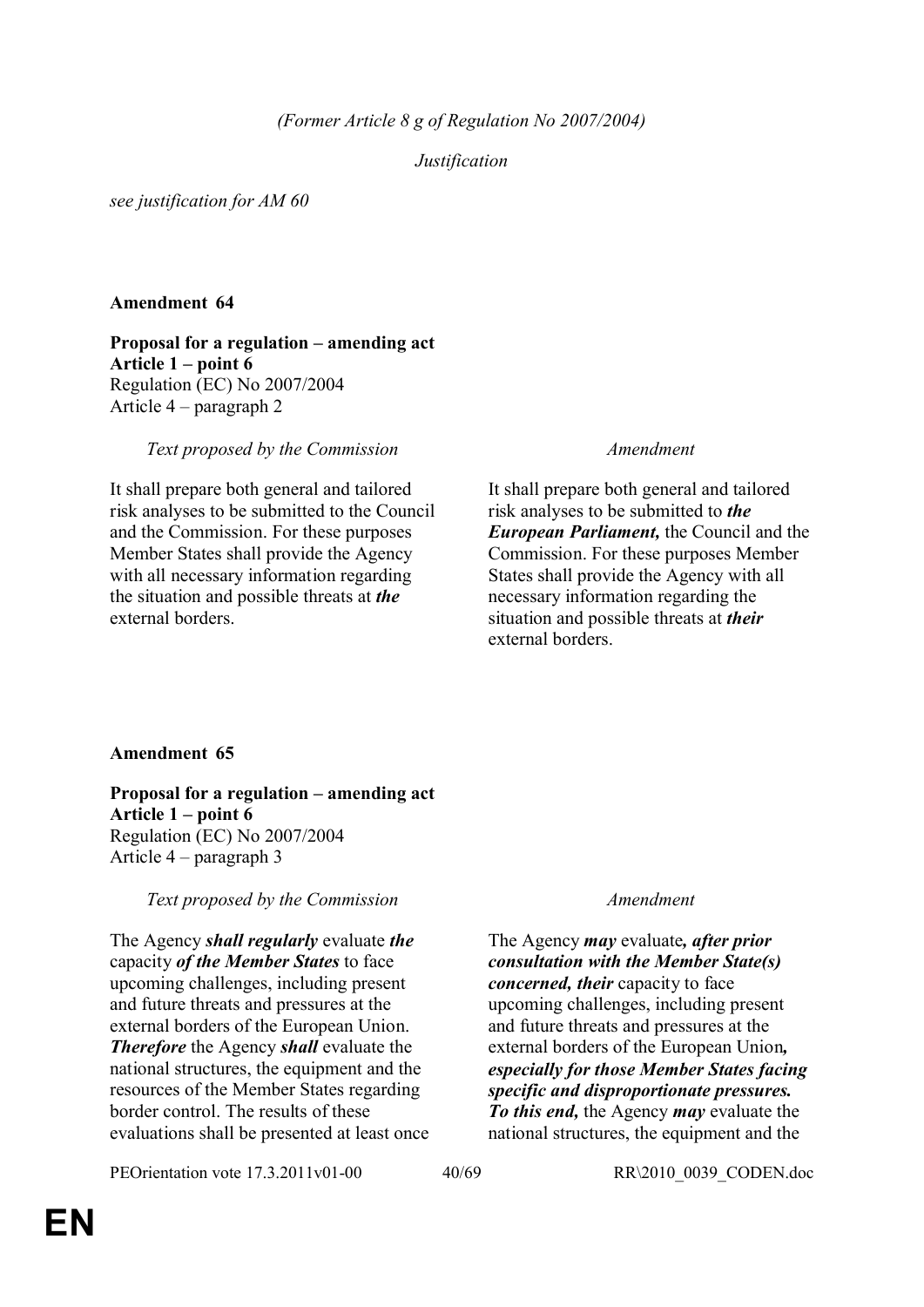## *Justification*

*see justification for AM 60*

## **Amendment 64**

**Proposal for a regulation – amending act Article 1 – point 6**  Regulation (EC) No 2007/2004 Article 4 – paragraph 2

*Text proposed by the Commission Amendment*

It shall prepare both general and tailored risk analyses to be submitted to the Council and the Commission. For these purposes Member States shall provide the Agency with all necessary information regarding the situation and possible threats at *the*  external borders.

It shall prepare both general and tailored risk analyses to be submitted to *the European Parliament,* the Council and the Commission. For these purposes Member States shall provide the Agency with all necessary information regarding the situation and possible threats at *their* external borders.

## **Amendment 65**

**Proposal for a regulation – amending act Article 1 – point 6** Regulation (EC) No 2007/2004 Article 4 – paragraph 3

*Text proposed by the Commission Amendment*

The Agency *shall regularly* evaluate *the* capacity *of the Member States* to face upcoming challenges, including present and future threats and pressures at the external borders of the European Union. *Therefore* the Agency *shall* evaluate the national structures, the equipment and the resources of the Member States regarding border control. The results of these evaluations shall be presented at least once

PEOrientation vote 17.3.2011v01-00 40/69 RR\2010\_0039\_CODEN.doc

The Agency *may* evaluate*, after prior consultation with the Member State(s) concerned, their* capacity to face upcoming challenges, including present and future threats and pressures at the external borders of the European Union*, especially for those Member States facing specific and disproportionate pressures. To this end,* the Agency *may* evaluate the national structures, the equipment and the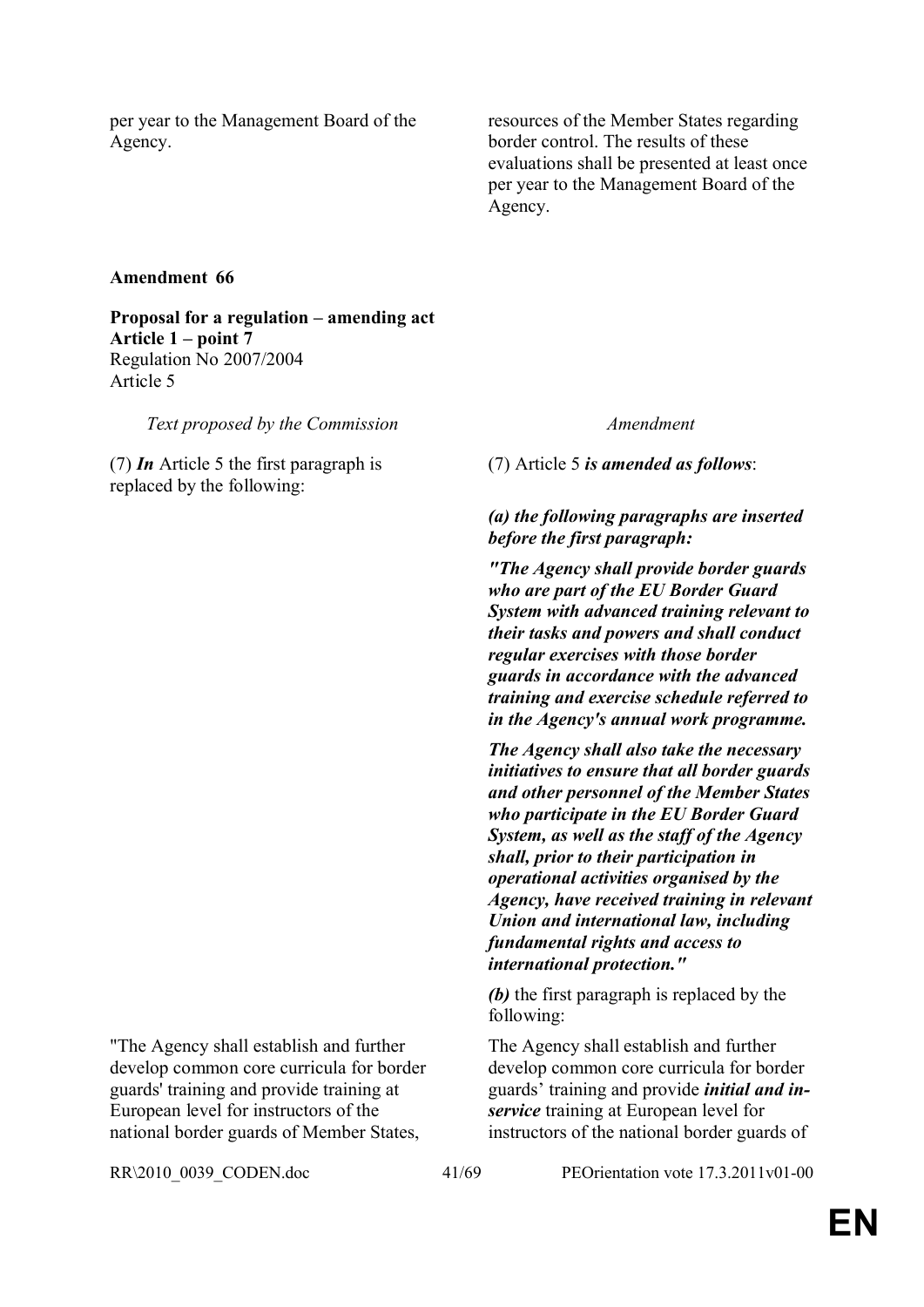per year to the Management Board of the Agency.

resources of the Member States regarding border control. The results of these evaluations shall be presented at least once per year to the Management Board of the Agency.

## **Amendment 66**

**Proposal for a regulation – amending act Article 1 – point 7** Regulation No 2007/2004 Article 5

*Text proposed by the Commission Amendment*

(7) *In* Article 5 the first paragraph is replaced by the following:

(7) Article 5 *is amended as follows*:

## *(a) the following paragraphs are inserted before the first paragraph:*

*"The Agency shall provide border guards who are part of the EU Border Guard System with advanced training relevant to their tasks and powers and shall conduct regular exercises with those border guards in accordance with the advanced training and exercise schedule referred to in the Agency's annual work programme.*

*The Agency shall also take the necessary initiatives to ensure that all border guards and other personnel of the Member States who participate in the EU Border Guard System, as well as the staff of the Agency shall, prior to their participation in operational activities organised by the Agency, have received training in relevant Union and international law, including fundamental rights and access to international protection."*

*(b)* the first paragraph is replaced by the following:

The Agency shall establish and further develop common core curricula for border guards' training and provide *initial and inservice* training at European level for instructors of the national border guards of

"The Agency shall establish and further develop common core curricula for border guards' training and provide training at European level for instructors of the national border guards of Member States,

RR\2010\_0039\_CODEN.doc 41/69 PEOrientation vote 17.3.2011v01-00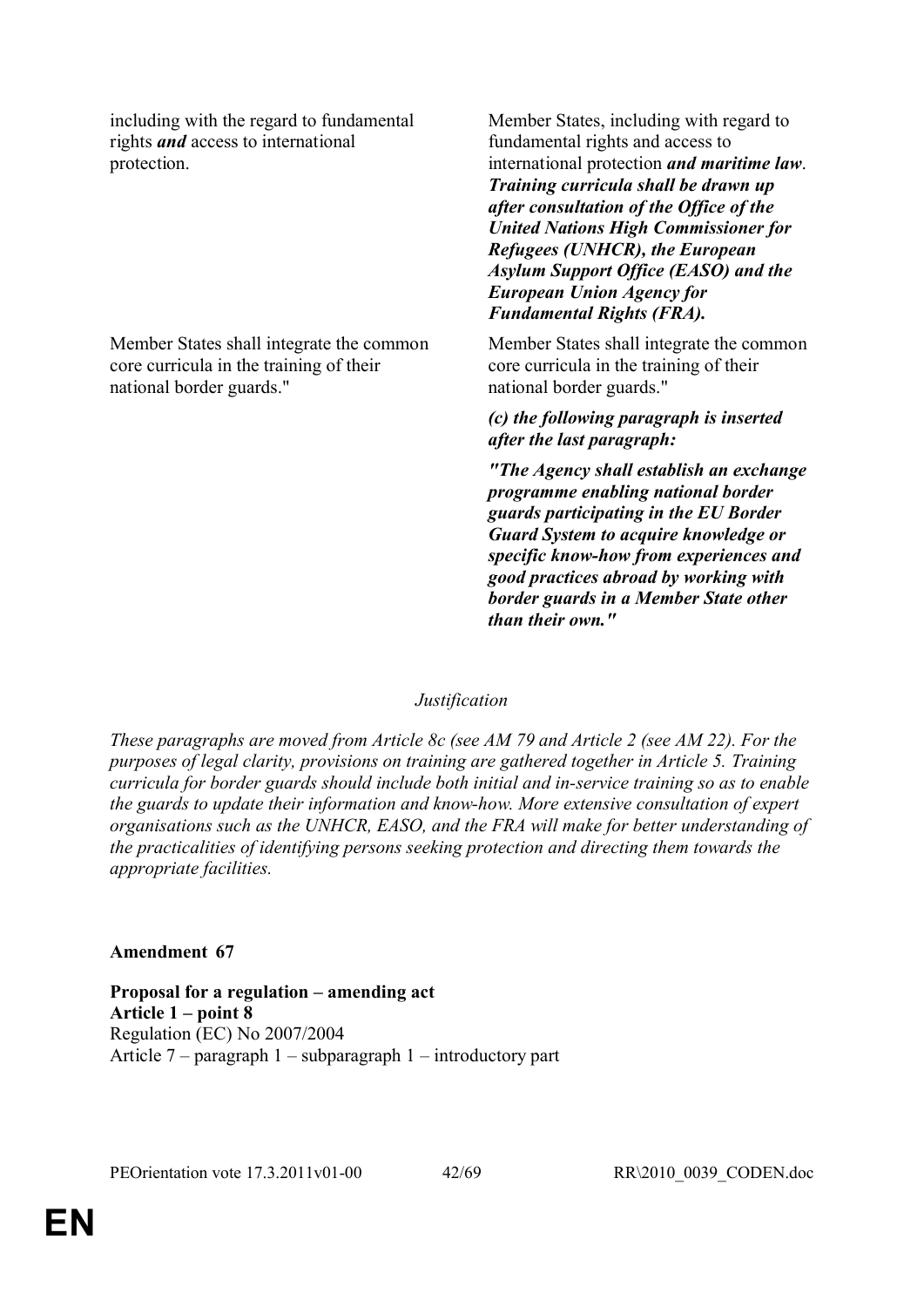including with the regard to fundamental rights *and* access to international protection.

Member States shall integrate the common core curricula in the training of their national border guards."

Member States, including with regard to fundamental rights and access to international protection *and maritime law*. *Training curricula shall be drawn up after consultation of the Office of the United Nations High Commissioner for Refugees (UNHCR), the European Asylum Support Office (EASO) and the European Union Agency for Fundamental Rights (FRA).*

Member States shall integrate the common core curricula in the training of their national border guards."

*(c) the following paragraph is inserted after the last paragraph:*

*"The Agency shall establish an exchange programme enabling national border guards participating in the EU Border Guard System to acquire knowledge or specific know-how from experiences and good practices abroad by working with border guards in a Member State other than their own."*

## *Justification*

*These paragraphs are moved from Article 8c (see AM 79 and Article 2 (see AM 22). For the purposes of legal clarity, provisions on training are gathered together in Article 5. Training curricula for border guards should include both initial and in-service training so as to enable the guards to update their information and know-how. More extensive consultation of expert organisations such as the UNHCR, EASO, and the FRA will make for better understanding of the practicalities of identifying persons seeking protection and directing them towards the appropriate facilities.*

## **Amendment 67**

**Proposal for a regulation – amending act Article 1 – point 8** Regulation (EC) No 2007/2004 Article 7 – paragraph 1 – subparagraph 1 – introductory part

PEOrientation vote 17.3.2011v01-00 42/69 RR\2010\_0039\_CODEN.doc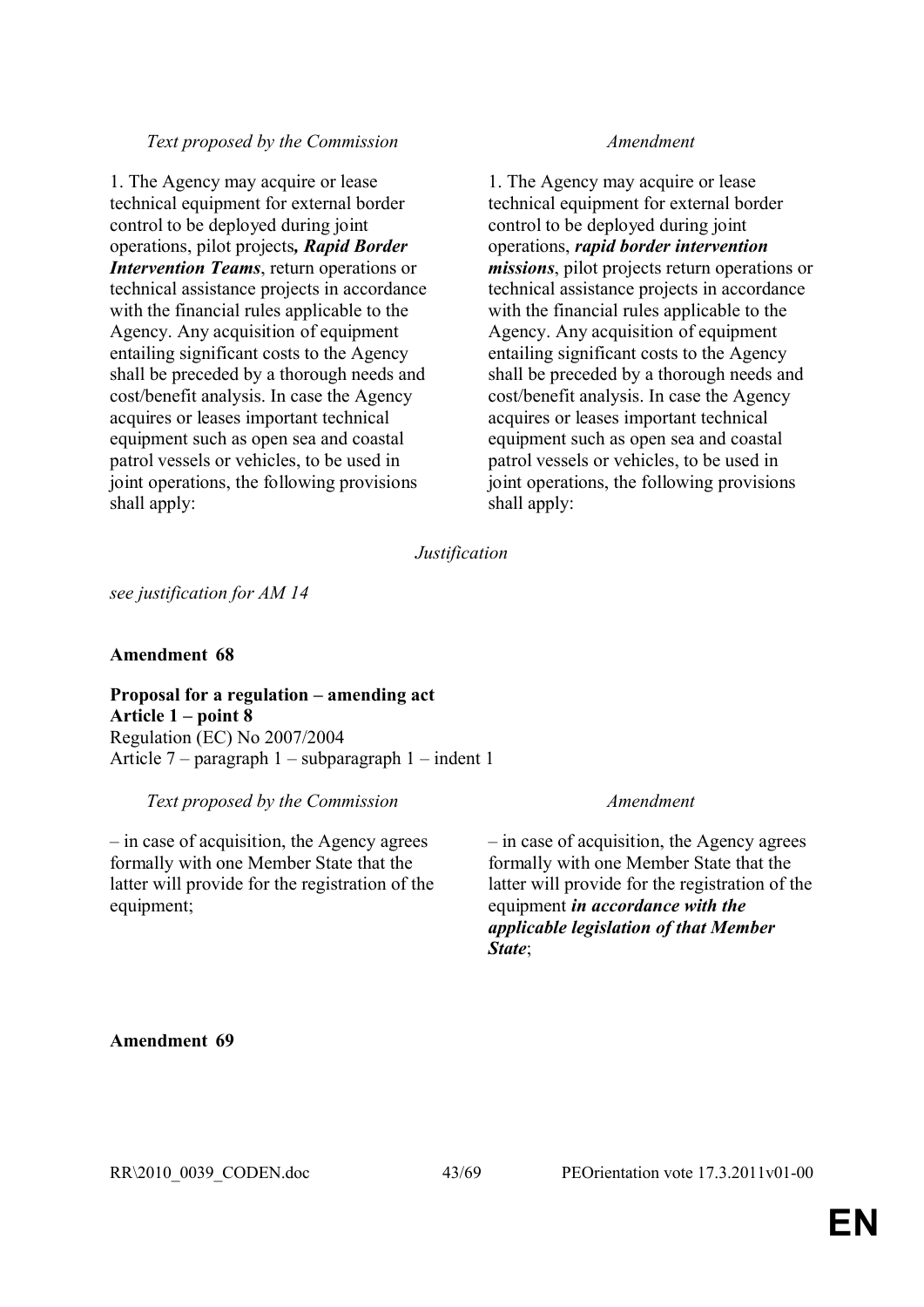1. The Agency may acquire or lease technical equipment for external border control to be deployed during joint operations, pilot projects*, Rapid Border Intervention Teams*, return operations or technical assistance projects in accordance with the financial rules applicable to the Agency. Any acquisition of equipment entailing significant costs to the Agency shall be preceded by a thorough needs and cost/benefit analysis. In case the Agency acquires or leases important technical equipment such as open sea and coastal patrol vessels or vehicles, to be used in joint operations, the following provisions shall apply:

1. The Agency may acquire or lease technical equipment for external border control to be deployed during joint operations, *rapid border intervention missions*, pilot projects return operations or technical assistance projects in accordance with the financial rules applicable to the Agency. Any acquisition of equipment entailing significant costs to the Agency shall be preceded by a thorough needs and cost/benefit analysis. In case the Agency acquires or leases important technical equipment such as open sea and coastal patrol vessels or vehicles, to be used in joint operations, the following provisions shall apply:

*Justification*

*see justification for AM 14*

## **Amendment 68**

**Proposal for a regulation – amending act Article 1 – point 8**  Regulation (EC) No 2007/2004 Article 7 – paragraph 1 – subparagraph 1 – indent 1

*Text proposed by the Commission Amendment*

– in case of acquisition, the Agency agrees formally with one Member State that the latter will provide for the registration of the equipment;

– in case of acquisition, the Agency agrees formally with one Member State that the latter will provide for the registration of the equipment *in accordance with the applicable legislation of that Member State*;

## **Amendment 69**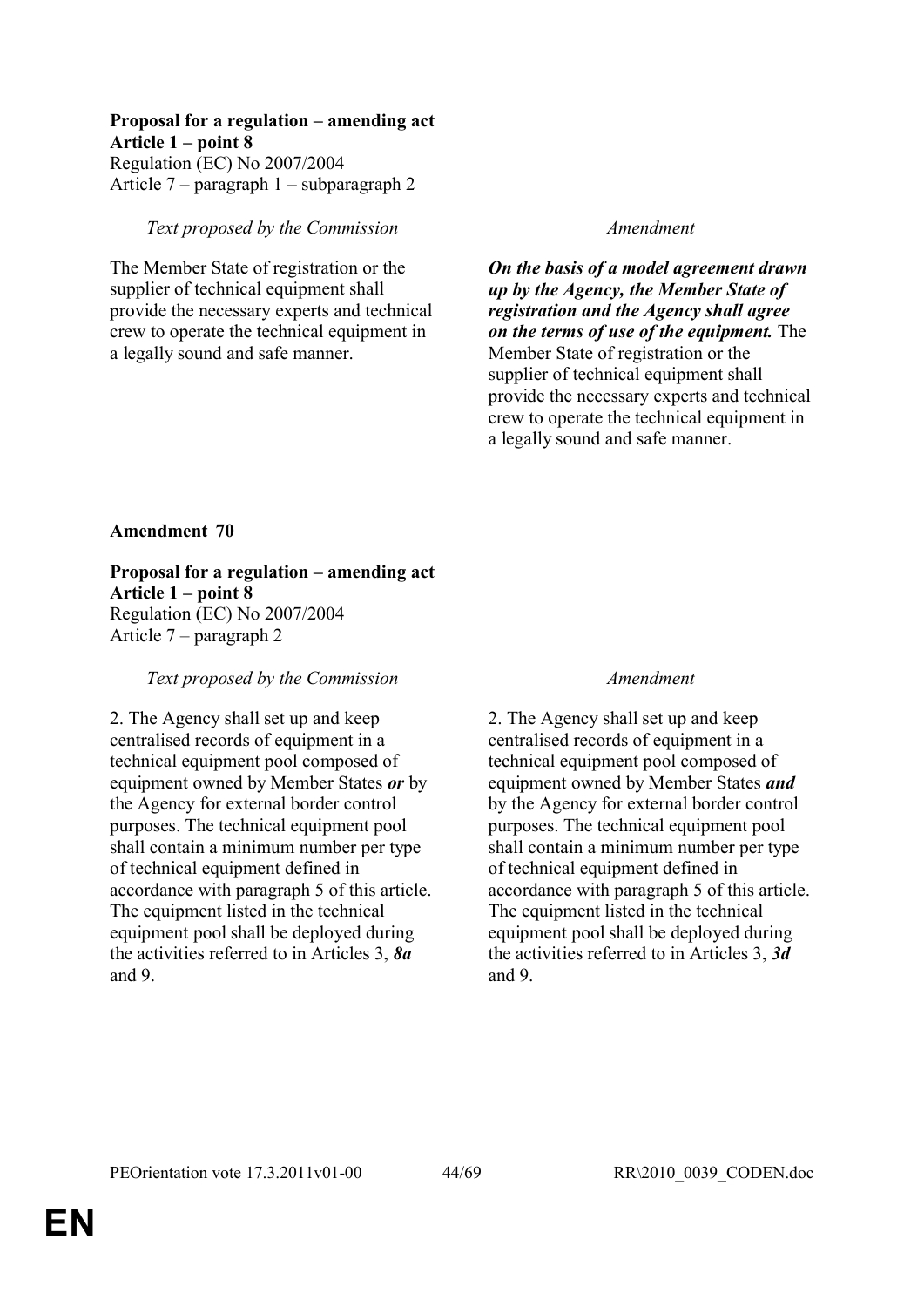## **Proposal for a regulation – amending act Article 1 – point 8**

Regulation (EC) No 2007/2004 Article 7 – paragraph 1 – subparagraph 2

## *Text proposed by the Commission Amendment*

The Member State of registration or the supplier of technical equipment shall provide the necessary experts and technical crew to operate the technical equipment in a legally sound and safe manner.

*On the basis of a model agreement drawn up by the Agency, the Member State of registration and the Agency shall agree on the terms of use of the equipment.* The Member State of registration or the supplier of technical equipment shall provide the necessary experts and technical crew to operate the technical equipment in a legally sound and safe manner.

## **Amendment 70**

**Proposal for a regulation – amending act Article 1 – point 8** Regulation (EC) No 2007/2004 Article 7 – paragraph 2

## *Text proposed by the Commission Amendment*

2. The Agency shall set up and keep centralised records of equipment in a technical equipment pool composed of equipment owned by Member States *or* by the Agency for external border control purposes. The technical equipment pool shall contain a minimum number per type of technical equipment defined in accordance with paragraph 5 of this article. The equipment listed in the technical equipment pool shall be deployed during the activities referred to in Articles 3, *8a*  and 9.

2. The Agency shall set up and keep centralised records of equipment in a technical equipment pool composed of equipment owned by Member States *and*  by the Agency for external border control purposes. The technical equipment pool shall contain a minimum number per type of technical equipment defined in accordance with paragraph 5 of this article. The equipment listed in the technical equipment pool shall be deployed during the activities referred to in Articles 3, *3d*  and 9.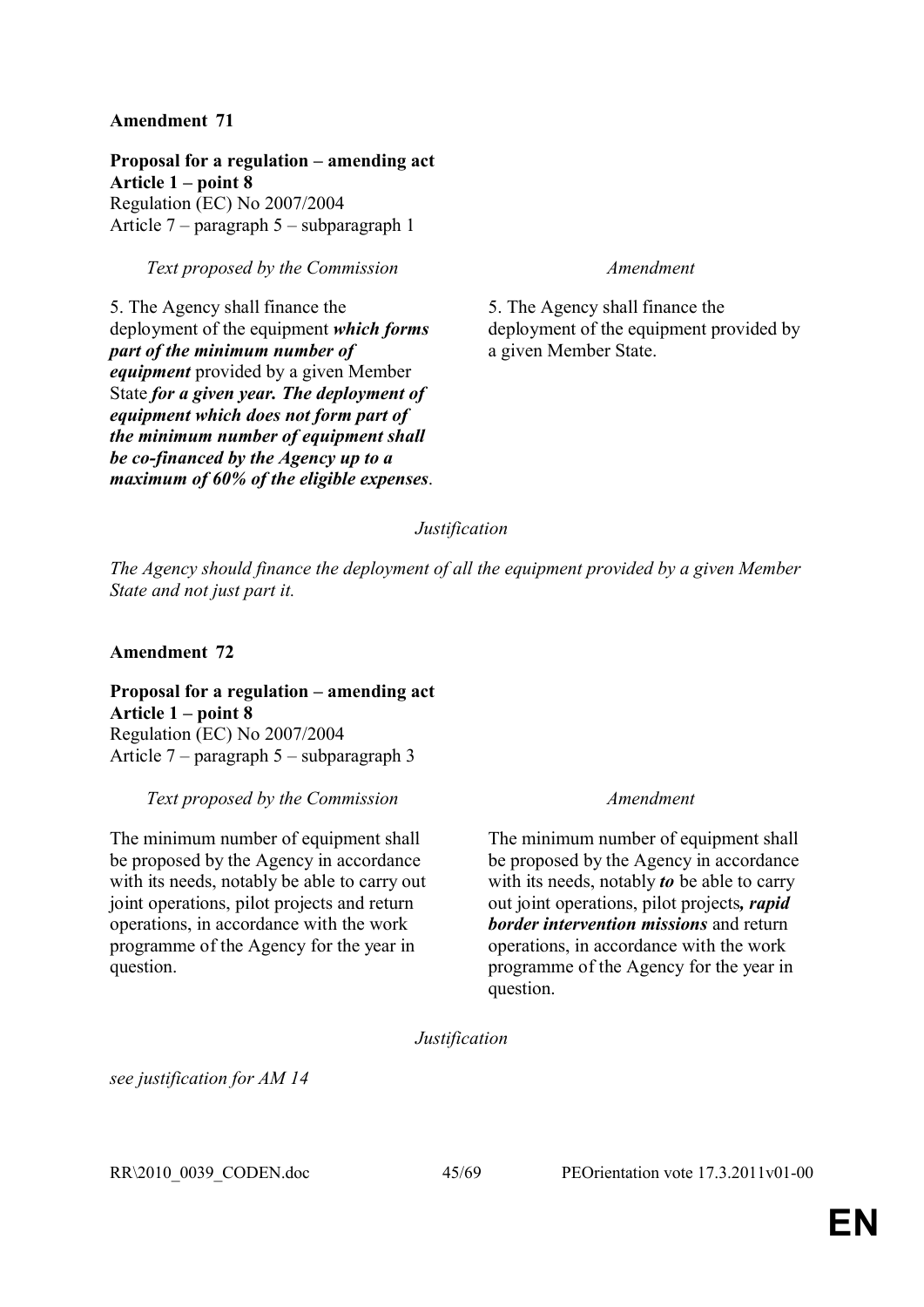**Proposal for a regulation – amending act Article 1 – point 8** Regulation (EC) No 2007/2004 Article 7 – paragraph 5 – subparagraph 1

## *Text proposed by the Commission Amendment*

5. The Agency shall finance the deployment of the equipment *which forms part of the minimum number of equipment* provided by a given Member State *for a given year. The deployment of equipment which does not form part of the minimum number of equipment shall be co-financed by the Agency up to a maximum of 60% of the eligible expenses*.

5. The Agency shall finance the deployment of the equipment provided by a given Member State.

## *Justification*

*The Agency should finance the deployment of all the equipment provided by a given Member State and not just part it.*

## **Amendment 72**

**Proposal for a regulation – amending act Article 1 – point 8** Regulation (EC) No 2007/2004 Article 7 – paragraph 5 – subparagraph 3

*Text proposed by the Commission Amendment*

The minimum number of equipment shall be proposed by the Agency in accordance with its needs, notably be able to carry out joint operations, pilot projects and return operations, in accordance with the work programme of the Agency for the year in question.

The minimum number of equipment shall be proposed by the Agency in accordance with its needs, notably *to* be able to carry out joint operations, pilot projects*, rapid border intervention missions* and return operations, in accordance with the work programme of the Agency for the year in question.

*Justification*

*see justification for AM 14*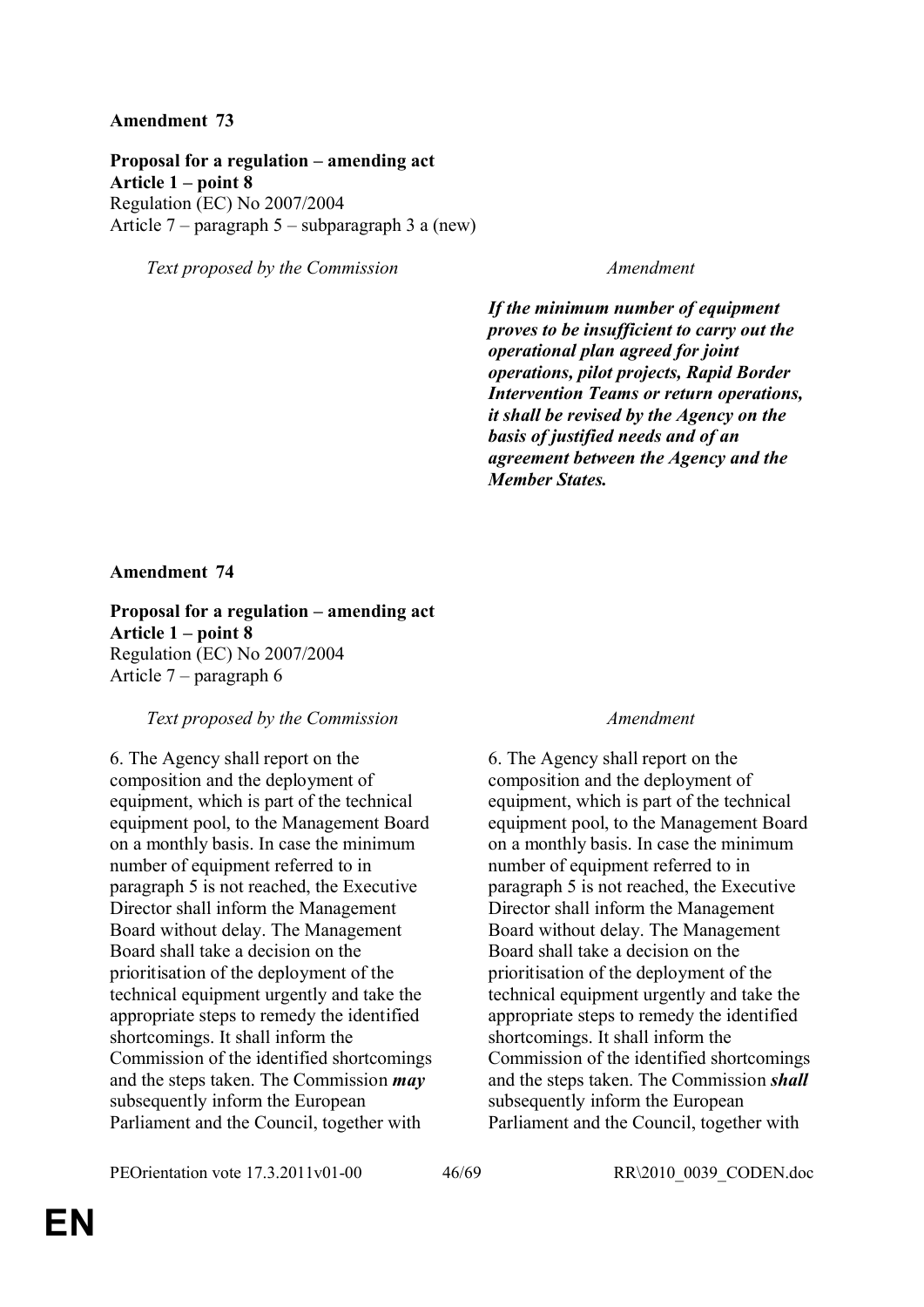**Proposal for a regulation – amending act Article 1 – point 8**  Regulation (EC) No 2007/2004 Article 7 – paragraph 5 – subparagraph 3 a (new)

*Text proposed by the Commission Amendment*

*If the minimum number of equipment proves to be insufficient to carry out the operational plan agreed for joint operations, pilot projects, Rapid Border Intervention Teams or return operations, it shall be revised by the Agency on the basis of justified needs and of an agreement between the Agency and the Member States.*

## **Amendment 74**

**Proposal for a regulation – amending act Article 1 – point 8**  Regulation (EC) No 2007/2004 Article 7 – paragraph 6

## *Text proposed by the Commission Amendment*

6. The Agency shall report on the composition and the deployment of equipment, which is part of the technical equipment pool, to the Management Board on a monthly basis. In case the minimum number of equipment referred to in paragraph 5 is not reached, the Executive Director shall inform the Management Board without delay. The Management Board shall take a decision on the prioritisation of the deployment of the technical equipment urgently and take the appropriate steps to remedy the identified shortcomings. It shall inform the Commission of the identified shortcomings and the steps taken. The Commission *may* subsequently inform the European Parliament and the Council, together with

6. The Agency shall report on the composition and the deployment of equipment, which is part of the technical equipment pool, to the Management Board on a monthly basis. In case the minimum number of equipment referred to in paragraph 5 is not reached, the Executive Director shall inform the Management Board without delay. The Management Board shall take a decision on the prioritisation of the deployment of the technical equipment urgently and take the appropriate steps to remedy the identified shortcomings. It shall inform the Commission of the identified shortcomings and the steps taken. The Commission *shall* subsequently inform the European Parliament and the Council, together with

PEOrientation vote 17.3.2011v01-00 46/69 RR\2010\_0039\_CODEN.doc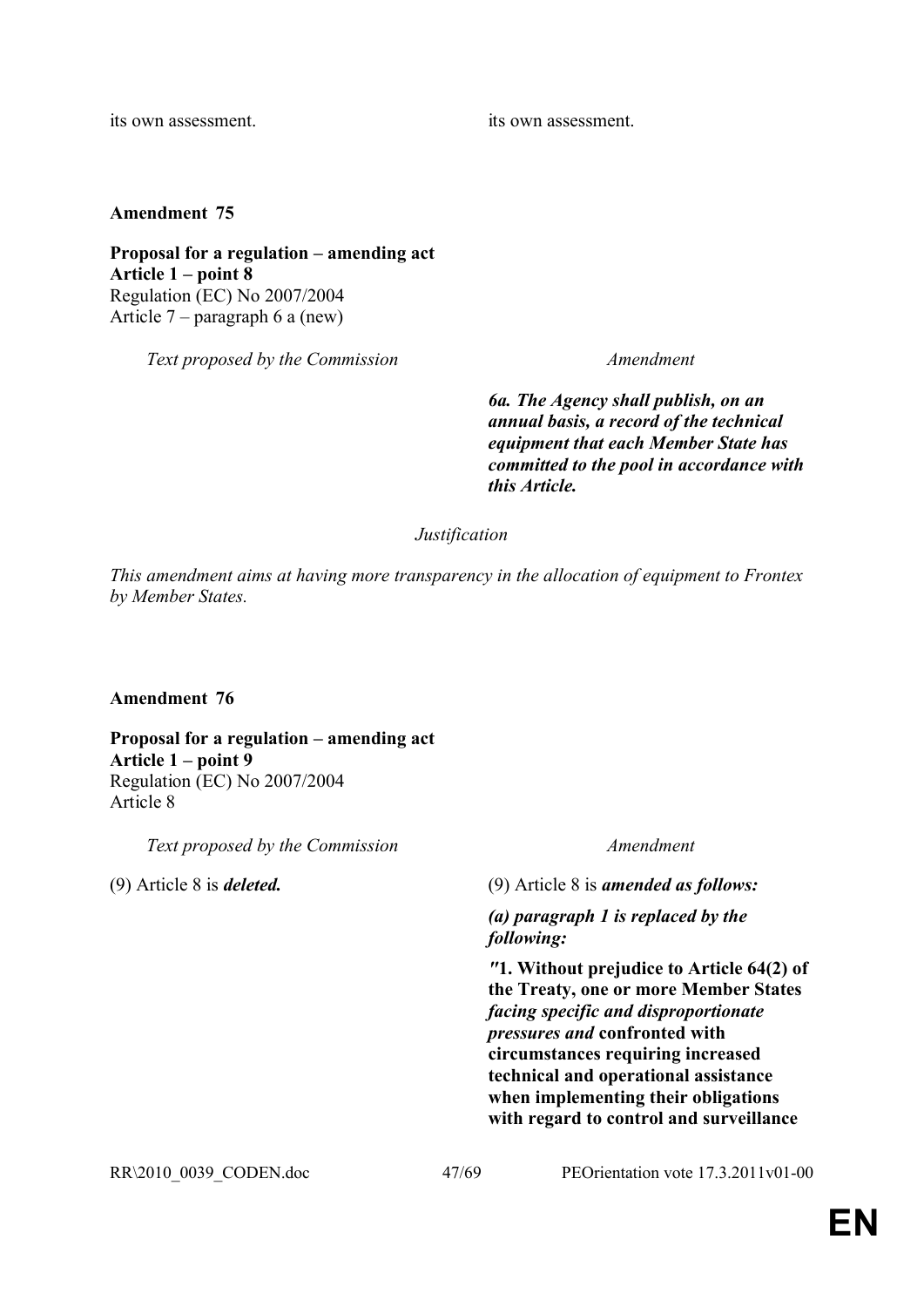its own assessment. its own assessment.

**Amendment 75**

**Proposal for a regulation – amending act Article 1 – point 8** Regulation (EC) No 2007/2004 Article 7 – paragraph 6 a (new)

*Text proposed by the Commission Amendment*

*6a. The Agency shall publish, on an annual basis, a record of the technical equipment that each Member State has committed to the pool in accordance with this Article.*

*Justification*

*This amendment aims at having more transparency in the allocation of equipment to Frontex by Member States.*

## **Amendment 76**

**Proposal for a regulation – amending act Article 1 – point 9**  Regulation (EC) No 2007/2004 Article 8

*Text proposed by the Commission Amendment*

(9) Article 8 is *deleted.* (9) Article 8 is *amended as follows:*

*(a) paragraph 1 is replaced by the following:*

*"***1. Without prejudice to Article 64(2) of the Treaty, one or more Member States**  *facing specific and disproportionate pressures and* **confronted with circumstances requiring increased technical and operational assistance when implementing their obligations with regard to control and surveillance**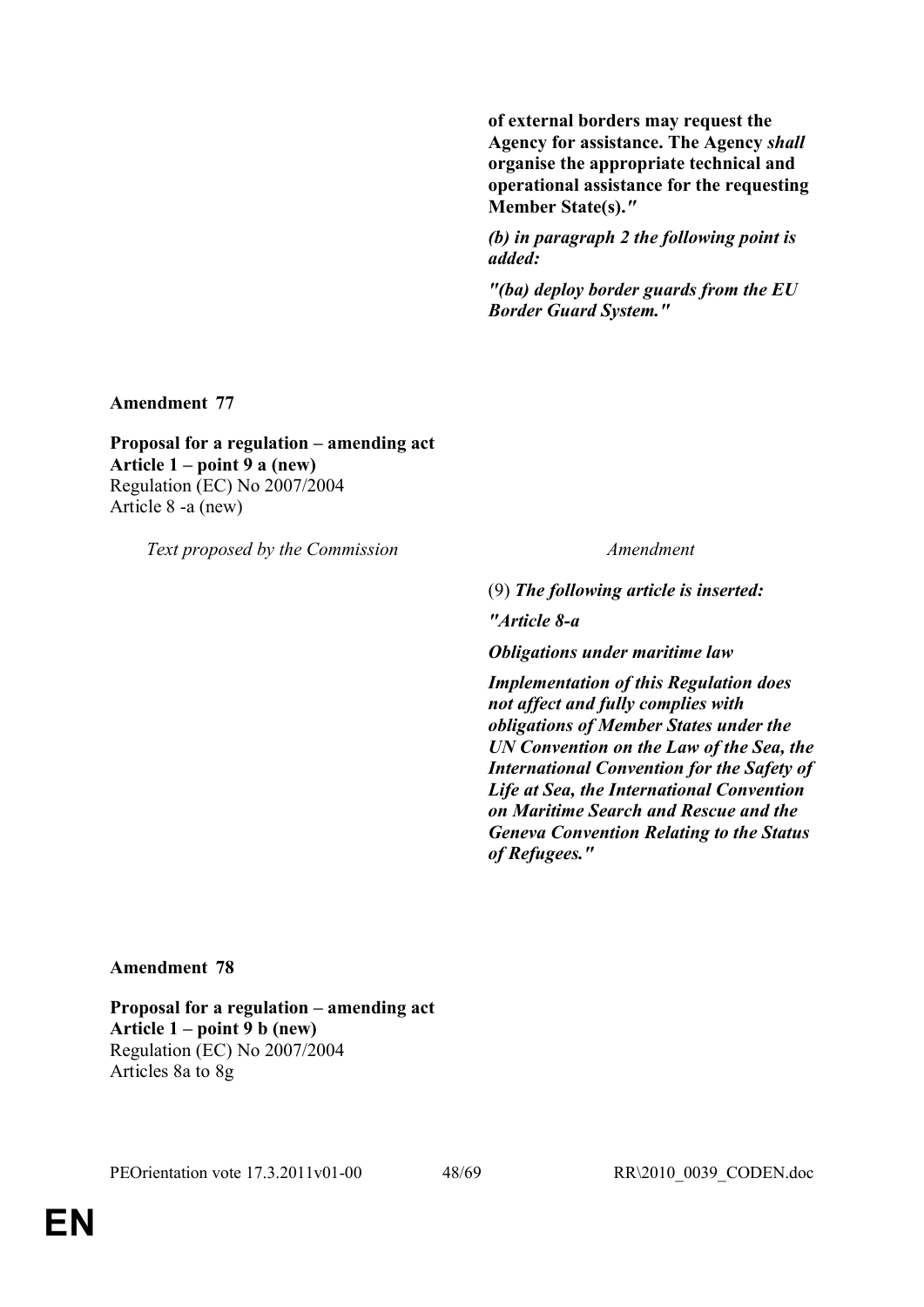**of external borders may request the Agency for assistance. The Agency** *shall*  **organise the appropriate technical and operational assistance for the requesting Member State(s).***"*

*(b) in paragraph 2 the following point is added:*

*"(ba) deploy border guards from the EU Border Guard System."*

**Amendment 77**

**Proposal for a regulation – amending act Article 1 – point 9 a (new)** Regulation (EC) No 2007/2004 Article 8 -a (new)

*Text proposed by the Commission Amendment*

(9) *The following article is inserted:*

*"Article 8-a*

*Obligations under maritime law*

*Implementation of this Regulation does not affect and fully complies with obligations of Member States under the UN Convention on the Law of the Sea, the International Convention for the Safety of Life at Sea, the International Convention on Maritime Search and Rescue and the Geneva Convention Relating to the Status of Refugees."*

## **Amendment 78**

**Proposal for a regulation – amending act Article 1 – point 9 b (new)** Regulation (EC) No 2007/2004 Articles 8a to 8g

PEOrientation vote 17.3.2011v01-00 48/69 RR\2010\_0039\_CODEN.doc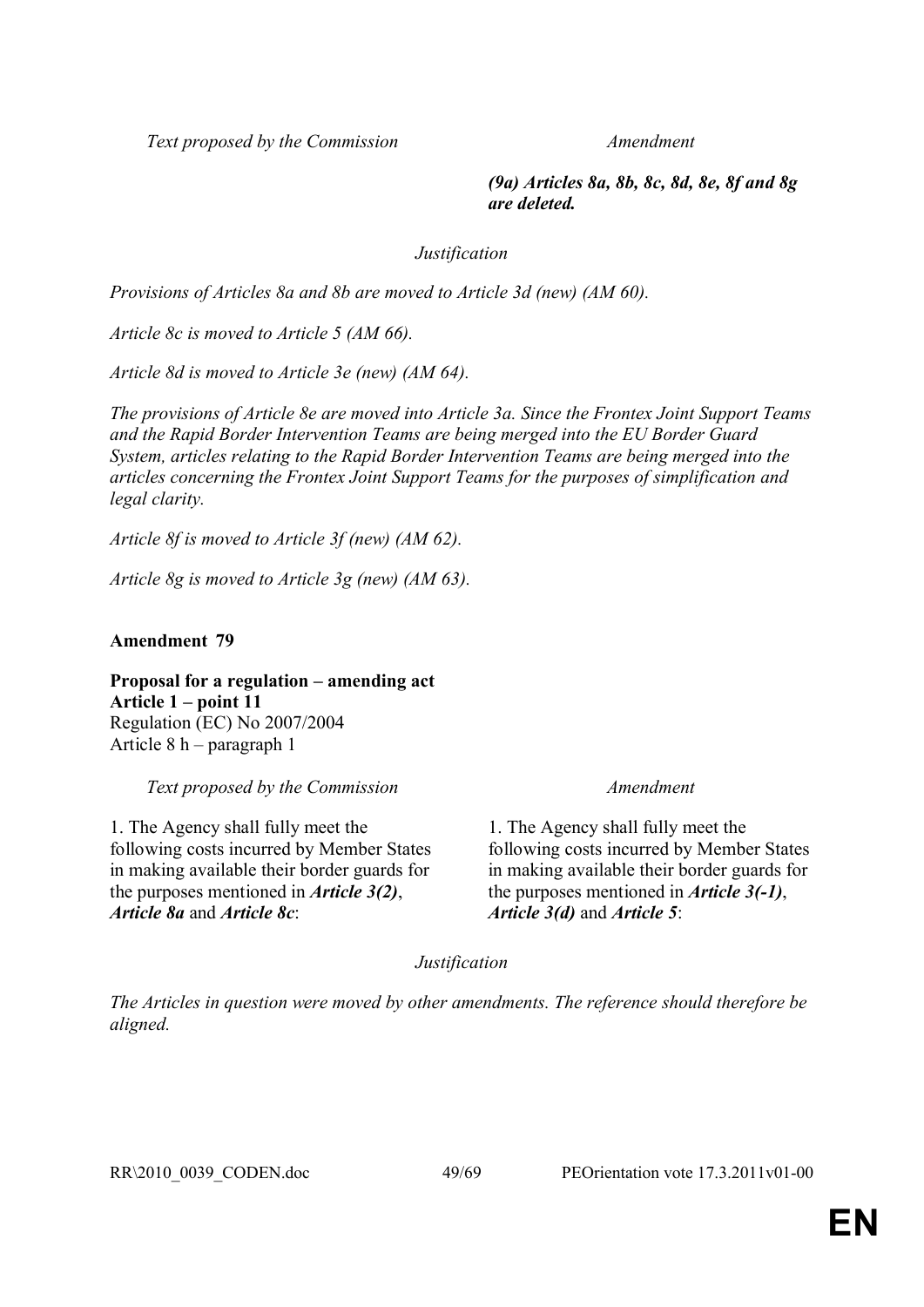*(9a) Articles 8a, 8b, 8c, 8d, 8e, 8f and 8g are deleted.*

*Justification*

*Provisions of Articles 8a and 8b are moved to Article 3d (new) (AM 60).*

*Article 8c is moved to Article 5 (AM 66).* 

*Article 8d is moved to Article 3e (new) (AM 64).*

*The provisions of Article 8e are moved into Article 3a. Since the Frontex Joint Support Teams and the Rapid Border Intervention Teams are being merged into the EU Border Guard System, articles relating to the Rapid Border Intervention Teams are being merged into the articles concerning the Frontex Joint Support Teams for the purposes of simplification and legal clarity.*

*Article 8f is moved to Article 3f (new) (AM 62).*

*Article 8g is moved to Article 3g (new) (AM 63).*

**Amendment 79**

**Proposal for a regulation – amending act Article 1 – point 11** Regulation (EC) No 2007/2004 Article 8 h – paragraph 1

*Text proposed by the Commission Amendment*

1. The Agency shall fully meet the following costs incurred by Member States in making available their border guards for the purposes mentioned in *Article 3(2)*, *Article 8a* and *Article 8c*:

1. The Agency shall fully meet the following costs incurred by Member States in making available their border guards for the purposes mentioned in *Article 3(-1)*, *Article 3(d)* and *Article 5*:

*Justification*

*The Articles in question were moved by other amendments. The reference should therefore be aligned.*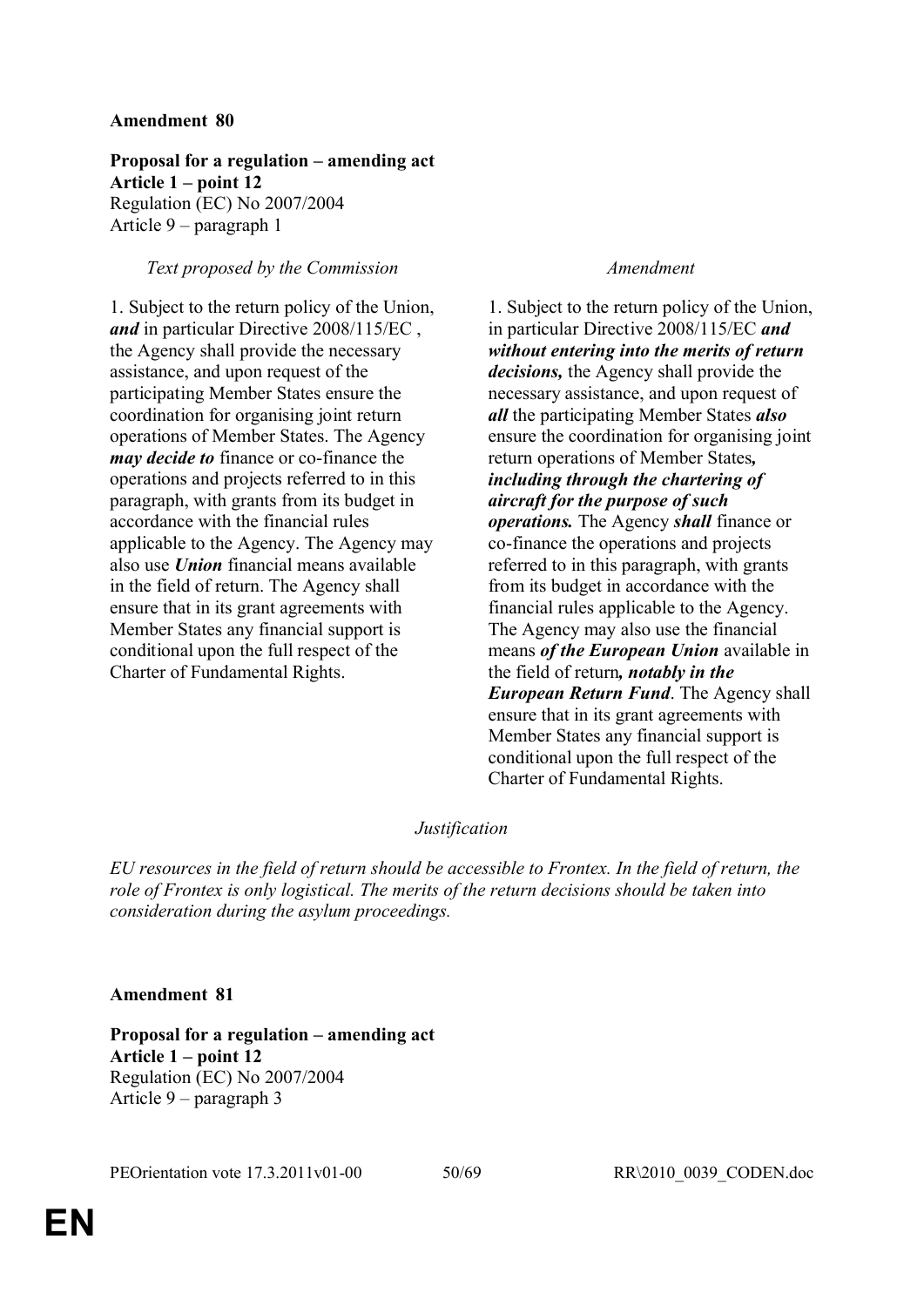**Proposal for a regulation – amending act Article 1 – point 12** Regulation (EC) No 2007/2004 Article 9 – paragraph 1

## *Text proposed by the Commission Amendment*

1. Subject to the return policy of the Union, *and* in particular Directive 2008/115/EC , the Agency shall provide the necessary assistance, and upon request of the participating Member States ensure the coordination for organising joint return operations of Member States. The Agency *may decide to* finance or co-finance the operations and projects referred to in this paragraph, with grants from its budget in accordance with the financial rules applicable to the Agency. The Agency may also use *Union* financial means available in the field of return. The Agency shall ensure that in its grant agreements with Member States any financial support is conditional upon the full respect of the Charter of Fundamental Rights.

1. Subject to the return policy of the Union, in particular Directive 2008/115/EC *and without entering into the merits of return decisions,* the Agency shall provide the necessary assistance, and upon request of *all* the participating Member States *also*  ensure the coordination for organising joint return operations of Member States*, including through the chartering of aircraft for the purpose of such operations.* The Agency *shall* finance or co-finance the operations and projects referred to in this paragraph, with grants from its budget in accordance with the financial rules applicable to the Agency. The Agency may also use the financial means *of the European Union* available in the field of return*, notably in the European Return Fund*. The Agency shall ensure that in its grant agreements with Member States any financial support is conditional upon the full respect of the Charter of Fundamental Rights.

## *Justification*

*EU resources in the field of return should be accessible to Frontex. In the field of return, the role of Frontex is only logistical. The merits of the return decisions should be taken into consideration during the asylum proceedings.*

## **Amendment 81**

**Proposal for a regulation – amending act Article 1 – point 12** Regulation (EC) No 2007/2004 Article 9 – paragraph 3

PEOrientation vote 17.3.2011v01-00 50/69 RR\2010\_0039\_CODEN.doc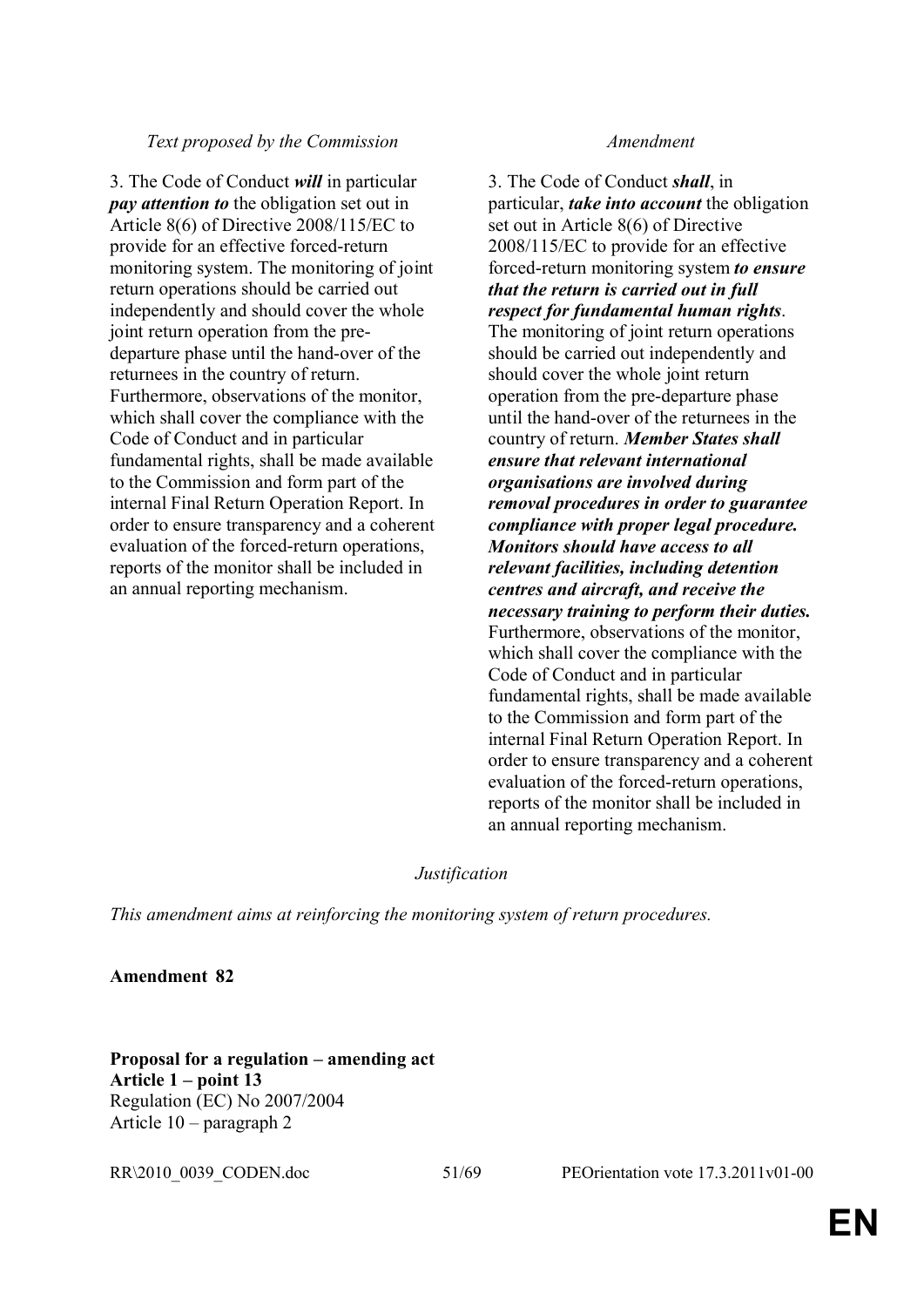3. The Code of Conduct *will* in particular *pay attention to* the obligation set out in Article 8(6) of Directive 2008/115/EC to provide for an effective forced-return monitoring system. The monitoring of joint return operations should be carried out independently and should cover the whole joint return operation from the predeparture phase until the hand-over of the returnees in the country of return. Furthermore, observations of the monitor, which shall cover the compliance with the Code of Conduct and in particular fundamental rights, shall be made available to the Commission and form part of the internal Final Return Operation Report. In order to ensure transparency and a coherent evaluation of the forced-return operations, reports of the monitor shall be included in an annual reporting mechanism.

3. The Code of Conduct *shall*, in particular, *take into account* the obligation set out in Article 8(6) of Directive 2008/115/EC to provide for an effective forced-return monitoring system *to ensure that the return is carried out in full respect for fundamental human rights*. The monitoring of joint return operations should be carried out independently and should cover the whole joint return operation from the pre-departure phase until the hand-over of the returnees in the country of return. *Member States shall ensure that relevant international organisations are involved during removal procedures in order to guarantee compliance with proper legal procedure. Monitors should have access to all relevant facilities, including detention centres and aircraft, and receive the necessary training to perform their duties.* Furthermore, observations of the monitor, which shall cover the compliance with the Code of Conduct and in particular fundamental rights, shall be made available to the Commission and form part of the internal Final Return Operation Report. In order to ensure transparency and a coherent evaluation of the forced-return operations, reports of the monitor shall be included in an annual reporting mechanism.

## *Justification*

*This amendment aims at reinforcing the monitoring system of return procedures.*

**Amendment 82**

**Proposal for a regulation – amending act Article 1 – point 13**  Regulation (EC) No 2007/2004 Article 10 – paragraph 2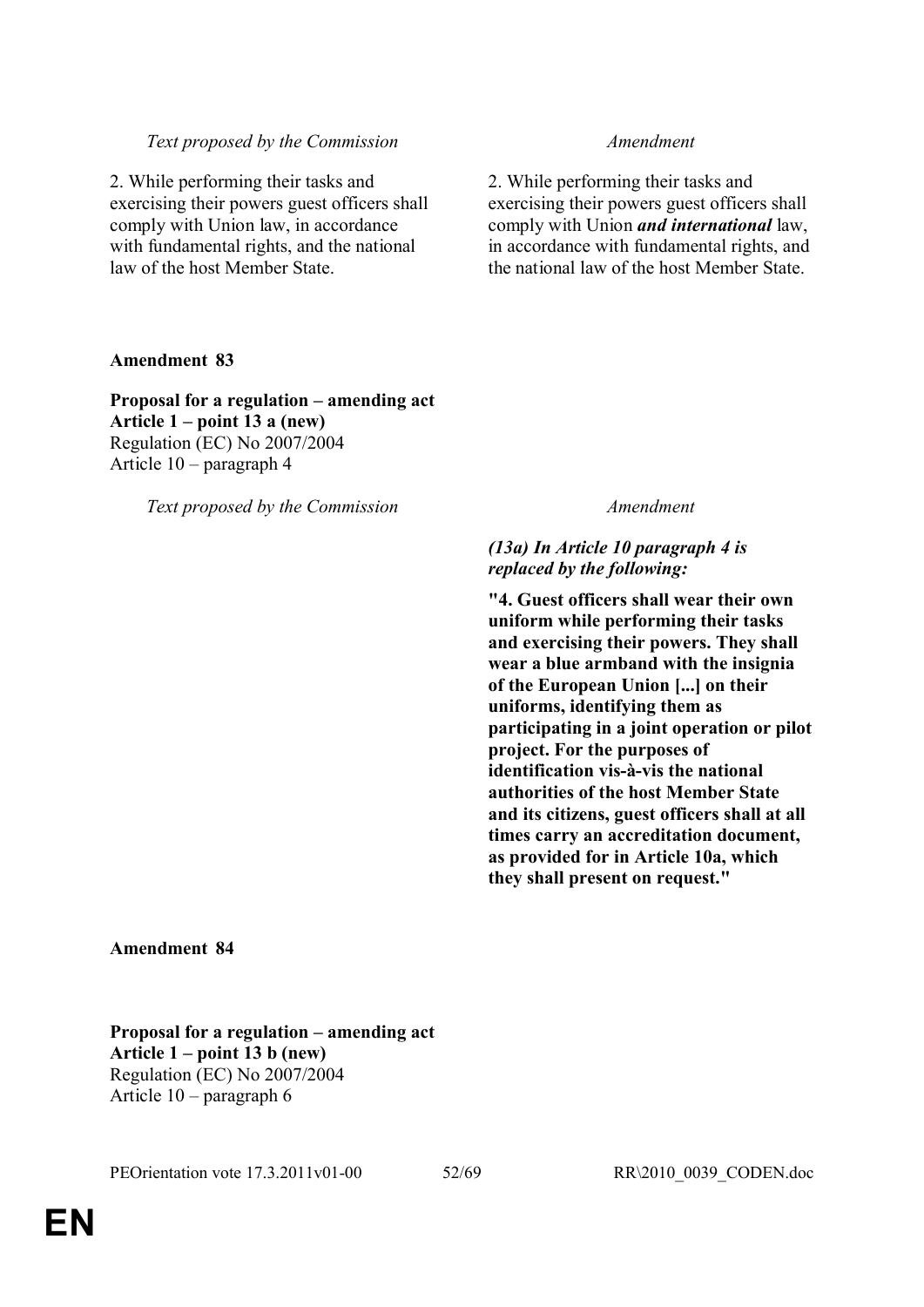2. While performing their tasks and exercising their powers guest officers shall comply with Union law, in accordance with fundamental rights, and the national law of the host Member State.

## **Amendment 83**

## **Proposal for a regulation – amending act Article 1 – point 13 a (new)** Regulation (EC) No 2007/2004

Article 10 – paragraph 4

*Text proposed by the Commission Amendment*

2. While performing their tasks and exercising their powers guest officers shall comply with Union *and international* law, in accordance with fundamental rights, and the national law of the host Member State.

## *(13a) In Article 10 paragraph 4 is replaced by the following:*

**"4. Guest officers shall wear their own uniform while performing their tasks and exercising their powers. They shall wear a blue armband with the insignia of the European Union [...] on their uniforms, identifying them as participating in a joint operation or pilot project. For the purposes of identification vis-à-vis the national authorities of the host Member State and its citizens, guest officers shall at all times carry an accreditation document, as provided for in Article 10a, which they shall present on request."**

**Amendment 84**

**Proposal for a regulation – amending act Article 1 – point 13 b (new)**  Regulation (EC) No 2007/2004 Article 10 – paragraph 6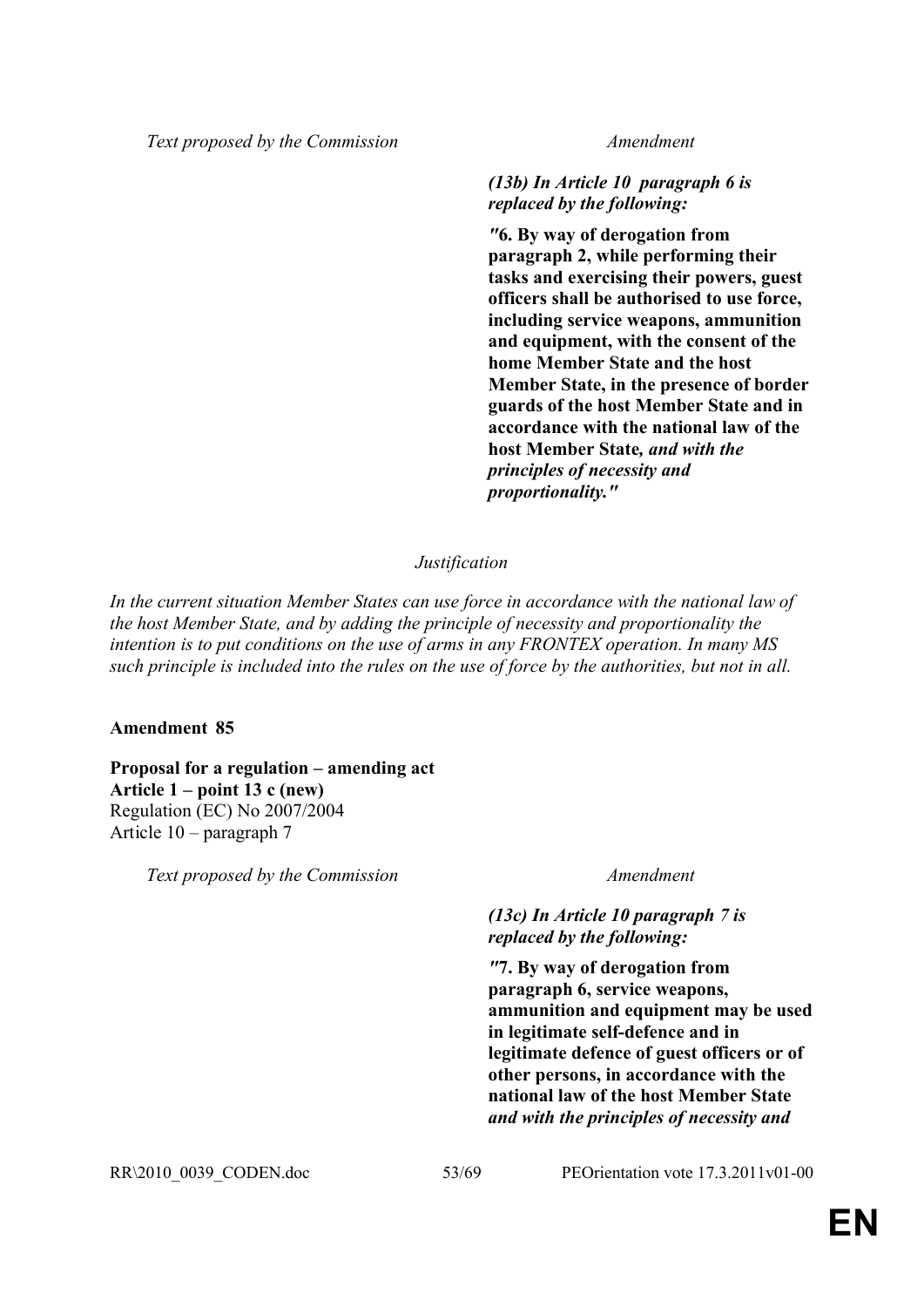## *(13b) In Article 10 paragraph 6 is replaced by the following:*

*"***6. By way of derogation from paragraph 2, while performing their tasks and exercising their powers, guest officers shall be authorised to use force, including service weapons, ammunition and equipment, with the consent of the home Member State and the host Member State, in the presence of border guards of the host Member State and in accordance with the national law of the host Member State***, and with the principles of necessity and proportionality."*

## *Justification*

*In the current situation Member States can use force in accordance with the national law of the host Member State, and by adding the principle of necessity and proportionality the intention is to put conditions on the use of arms in any FRONTEX operation. In many MS such principle is included into the rules on the use of force by the authorities, but not in all.*

## **Amendment 85**

## **Proposal for a regulation – amending act Article 1 – point 13 c (new)**  Regulation (EC) No 2007/2004 Article 10 – paragraph 7

*Text proposed by the Commission Amendment*

## *(13c) In Article 10 paragraph 7 is replaced by the following:*

*"***7. By way of derogation from paragraph 6, service weapons, ammunition and equipment may be used in legitimate self-defence and in legitimate defence of guest officers or of other persons, in accordance with the national law of the host Member State** *and with the principles of necessity and* 

RR\2010\_0039\_CODEN.doc 53/69 PEOrientation vote 17.3.2011v01-00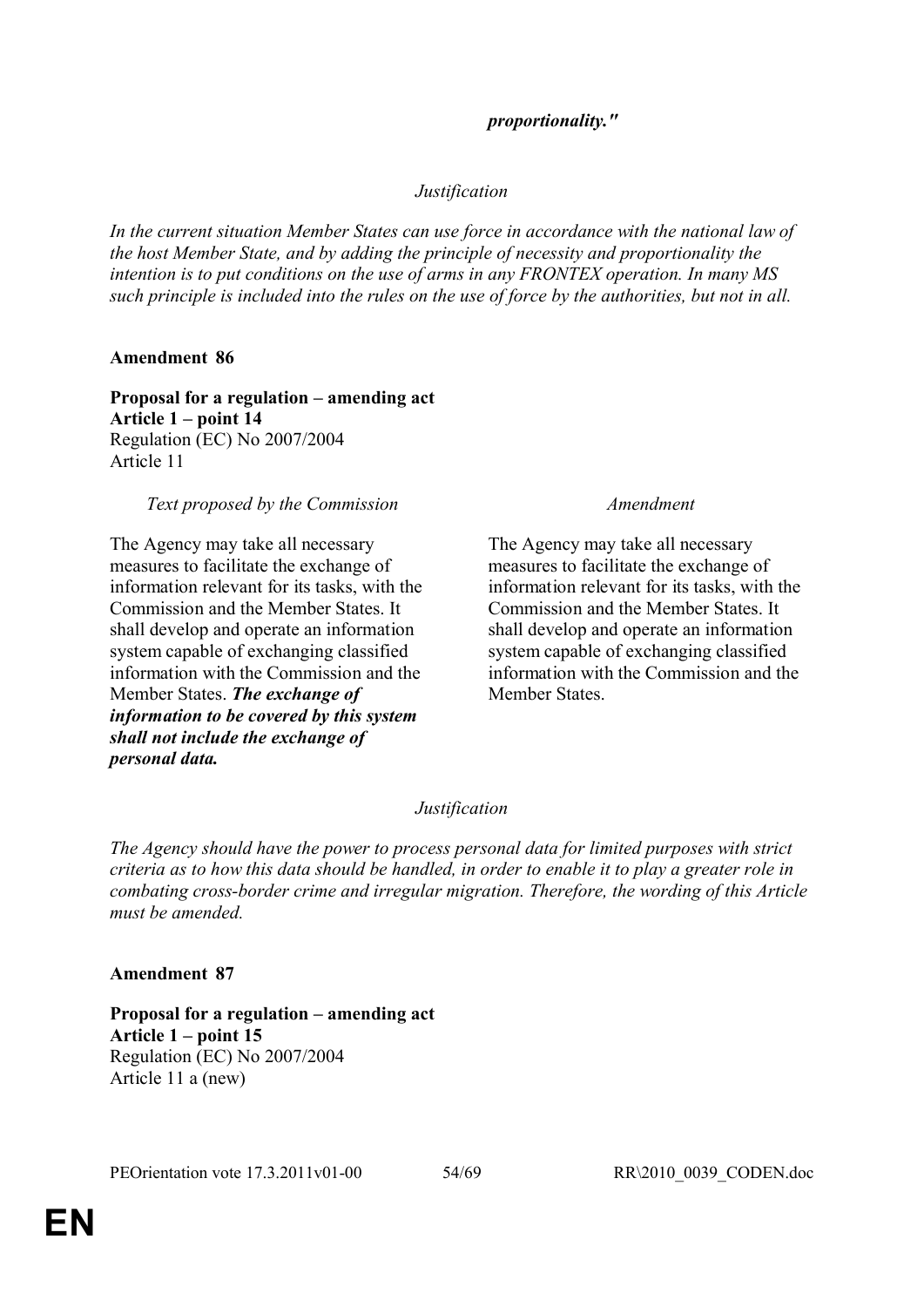## *proportionality."*

## *Justification*

*In the current situation Member States can use force in accordance with the national law of the host Member State, and by adding the principle of necessity and proportionality the intention is to put conditions on the use of arms in any FRONTEX operation. In many MS such principle is included into the rules on the use of force by the authorities, but not in all.*

## **Amendment 86**

**Proposal for a regulation – amending act Article 1 – point 14** Regulation (EC) No 2007/2004 Article 11

## *Text proposed by the Commission Amendment*

The Agency may take all necessary measures to facilitate the exchange of information relevant for its tasks, with the Commission and the Member States. It shall develop and operate an information system capable of exchanging classified information with the Commission and the Member States. *The exchange of information to be covered by this system shall not include the exchange of personal data.*

The Agency may take all necessary measures to facilitate the exchange of information relevant for its tasks, with the Commission and the Member States. It shall develop and operate an information system capable of exchanging classified information with the Commission and the Member States.

## *Justification*

*The Agency should have the power to process personal data for limited purposes with strict criteria as to how this data should be handled, in order to enable it to play a greater role in combating cross-border crime and irregular migration. Therefore, the wording of this Article must be amended.*

## **Amendment 87**

**Proposal for a regulation – amending act Article 1 – point 15** Regulation (EC) No 2007/2004 Article 11 a (new)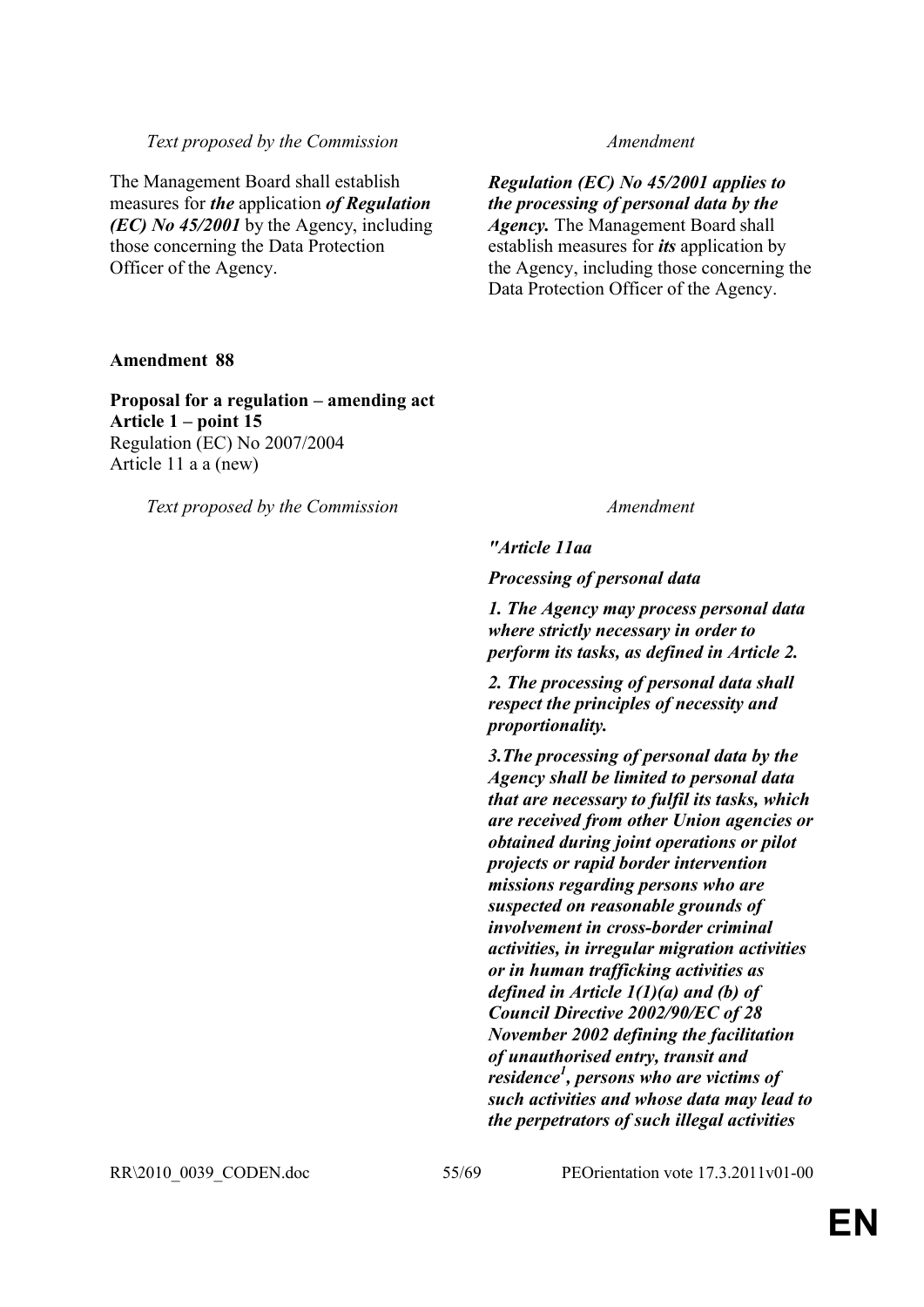The Management Board shall establish measures for *the* application *of Regulation (EC) No 45/2001* by the Agency, including those concerning the Data Protection Officer of the Agency.

*Regulation (EC) No 45/2001 applies to the processing of personal data by the Agency.* The Management Board shall establish measures for *its* application by the Agency, including those concerning the Data Protection Officer of the Agency.

## **Amendment 88**

**Proposal for a regulation – amending act Article 1 – point 15** Regulation (EC) No 2007/2004 Article 11 a a (new)

*Text proposed by the Commission Amendment*

*"Article 11aa*

*Processing of personal data*

*1. The Agency may process personal data where strictly necessary in order to perform its tasks, as defined in Article 2.*

*2. The processing of personal data shall respect the principles of necessity and proportionality.*

*3.The processing of personal data by the Agency shall be limited to personal data that are necessary to fulfil its tasks, which are received from other Union agencies or obtained during joint operations or pilot projects or rapid border intervention missions regarding persons who are suspected on reasonable grounds of involvement in cross-border criminal activities, in irregular migration activities or in human trafficking activities as defined in Article 1(1)(a) and (b) of Council Directive 2002/90/EC of 28 November 2002 defining the facilitation of unauthorised entry, transit and residence<sup>1</sup> , persons who are victims of such activities and whose data may lead to the perpetrators of such illegal activities* 

RR\2010\_0039\_CODEN.doc 55/69 PEOrientation vote 17.3.2011v01-00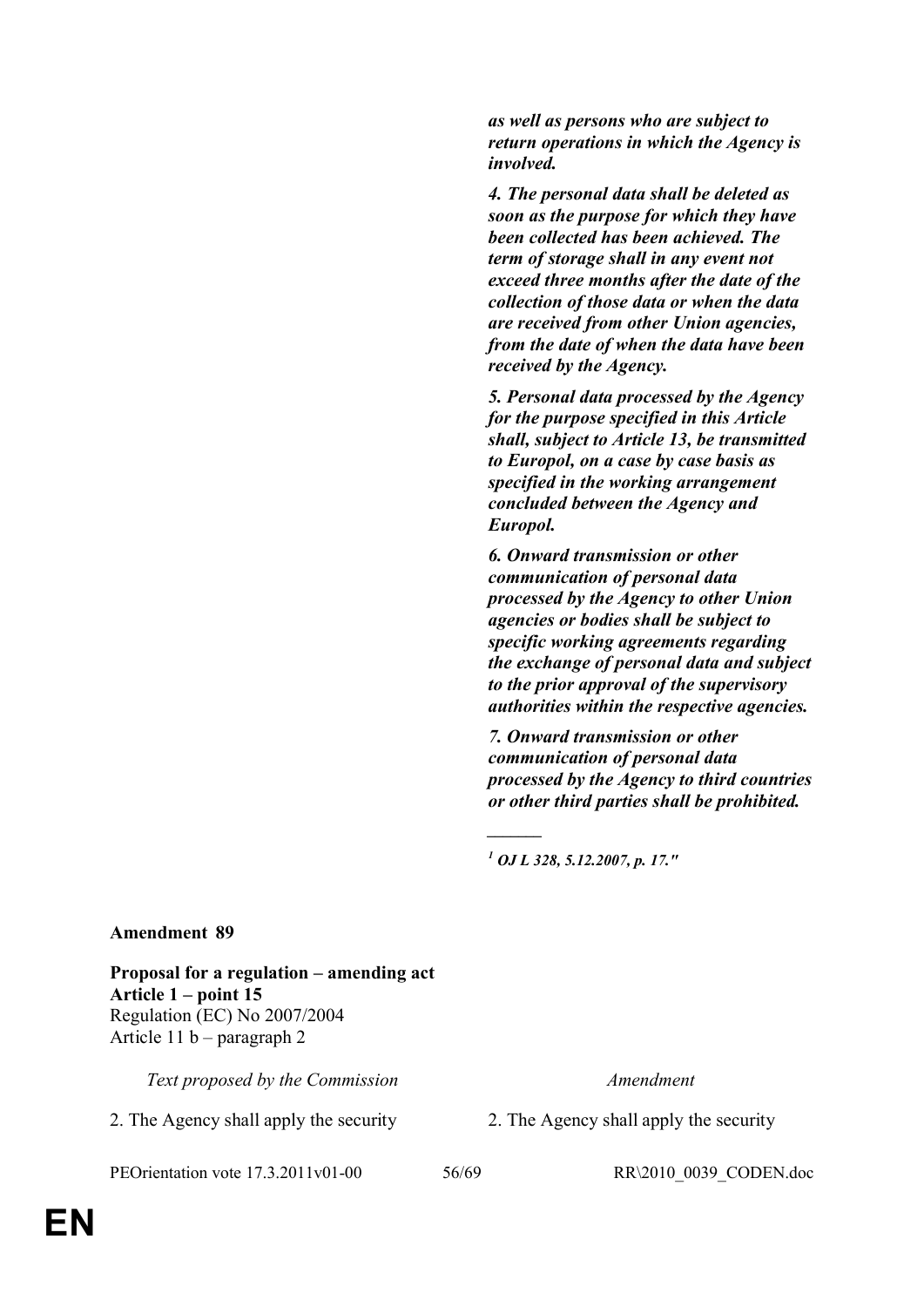*as well as persons who are subject to return operations in which the Agency is involved.*

*4. The personal data shall be deleted as soon as the purpose for which they have been collected has been achieved. The term of storage shall in any event not exceed three months after the date of the collection of those data or when the data are received from other Union agencies, from the date of when the data have been received by the Agency.*

*5. Personal data processed by the Agency for the purpose specified in this Article shall, subject to Article 13, be transmitted to Europol, on a case by case basis as specified in the working arrangement concluded between the Agency and Europol.*

*6. Onward transmission or other communication of personal data processed by the Agency to other Union agencies or bodies shall be subject to specific working agreements regarding the exchange of personal data and subject to the prior approval of the supervisory authorities within the respective agencies.* 

*7. Onward transmission or other communication of personal data processed by the Agency to third countries or other third parties shall be prohibited.*

*1 OJ L 328, 5.12.2007, p. 17."*

*\_\_\_\_\_\_\_*

## **Amendment 89**

**Proposal for a regulation – amending act Article 1 – point 15** Regulation (EC) No 2007/2004 Article 11 b – paragraph 2

*Text proposed by the Commission Amendment*

2. The Agency shall apply the security 2. The Agency shall apply the security

PEOrientation vote 17.3.2011v01-00 56/69 RR\2010\_0039\_CODEN.doc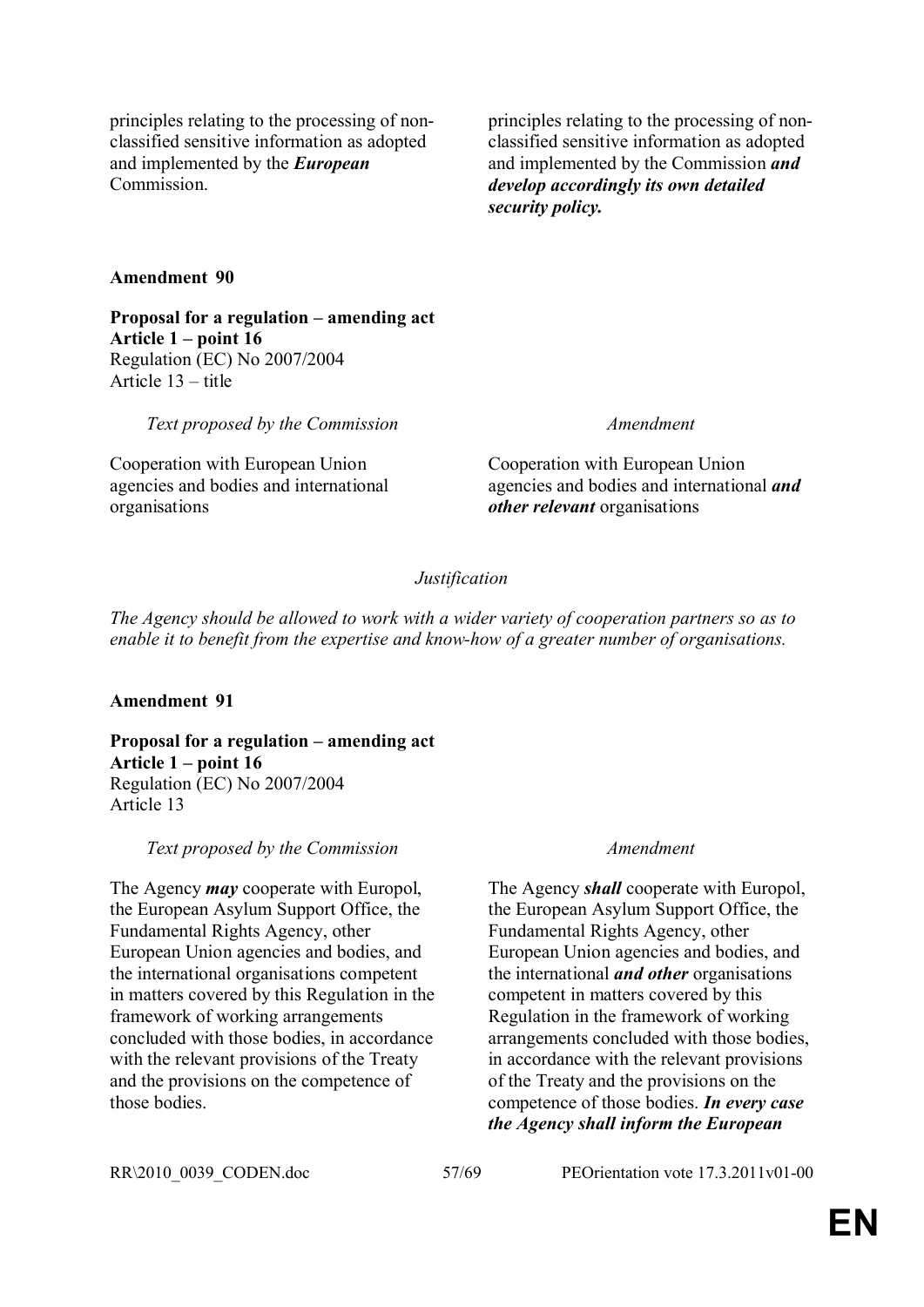principles relating to the processing of nonclassified sensitive information as adopted and implemented by the *European* Commission.

principles relating to the processing of nonclassified sensitive information as adopted and implemented by the Commission *and develop accordingly its own detailed security policy.*

## **Amendment 90**

**Proposal for a regulation – amending act Article 1 – point 16** Regulation (EC) No 2007/2004 Article 13 – title

*Text proposed by the Commission Amendment*

Cooperation with European Union agencies and bodies and international organisations

Cooperation with European Union agencies and bodies and international *and other relevant* organisations

## *Justification*

*The Agency should be allowed to work with a wider variety of cooperation partners so as to enable it to benefit from the expertise and know-how of a greater number of organisations.*

## **Amendment 91**

**Proposal for a regulation – amending act Article 1 – point 16** Regulation (EC) No 2007/2004 Article 13

## *Text proposed by the Commission Amendment*

The Agency *may* cooperate with Europol, the European Asylum Support Office, the Fundamental Rights Agency, other European Union agencies and bodies, and the international organisations competent in matters covered by this Regulation in the framework of working arrangements concluded with those bodies, in accordance with the relevant provisions of the Treaty and the provisions on the competence of those bodies.

The Agency *shall* cooperate with Europol, the European Asylum Support Office, the Fundamental Rights Agency, other European Union agencies and bodies, and the international *and other* organisations competent in matters covered by this Regulation in the framework of working arrangements concluded with those bodies, in accordance with the relevant provisions of the Treaty and the provisions on the competence of those bodies. *In every case the Agency shall inform the European* 

RR\2010\_0039\_CODEN.doc 57/69 PEOrientation vote 17.3.2011v01-00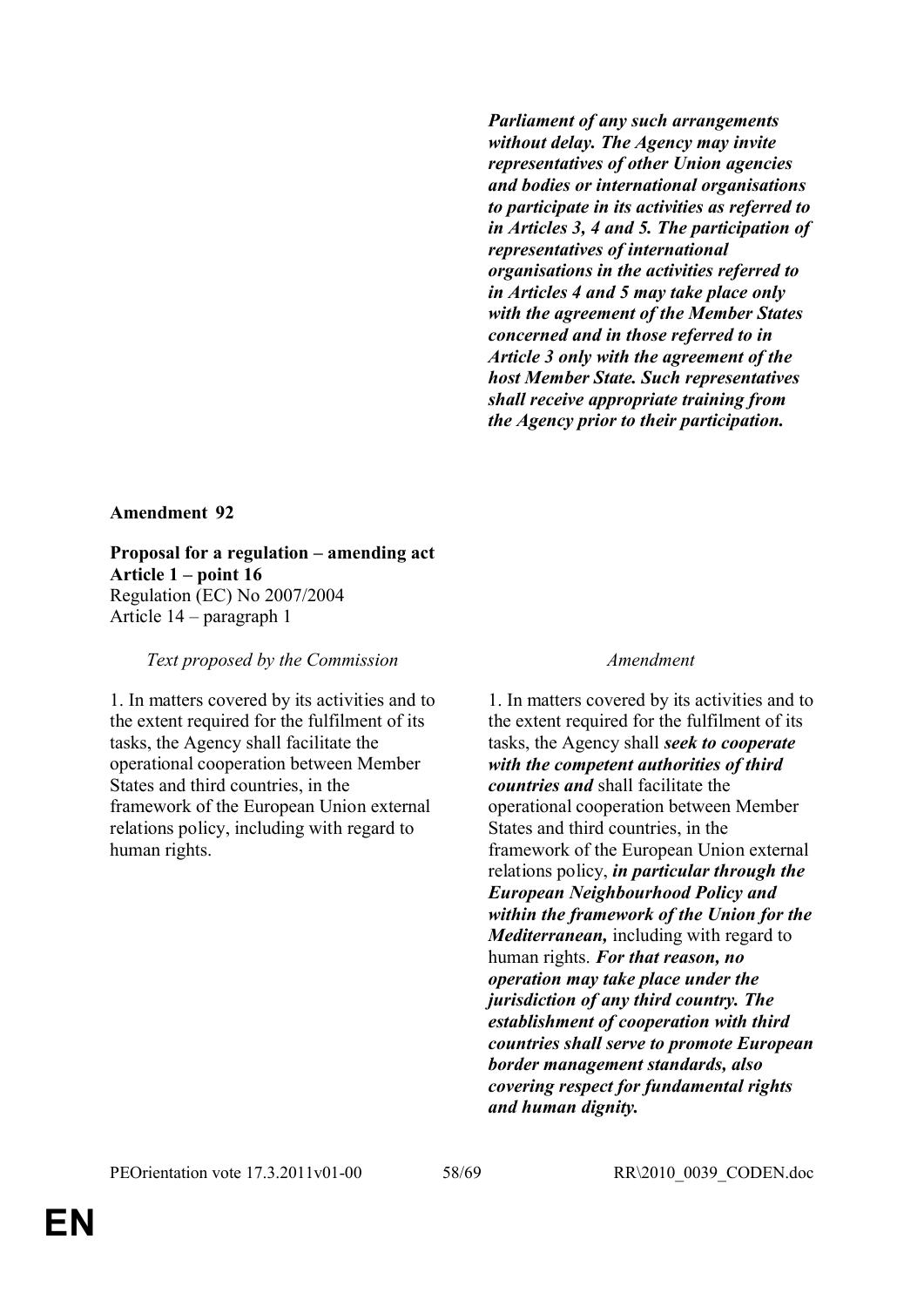*Parliament of any such arrangements without delay. The Agency may invite representatives of other Union agencies and bodies or international organisations to participate in its activities as referred to in Articles 3, 4 and 5. The participation of representatives of international organisations in the activities referred to in Articles 4 and 5 may take place only with the agreement of the Member States concerned and in those referred to in Article 3 only with the agreement of the host Member State. Such representatives shall receive appropriate training from the Agency prior to their participation.*

## **Amendment 92**

**Proposal for a regulation – amending act Article 1 – point 16** Regulation (EC) No 2007/2004 Article 14 – paragraph 1

*Text proposed by the Commission Amendment*

1. In matters covered by its activities and to the extent required for the fulfilment of its tasks, the Agency shall facilitate the operational cooperation between Member States and third countries, in the framework of the European Union external relations policy, including with regard to human rights.

1. In matters covered by its activities and to the extent required for the fulfilment of its tasks, the Agency shall *seek to cooperate with the competent authorities of third countries and* shall facilitate the operational cooperation between Member States and third countries, in the framework of the European Union external relations policy, *in particular through the European Neighbourhood Policy and within the framework of the Union for the Mediterranean,* including with regard to human rights. *For that reason, no operation may take place under the jurisdiction of any third country. The establishment of cooperation with third countries shall serve to promote European border management standards, also covering respect for fundamental rights and human dignity.*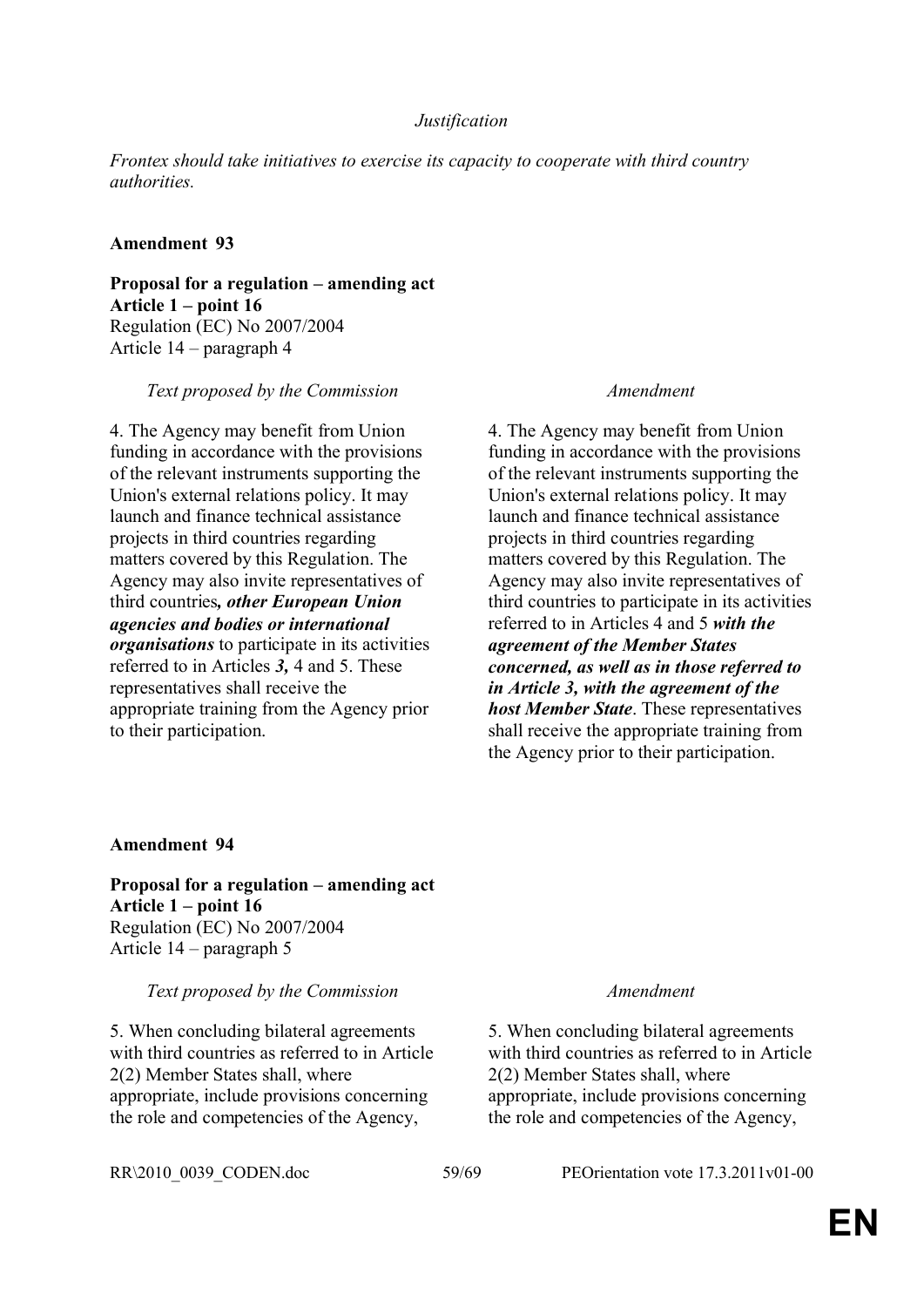## *Justification*

*Frontex should take initiatives to exercise its capacity to cooperate with third country authorities.*

## **Amendment 93**

**Proposal for a regulation – amending act Article 1 – point 16** Regulation (EC) No 2007/2004 Article 14 – paragraph 4

## *Text proposed by the Commission Amendment*

4. The Agency may benefit from Union funding in accordance with the provisions of the relevant instruments supporting the Union's external relations policy. It may launch and finance technical assistance projects in third countries regarding matters covered by this Regulation. The Agency may also invite representatives of third countries*, other European Union agencies and bodies or international organisations* to participate in its activities referred to in Articles *3,* 4 and 5. These representatives shall receive the appropriate training from the Agency prior to their participation.

4. The Agency may benefit from Union funding in accordance with the provisions of the relevant instruments supporting the Union's external relations policy. It may launch and finance technical assistance projects in third countries regarding matters covered by this Regulation. The Agency may also invite representatives of third countries to participate in its activities referred to in Articles 4 and 5 *with the agreement of the Member States concerned, as well as in those referred to in Article 3, with the agreement of the host Member State*. These representatives shall receive the appropriate training from the Agency prior to their participation.

## **Amendment 94**

**Proposal for a regulation – amending act Article 1 – point 16** Regulation (EC) No 2007/2004 Article 14 – paragraph 5

*Text proposed by the Commission Amendment*

5. When concluding bilateral agreements with third countries as referred to in Article 2(2) Member States shall, where appropriate, include provisions concerning the role and competencies of the Agency,

5. When concluding bilateral agreements with third countries as referred to in Article 2(2) Member States shall, where appropriate, include provisions concerning the role and competencies of the Agency,

RR\2010\_0039\_CODEN.doc 59/69 PEOrientation vote 17.3.2011v01-00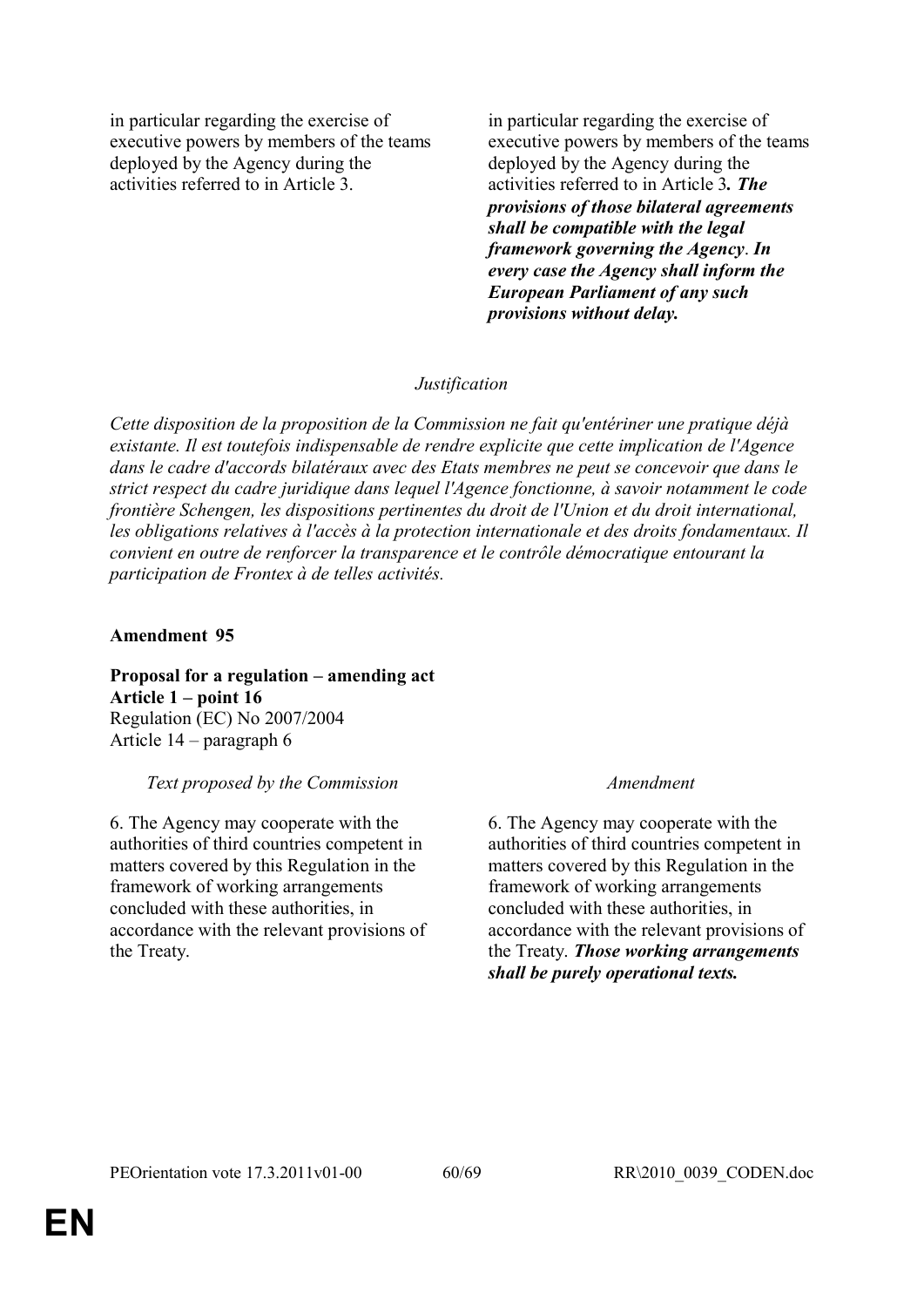in particular regarding the exercise of executive powers by members of the teams deployed by the Agency during the activities referred to in Article 3.

in particular regarding the exercise of executive powers by members of the teams deployed by the Agency during the activities referred to in Article 3*. The provisions of those bilateral agreements shall be compatible with the legal framework governing the Agency*. *In every case the Agency shall inform the European Parliament of any such provisions without delay.*

## *Justification*

*Cette disposition de la proposition de la Commission ne fait qu'entériner une pratique déjà existante. Il est toutefois indispensable de rendre explicite que cette implication de l'Agence dans le cadre d'accords bilatéraux avec des Etats membres ne peut se concevoir que dans le strict respect du cadre juridique dans lequel l'Agence fonctionne, à savoir notamment le code frontière Schengen, les dispositions pertinentes du droit de l'Union et du droit international, les obligations relatives à l'accès à la protection internationale et des droits fondamentaux. Il convient en outre de renforcer la transparence et le contrôle démocratique entourant la participation de Frontex à de telles activités.*

## **Amendment 95**

**Proposal for a regulation – amending act Article 1 – point 16** Regulation (EC) No 2007/2004 Article 14 – paragraph 6

## *Text proposed by the Commission Amendment*

6. The Agency may cooperate with the authorities of third countries competent in matters covered by this Regulation in the framework of working arrangements concluded with these authorities, in accordance with the relevant provisions of the Treaty.

6. The Agency may cooperate with the authorities of third countries competent in matters covered by this Regulation in the framework of working arrangements concluded with these authorities, in accordance with the relevant provisions of the Treaty. *Those working arrangements shall be purely operational texts.*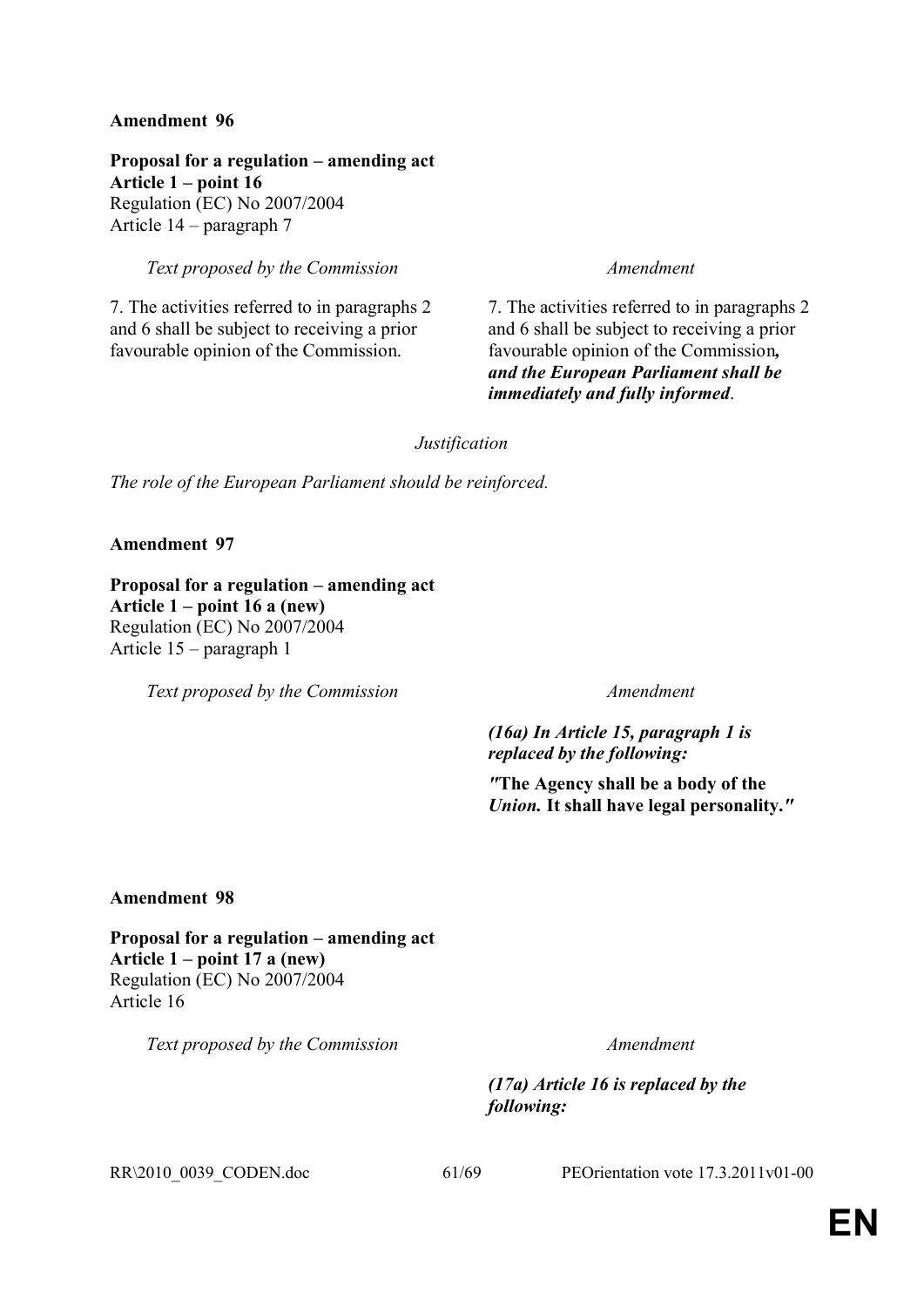**Proposal for a regulation – amending act Article 1 – point 16** Regulation (EC) No 2007/2004 Article 14 – paragraph 7

*Text proposed by the Commission Amendment*

7. The activities referred to in paragraphs 2 and 6 shall be subject to receiving a prior favourable opinion of the Commission.

7. The activities referred to in paragraphs 2 and 6 shall be subject to receiving a prior favourable opinion of the Commission*, and the European Parliament shall be immediately and fully informed*.

*Justification*

*The role of the European Parliament should be reinforced.*

**Amendment 97**

**Proposal for a regulation – amending act Article 1 – point 16 a (new)**  Regulation (EC) No 2007/2004 Article 15 – paragraph 1

*Text proposed by the Commission Amendment*

*(16a) In Article 15, paragraph 1 is replaced by the following:*

*"***The Agency shall be a body of the**  *Union.* **It shall have legal personality.***"*

**Amendment 98**

**Proposal for a regulation – amending act Article 1 – point 17 a (new)** Regulation (EC) No 2007/2004 Article 16

*Text proposed by the Commission Amendment*

*(17a) Article 16 is replaced by the following:*

RR\2010\_0039\_CODEN.doc 61/69 PEOrientation vote 17.3.2011v01-00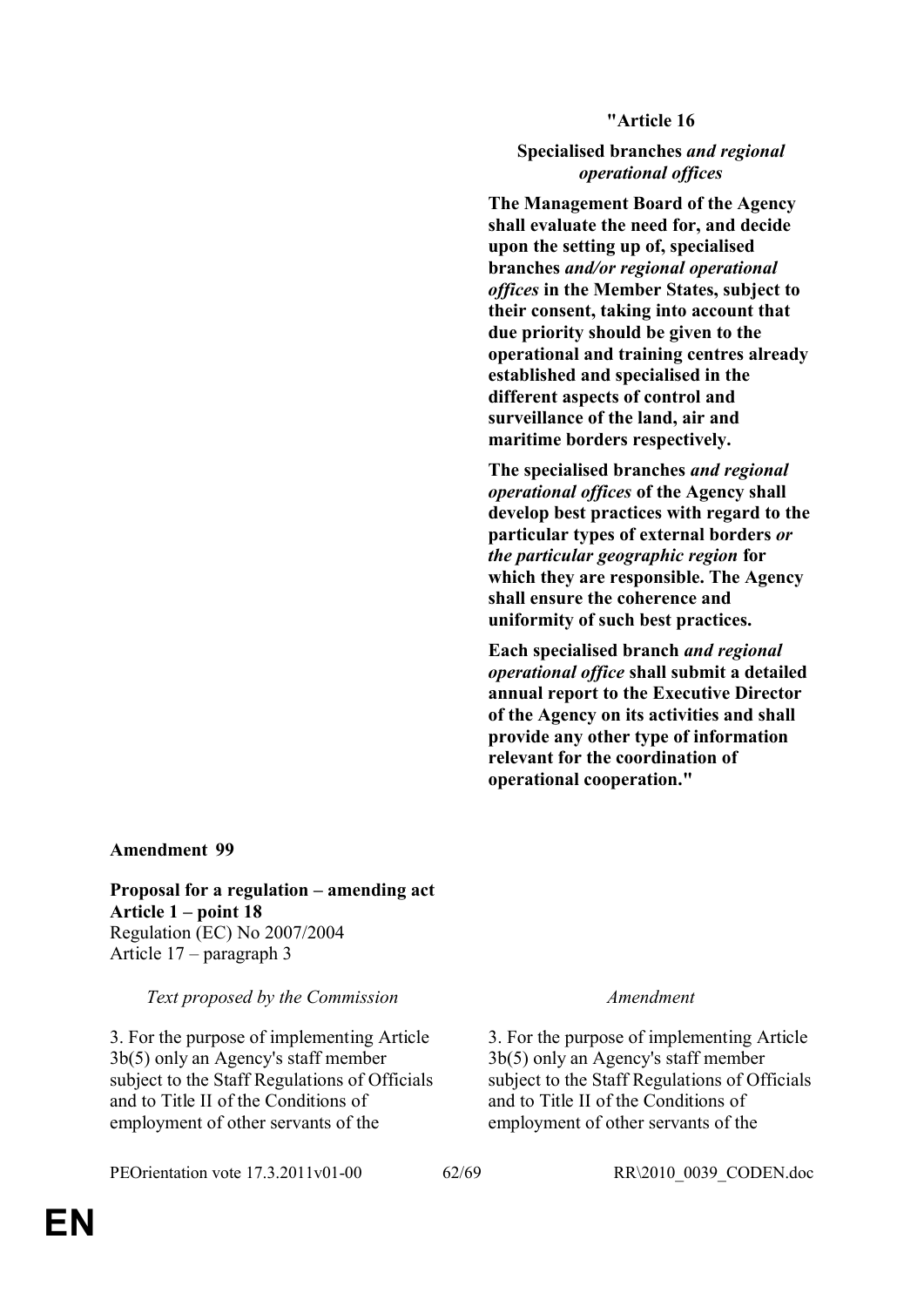**"Article 16**

**Specialised branches** *and regional operational offices*

**The Management Board of the Agency shall evaluate the need for, and decide upon the setting up of, specialised branches** *and/or regional operational offices* **in the Member States, subject to their consent, taking into account that due priority should be given to the operational and training centres already established and specialised in the different aspects of control and surveillance of the land, air and maritime borders respectively.**

**The specialised branches** *and regional operational offices* **of the Agency shall develop best practices with regard to the particular types of external borders** *or the particular geographic region* **for which they are responsible. The Agency shall ensure the coherence and uniformity of such best practices.**

**Each specialised branch** *and regional operational office* **shall submit a detailed annual report to the Executive Director of the Agency on its activities and shall provide any other type of information relevant for the coordination of operational cooperation."**

## **Amendment 99**

**Proposal for a regulation – amending act Article 1 – point 18** Regulation (EC) No 2007/2004 Article 17 – paragraph 3

*Text proposed by the Commission Amendment*

3. For the purpose of implementing Article 3b(5) only an Agency's staff member subject to the Staff Regulations of Officials and to Title II of the Conditions of employment of other servants of the

PEOrientation vote 17.3.2011v01-00 62/69 RR\2010\_0039\_CODEN.doc

3. For the purpose of implementing Article 3b(5) only an Agency's staff member subject to the Staff Regulations of Officials and to Title II of the Conditions of employment of other servants of the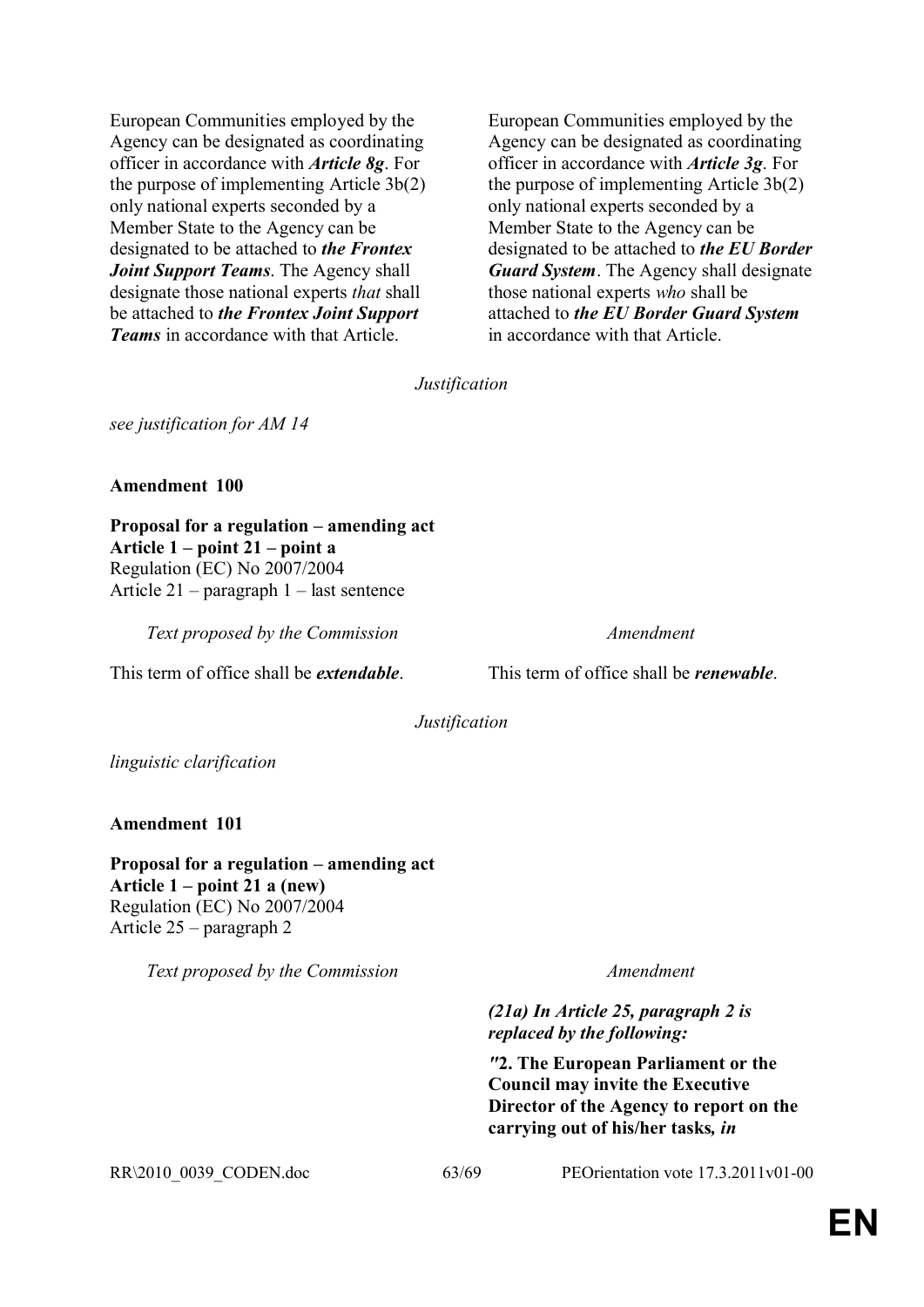European Communities employed by the Agency can be designated as coordinating officer in accordance with *Article 8g*. For the purpose of implementing Article 3b(2) only national experts seconded by a Member State to the Agency can be designated to be attached to *the Frontex Joint Support Teams*. The Agency shall designate those national experts *that* shall be attached to *the Frontex Joint Support Teams* in accordance with that Article.

European Communities employed by the Agency can be designated as coordinating officer in accordance with *Article 3g*. For the purpose of implementing Article 3b(2) only national experts seconded by a Member State to the Agency can be designated to be attached to *the EU Border Guard System*. The Agency shall designate those national experts *who* shall be attached to *the EU Border Guard System*  in accordance with that Article.

*Justification*

*see justification for AM 14*

## **Amendment 100**

**Proposal for a regulation – amending act Article 1 – point 21 – point a** Regulation (EC) No 2007/2004 Article 21 – paragraph 1 – last sentence

*Text proposed by the Commission Amendment*

This term of office shall be *extendable*. This term of office shall be *renewable*.

*Justification*

*linguistic clarification*

## **Amendment 101**

**Proposal for a regulation – amending act Article 1 – point 21 a (new)** Regulation (EC) No 2007/2004 Article 25 – paragraph 2

*Text proposed by the Commission Amendment*

*(21a) In Article 25, paragraph 2 is replaced by the following:*

*"***2. The European Parliament or the Council may invite the Executive Director of the Agency to report on the carrying out of his/her tasks***, in* 

RR\2010\_0039\_CODEN.doc 63/69 PEOrientation vote 17.3.2011v01-00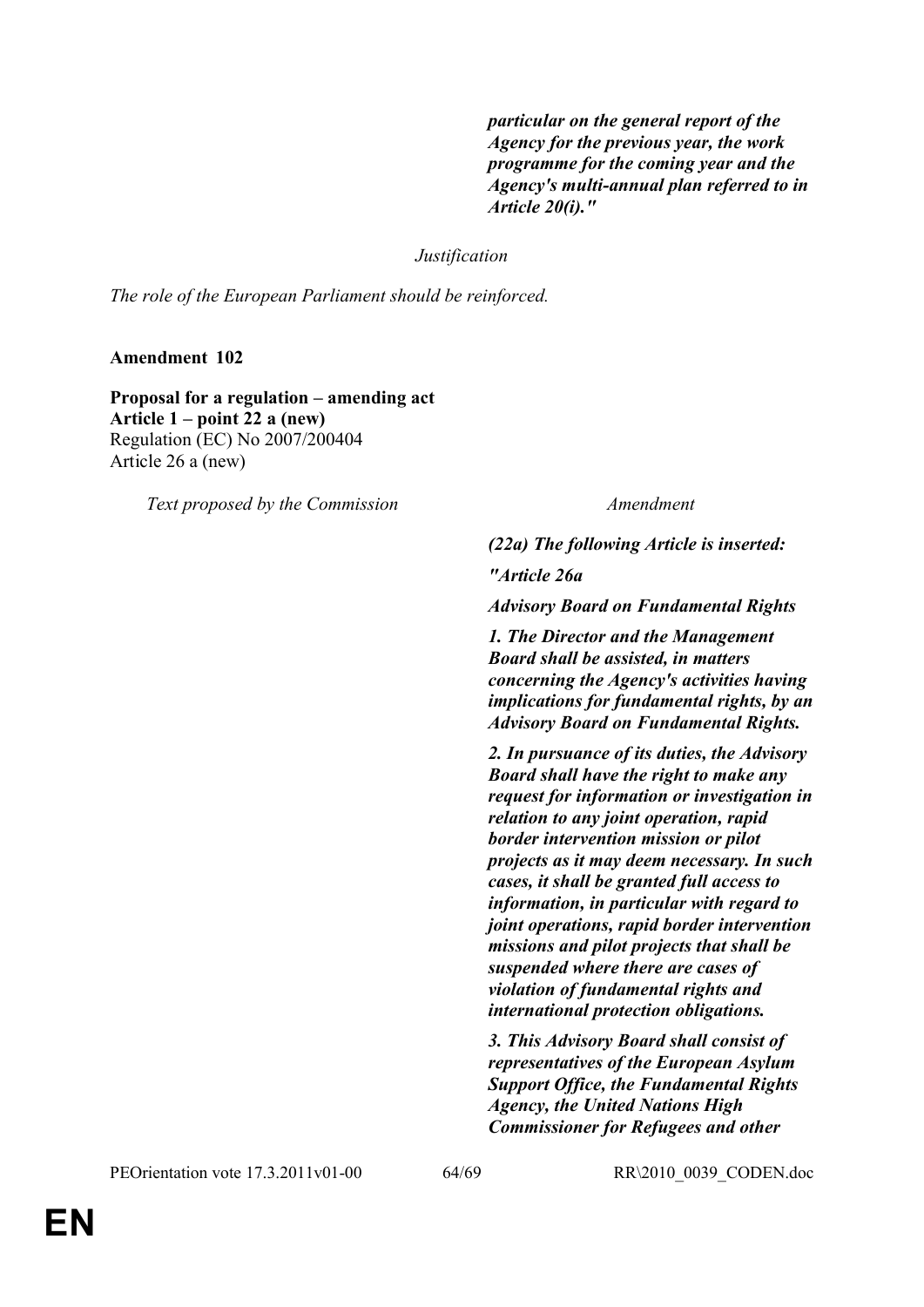*particular on the general report of the Agency for the previous year, the work programme for the coming year and the Agency's multi-annual plan referred to in Article 20(i)."*

*Justification*

*The role of the European Parliament should be reinforced.*

**Amendment 102**

**Proposal for a regulation – amending act Article 1 – point 22 a (new)** Regulation (EC) No 2007/200404 Article 26 a (new)

*Text proposed by the Commission Amendment*

*(22a) The following Article is inserted:*

*"Article 26a*

*Advisory Board on Fundamental Rights*

*1. The Director and the Management Board shall be assisted, in matters concerning the Agency's activities having implications for fundamental rights, by an Advisory Board on Fundamental Rights.*

*2. In pursuance of its duties, the Advisory Board shall have the right to make any request for information or investigation in relation to any joint operation, rapid border intervention mission or pilot projects as it may deem necessary. In such cases, it shall be granted full access to information, in particular with regard to joint operations, rapid border intervention missions and pilot projects that shall be suspended where there are cases of violation of fundamental rights and international protection obligations.*

*3. This Advisory Board shall consist of representatives of the European Asylum Support Office, the Fundamental Rights Agency, the United Nations High Commissioner for Refugees and other*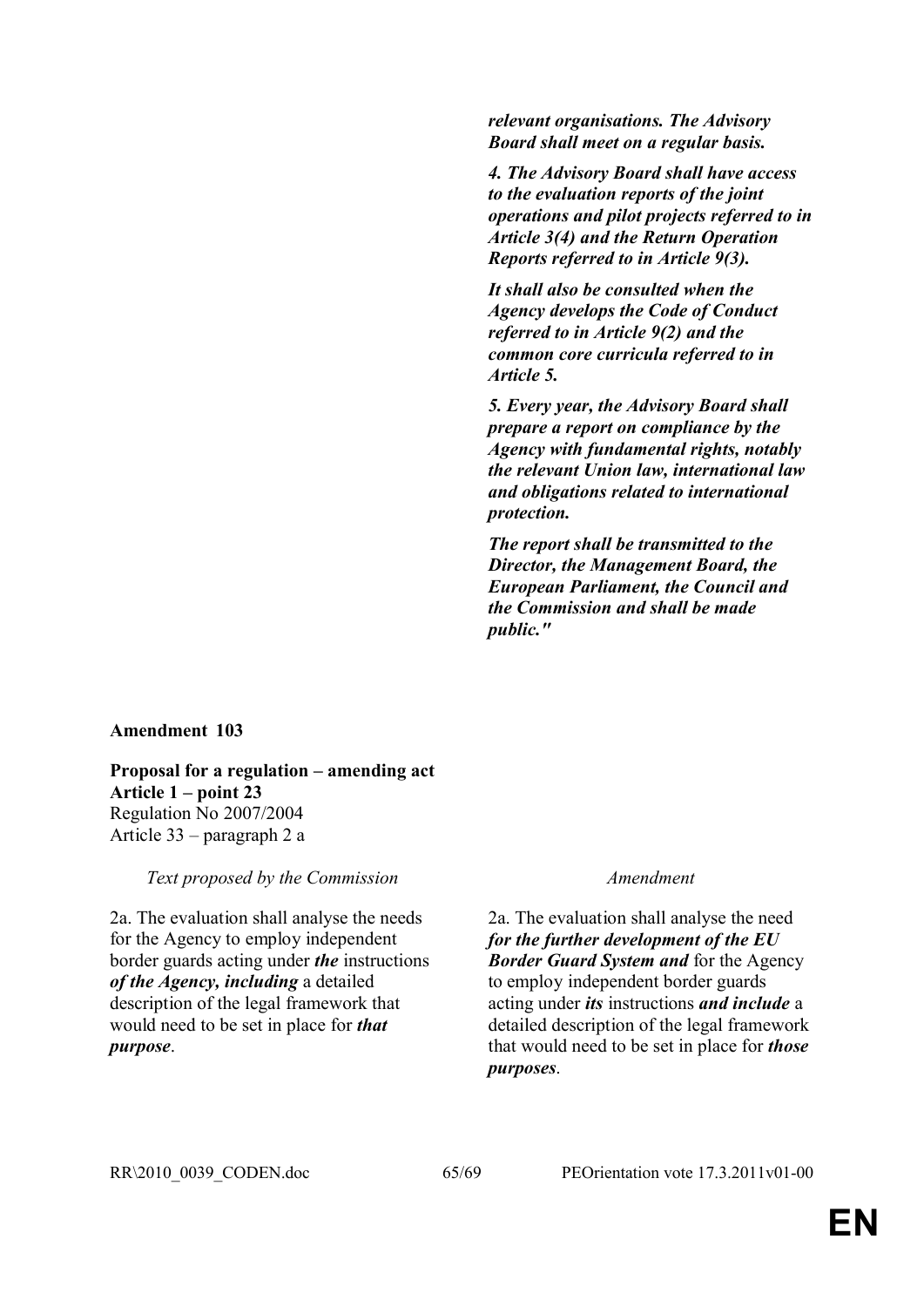*relevant organisations. The Advisory Board shall meet on a regular basis.*

*4. The Advisory Board shall have access to the evaluation reports of the joint operations and pilot projects referred to in Article 3(4) and the Return Operation Reports referred to in Article 9(3).*

*It shall also be consulted when the Agency develops the Code of Conduct referred to in Article 9(2) and the common core curricula referred to in Article 5.*

*5. Every year, the Advisory Board shall prepare a report on compliance by the Agency with fundamental rights, notably the relevant Union law, international law and obligations related to international protection.*

*The report shall be transmitted to the Director, the Management Board, the European Parliament, the Council and the Commission and shall be made public."*

## **Amendment 103**

**Proposal for a regulation – amending act Article 1 – point 23** Regulation No 2007/2004 Article 33 – paragraph 2 a

*Text proposed by the Commission Amendment*

2a. The evaluation shall analyse the needs for the Agency to employ independent border guards acting under *the* instructions *of the Agency, including* a detailed description of the legal framework that would need to be set in place for *that purpose*.

2a. The evaluation shall analyse the need *for the further development of the EU Border Guard System and* for the Agency to employ independent border guards acting under *its* instructions *and include* a detailed description of the legal framework that would need to be set in place for *those purposes*.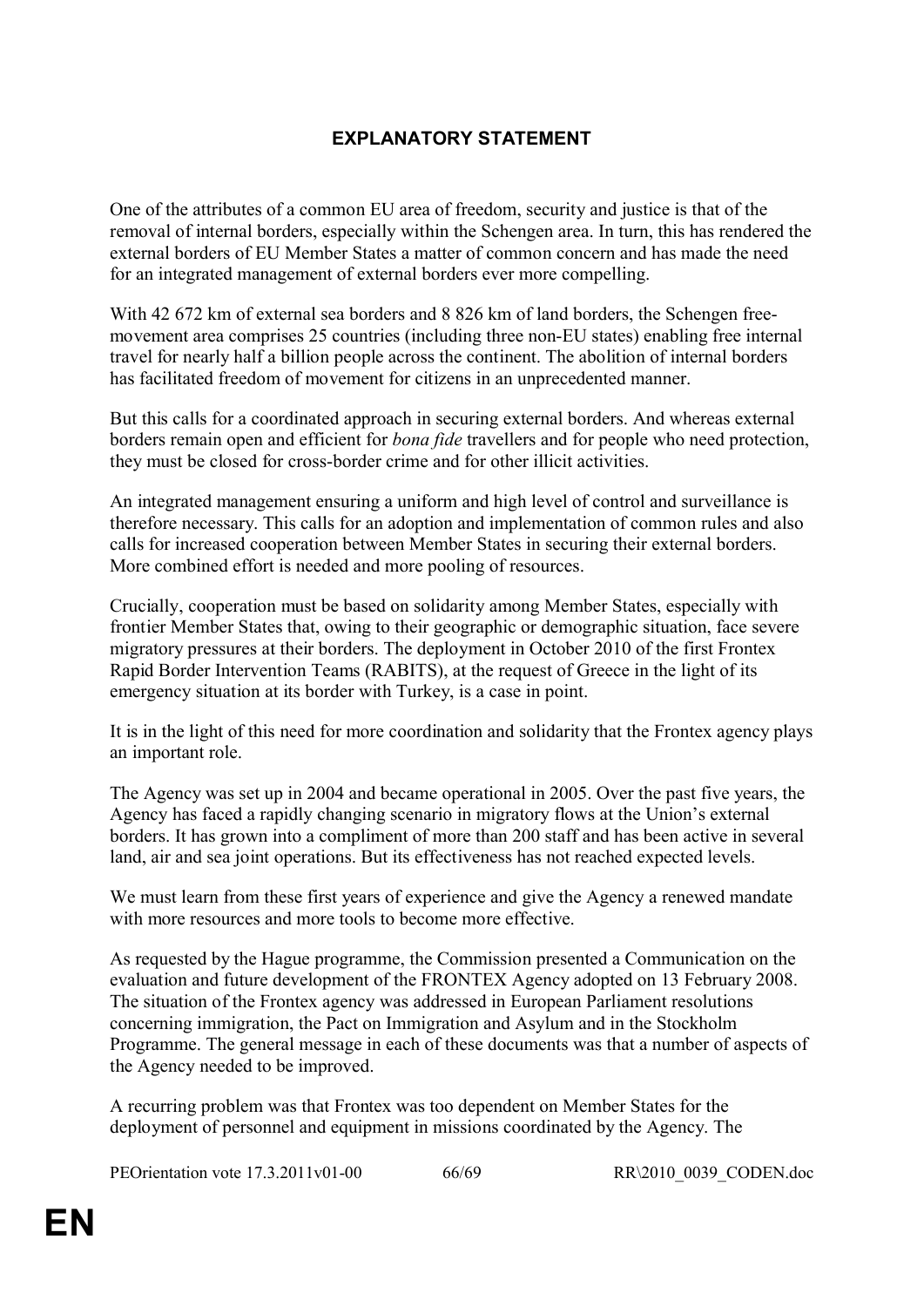## **EXPLANATORY STATEMENT**

One of the attributes of a common EU area of freedom, security and justice is that of the removal of internal borders, especially within the Schengen area. In turn, this has rendered the external borders of EU Member States a matter of common concern and has made the need for an integrated management of external borders ever more compelling.

With 42 672 km of external sea borders and 8 826 km of land borders, the Schengen freemovement area comprises 25 countries (including three non-EU states) enabling free internal travel for nearly half a billion people across the continent. The abolition of internal borders has facilitated freedom of movement for citizens in an unprecedented manner.

But this calls for a coordinated approach in securing external borders. And whereas external borders remain open and efficient for *bona fide* travellers and for people who need protection, they must be closed for cross-border crime and for other illicit activities.

An integrated management ensuring a uniform and high level of control and surveillance is therefore necessary. This calls for an adoption and implementation of common rules and also calls for increased cooperation between Member States in securing their external borders. More combined effort is needed and more pooling of resources.

Crucially, cooperation must be based on solidarity among Member States, especially with frontier Member States that, owing to their geographic or demographic situation, face severe migratory pressures at their borders. The deployment in October 2010 of the first Frontex Rapid Border Intervention Teams (RABITS), at the request of Greece in the light of its emergency situation at its border with Turkey, is a case in point.

It is in the light of this need for more coordination and solidarity that the Frontex agency plays an important role.

The Agency was set up in 2004 and became operational in 2005. Over the past five years, the Agency has faced a rapidly changing scenario in migratory flows at the Union's external borders. It has grown into a compliment of more than 200 staff and has been active in several land, air and sea joint operations. But its effectiveness has not reached expected levels.

We must learn from these first years of experience and give the Agency a renewed mandate with more resources and more tools to become more effective.

As requested by the Hague programme, the Commission presented a Communication on the evaluation and future development of the FRONTEX Agency adopted on 13 February 2008. The situation of the Frontex agency was addressed in European Parliament resolutions concerning immigration, the Pact on Immigration and Asylum and in the Stockholm Programme. The general message in each of these documents was that a number of aspects of the Agency needed to be improved.

A recurring problem was that Frontex was too dependent on Member States for the deployment of personnel and equipment in missions coordinated by the Agency. The

PEOrientation vote 17.3.2011v01-00 66/69 RR\2010\_0039\_CODEN.doc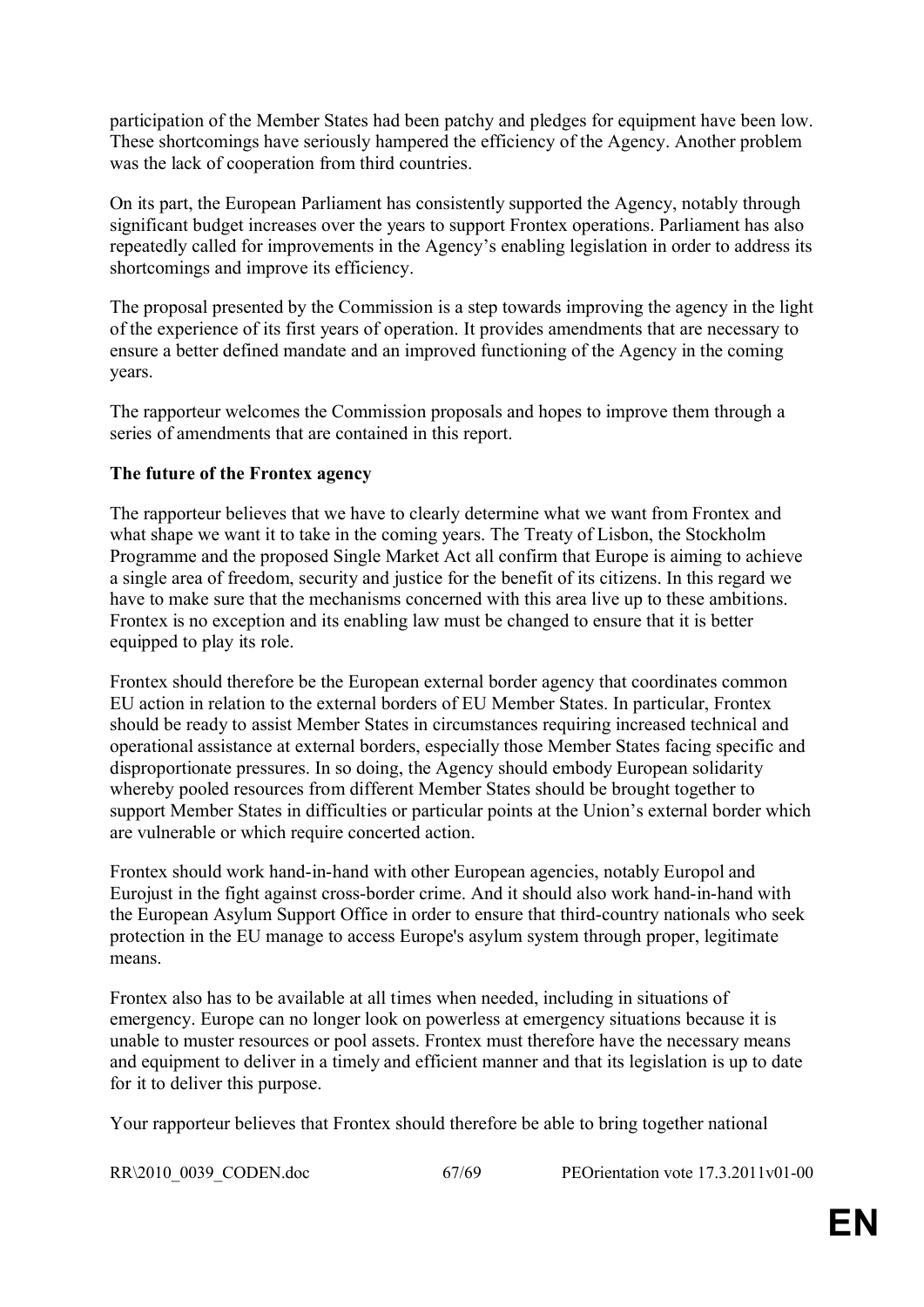participation of the Member States had been patchy and pledges for equipment have been low. These shortcomings have seriously hampered the efficiency of the Agency. Another problem was the lack of cooperation from third countries.

On its part, the European Parliament has consistently supported the Agency, notably through significant budget increases over the years to support Frontex operations. Parliament has also repeatedly called for improvements in the Agency's enabling legislation in order to address its shortcomings and improve its efficiency.

The proposal presented by the Commission is a step towards improving the agency in the light of the experience of its first years of operation. It provides amendments that are necessary to ensure a better defined mandate and an improved functioning of the Agency in the coming years.

The rapporteur welcomes the Commission proposals and hopes to improve them through a series of amendments that are contained in this report.

## **The future of the Frontex agency**

The rapporteur believes that we have to clearly determine what we want from Frontex and what shape we want it to take in the coming years. The Treaty of Lisbon, the Stockholm Programme and the proposed Single Market Act all confirm that Europe is aiming to achieve a single area of freedom, security and justice for the benefit of its citizens. In this regard we have to make sure that the mechanisms concerned with this area live up to these ambitions. Frontex is no exception and its enabling law must be changed to ensure that it is better equipped to play its role.

Frontex should therefore be the European external border agency that coordinates common EU action in relation to the external borders of EU Member States. In particular, Frontex should be ready to assist Member States in circumstances requiring increased technical and operational assistance at external borders, especially those Member States facing specific and disproportionate pressures. In so doing, the Agency should embody European solidarity whereby pooled resources from different Member States should be brought together to support Member States in difficulties or particular points at the Union's external border which are vulnerable or which require concerted action.

Frontex should work hand-in-hand with other European agencies, notably Europol and Eurojust in the fight against cross-border crime. And it should also work hand-in-hand with the European Asylum Support Office in order to ensure that third-country nationals who seek protection in the EU manage to access Europe's asylum system through proper, legitimate means.

Frontex also has to be available at all times when needed, including in situations of emergency. Europe can no longer look on powerless at emergency situations because it is unable to muster resources or pool assets. Frontex must therefore have the necessary means and equipment to deliver in a timely and efficient manner and that its legislation is up to date for it to deliver this purpose.

Your rapporteur believes that Frontex should therefore be able to bring together national

RR\2010\_0039\_CODEN.doc 67/69 PEOrientation vote 17.3.2011v01-00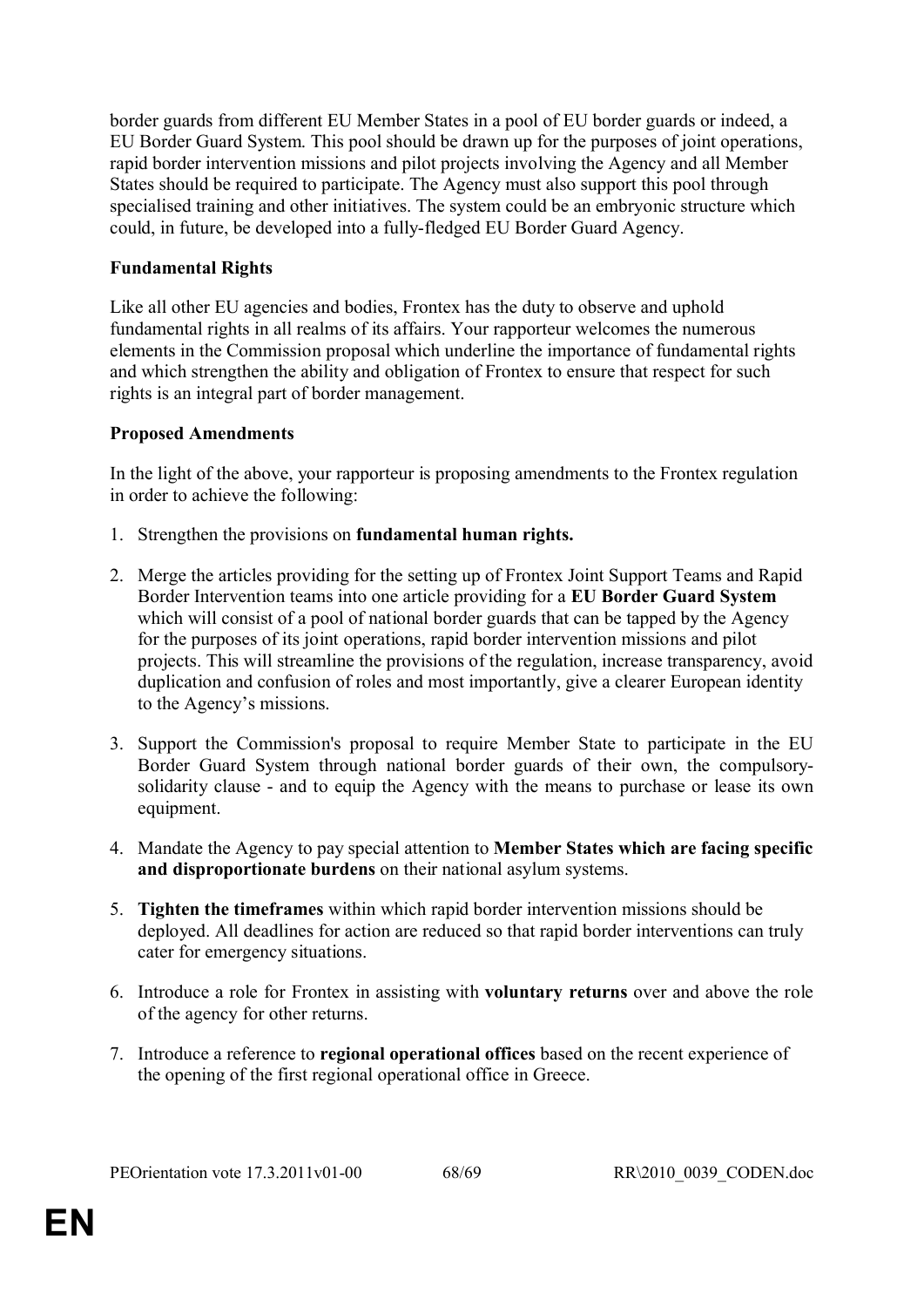border guards from different EU Member States in a pool of EU border guards or indeed, a EU Border Guard System. This pool should be drawn up for the purposes of joint operations, rapid border intervention missions and pilot projects involving the Agency and all Member States should be required to participate. The Agency must also support this pool through specialised training and other initiatives. The system could be an embryonic structure which could, in future, be developed into a fully-fledged EU Border Guard Agency.

## **Fundamental Rights**

Like all other EU agencies and bodies, Frontex has the duty to observe and uphold fundamental rights in all realms of its affairs. Your rapporteur welcomes the numerous elements in the Commission proposal which underline the importance of fundamental rights and which strengthen the ability and obligation of Frontex to ensure that respect for such rights is an integral part of border management.

## **Proposed Amendments**

In the light of the above, your rapporteur is proposing amendments to the Frontex regulation in order to achieve the following:

- 1. Strengthen the provisions on **fundamental human rights.**
- 2. Merge the articles providing for the setting up of Frontex Joint Support Teams and Rapid Border Intervention teams into one article providing for a **EU Border Guard System** which will consist of a pool of national border guards that can be tapped by the Agency for the purposes of its joint operations, rapid border intervention missions and pilot projects. This will streamline the provisions of the regulation, increase transparency, avoid duplication and confusion of roles and most importantly, give a clearer European identity to the Agency's missions.
- 3. Support the Commission's proposal to require Member State to participate in the EU Border Guard System through national border guards of their own, the compulsorysolidarity clause - and to equip the Agency with the means to purchase or lease its own equipment.
- 4. Mandate the Agency to pay special attention to **Member States which are facing specific and disproportionate burdens** on their national asylum systems.
- 5. **Tighten the timeframes** within which rapid border intervention missions should be deployed. All deadlines for action are reduced so that rapid border interventions can truly cater for emergency situations.
- 6. Introduce a role for Frontex in assisting with **voluntary returns** over and above the role of the agency for other returns.
- 7. Introduce a reference to **regional operational offices** based on the recent experience of the opening of the first regional operational office in Greece.